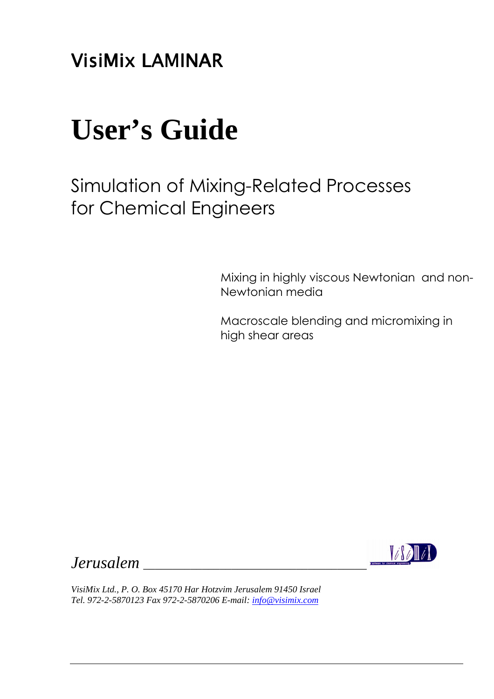**VisiMix LAMINAR** 

# **User's Guide**

Simulation of Mixing-Related Processes for Chemical Engineers

> Mixing in highly viscous Newtonian and non-Newtonian media

Macroscale blending and micromixing in high shear areas

*Jerusalem* \_\_\_\_\_\_\_\_\_\_\_\_\_\_\_\_\_\_\_\_\_\_\_\_\_\_\_\_\_\_\_\_\_\_\_\_\_\_



*VisiMix Ltd., P. O. Box 45170 Har Hotzvim Jerusalem 91450 Israel Tel. 972-2-5870123 Fax 972-2-5870206 E-mail: info@visimix.com*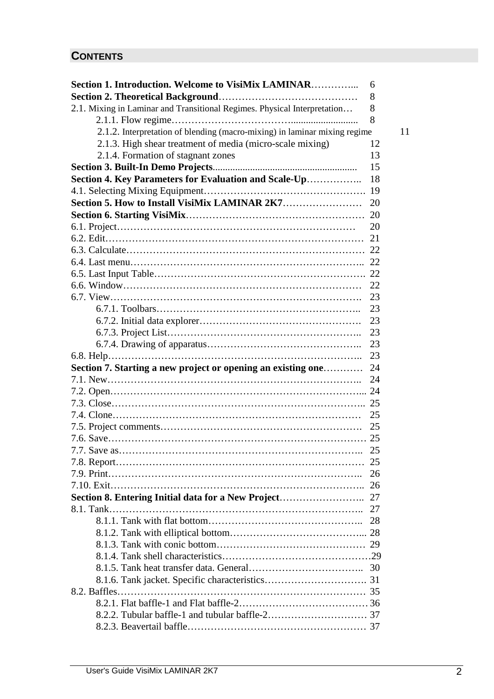# **CONTENTS**

| Section 1. Introduction. Welcome to VisiMix LAMINAR                       | 6  |
|---------------------------------------------------------------------------|----|
|                                                                           | 8  |
| 2.1. Mixing in Laminar and Transitional Regimes. Physical Interpretation  | 8  |
|                                                                           | 8  |
| 2.1.2. Interpretation of blending (macro-mixing) in laminar mixing regime | 11 |
| 2.1.3. High shear treatment of media (micro-scale mixing)                 | 12 |
| 2.1.4. Formation of stagnant zones                                        | 13 |
|                                                                           | 15 |
| Section 4. Key Parameters for Evaluation and Scale-Up                     | 18 |
|                                                                           |    |
|                                                                           |    |
|                                                                           |    |
|                                                                           | 20 |
|                                                                           |    |
|                                                                           |    |
|                                                                           |    |
|                                                                           |    |
|                                                                           | 22 |
|                                                                           | 23 |
|                                                                           | 23 |
|                                                                           | 23 |
|                                                                           | 23 |
|                                                                           | 23 |
|                                                                           | 23 |
| Section 7. Starting a new project or opening an existing one              | 24 |
|                                                                           | 24 |
|                                                                           |    |
|                                                                           |    |
|                                                                           | 25 |
|                                                                           |    |
|                                                                           |    |
|                                                                           | 25 |
|                                                                           |    |
|                                                                           | 26 |
|                                                                           |    |
|                                                                           |    |
|                                                                           |    |
|                                                                           |    |
|                                                                           |    |
|                                                                           |    |
|                                                                           |    |
|                                                                           |    |
|                                                                           |    |
|                                                                           |    |
|                                                                           |    |
|                                                                           |    |
|                                                                           |    |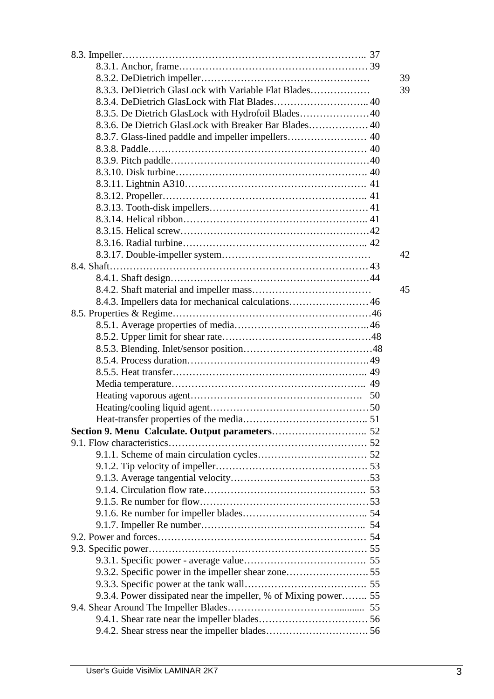|                                                                 | 39 |
|-----------------------------------------------------------------|----|
| 8.3.3. DeDietrich GlasLock with Variable Flat Blades            | 39 |
| 8.3.4. DeDietrich GlasLock with Flat Blades 40                  |    |
|                                                                 |    |
|                                                                 |    |
|                                                                 |    |
|                                                                 |    |
|                                                                 |    |
|                                                                 |    |
|                                                                 |    |
|                                                                 |    |
|                                                                 |    |
|                                                                 |    |
|                                                                 |    |
|                                                                 |    |
|                                                                 |    |
|                                                                 | 42 |
|                                                                 |    |
|                                                                 |    |
|                                                                 | 45 |
|                                                                 |    |
|                                                                 |    |
|                                                                 |    |
|                                                                 |    |
|                                                                 |    |
|                                                                 |    |
|                                                                 |    |
|                                                                 |    |
|                                                                 |    |
|                                                                 |    |
|                                                                 |    |
|                                                                 |    |
|                                                                 |    |
|                                                                 |    |
|                                                                 |    |
|                                                                 |    |
|                                                                 |    |
|                                                                 |    |
|                                                                 |    |
|                                                                 |    |
|                                                                 |    |
|                                                                 |    |
|                                                                 |    |
|                                                                 |    |
|                                                                 |    |
|                                                                 |    |
| 9.3.4. Power dissipated near the impeller, % of Mixing power 55 |    |
|                                                                 |    |
|                                                                 |    |
|                                                                 |    |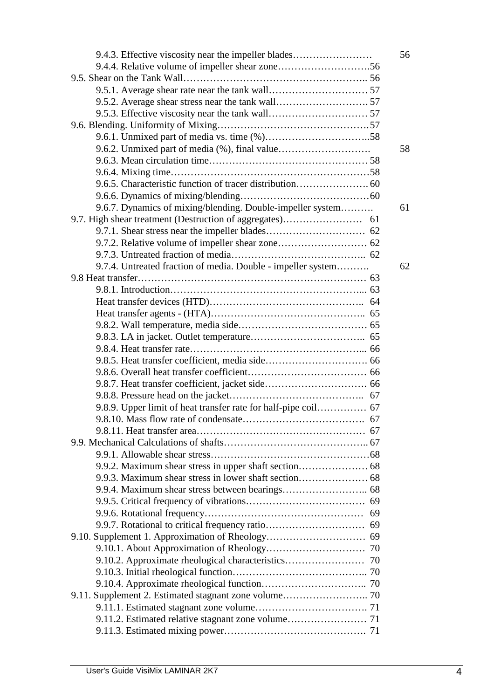| 9.4.3. Effective viscosity near the impeller blades            | 56 |
|----------------------------------------------------------------|----|
|                                                                |    |
|                                                                |    |
|                                                                |    |
|                                                                |    |
|                                                                |    |
|                                                                |    |
|                                                                |    |
|                                                                | 58 |
|                                                                |    |
|                                                                |    |
|                                                                |    |
|                                                                |    |
| 9.6.7. Dynamics of mixing/blending. Double-impeller system     | 61 |
|                                                                |    |
|                                                                |    |
|                                                                |    |
|                                                                |    |
| 9.7.4. Untreated fraction of media. Double - impeller system   | 62 |
|                                                                |    |
|                                                                |    |
|                                                                |    |
|                                                                |    |
|                                                                |    |
|                                                                |    |
|                                                                |    |
|                                                                |    |
|                                                                |    |
|                                                                |    |
|                                                                |    |
|                                                                |    |
| 9.8.9. Upper limit of heat transfer rate for half-pipe coil 67 |    |
|                                                                |    |
|                                                                |    |
|                                                                |    |
|                                                                |    |
|                                                                |    |
|                                                                |    |
|                                                                |    |
|                                                                |    |
|                                                                |    |
|                                                                |    |
|                                                                |    |
|                                                                |    |
|                                                                |    |
|                                                                |    |
|                                                                |    |
| 9.11. Supplement 2. Estimated stagnant zone volume 70          |    |
|                                                                |    |
|                                                                |    |
|                                                                |    |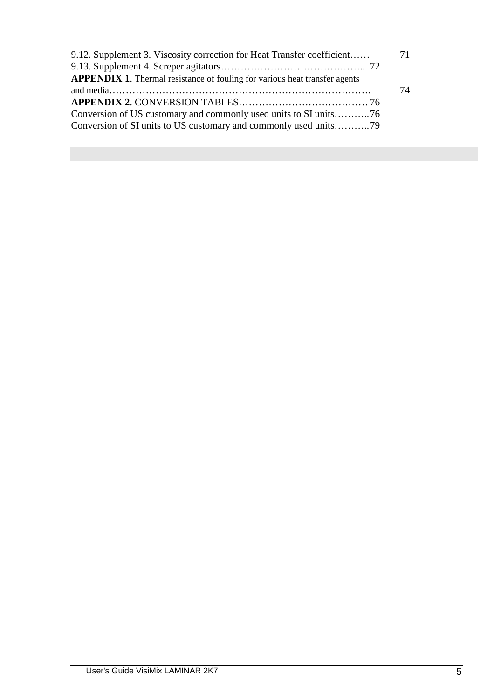| 71 |
|----|
|    |
|    |
| 74 |
|    |
|    |
|    |
|    |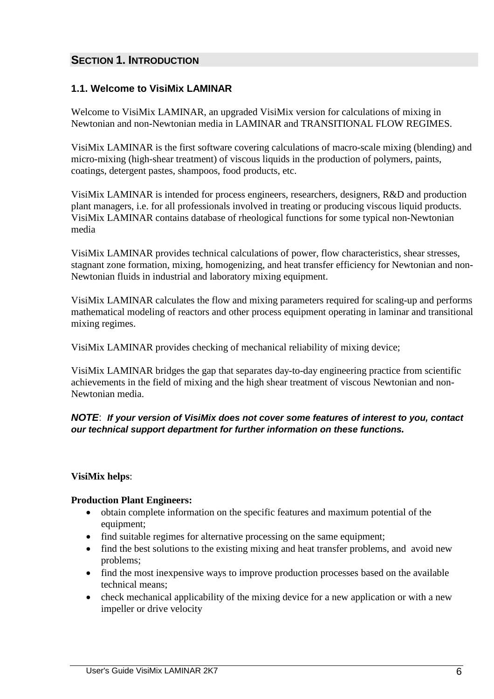# **SECTION 1. INTRODUCTION**

# **1.1. Welcome to VisiMix LAMINAR**

Welcome to VisiMix LAMINAR, an upgraded VisiMix version for calculations of mixing in Newtonian and non-Newtonian media in LAMINAR and TRANSITIONAL FLOW REGIMES.

VisiMix LAMINAR is the first software covering calculations of macro-scale mixing (blending) and micro-mixing (high-shear treatment) of viscous liquids in the production of polymers, paints, coatings, detergent pastes, shampoos, food products, etc.

VisiMix LAMINAR is intended for process engineers, researchers, designers, R&D and production plant managers, i.e. for all professionals involved in treating or producing viscous liquid products. VisiMix LAMINAR contains database of rheological functions for some typical non-Newtonian media

VisiMix LAMINAR provides technical calculations of power, flow characteristics, shear stresses, stagnant zone formation, mixing, homogenizing, and heat transfer efficiency for Newtonian and non-Newtonian fluids in industrial and laboratory mixing equipment.

VisiMix LAMINAR calculates the flow and mixing parameters required for scaling-up and performs mathematical modeling of reactors and other process equipment operating in laminar and transitional mixing regimes.

VisiMix LAMINAR provides checking of mechanical reliability of mixing device;

VisiMix LAMINAR bridges the gap that separates day-to-day engineering practice from scientific achievements in the field of mixing and the high shear treatment of viscous Newtonian and non-Newtonian media.

# **NOTE**: **If your version of VisiMix does not cover some features of interest to you, contact our technical support department for further information on these functions.**

# **VisiMix helps**:

# **Production Plant Engineers:**

- obtain complete information on the specific features and maximum potential of the equipment:
- find suitable regimes for alternative processing on the same equipment;
- find the best solutions to the existing mixing and heat transfer problems, and avoid new problems;
- find the most inexpensive ways to improve production processes based on the available technical means;
- check mechanical applicability of the mixing device for a new application or with a new impeller or drive velocity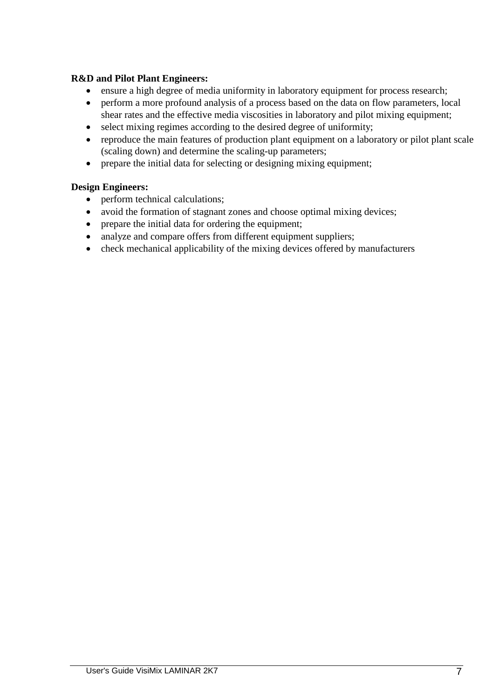# **R&D and Pilot Plant Engineers:**

- ensure a high degree of media uniformity in laboratory equipment for process research;
- perform a more profound analysis of a process based on the data on flow parameters, local shear rates and the effective media viscosities in laboratory and pilot mixing equipment;
- select mixing regimes according to the desired degree of uniformity;
- reproduce the main features of production plant equipment on a laboratory or pilot plant scale (scaling down) and determine the scaling-up parameters;
- prepare the initial data for selecting or designing mixing equipment;

# **Design Engineers:**

- perform technical calculations;
- avoid the formation of stagnant zones and choose optimal mixing devices;
- prepare the initial data for ordering the equipment;
- analyze and compare offers from different equipment suppliers;
- check mechanical applicability of the mixing devices offered by manufacturers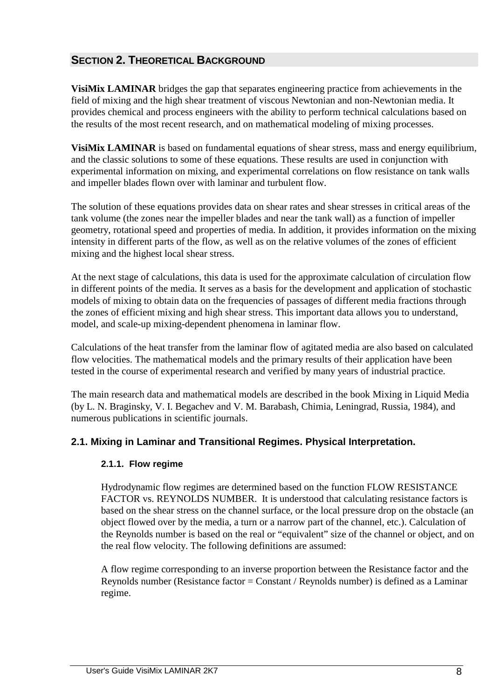# **SECTION 2. THEORETICAL BACKGROUND**

**VisiMix LAMINAR** bridges the gap that separates engineering practice from achievements in the field of mixing and the high shear treatment of viscous Newtonian and non-Newtonian media. It provides chemical and process engineers with the ability to perform technical calculations based on the results of the most recent research, and on mathematical modeling of mixing processes.

**VisiMix LAMINAR** is based on fundamental equations of shear stress, mass and energy equilibrium, and the classic solutions to some of these equations. These results are used in conjunction with experimental information on mixing, and experimental correlations on flow resistance on tank walls and impeller blades flown over with laminar and turbulent flow.

The solution of these equations provides data on shear rates and shear stresses in critical areas of the tank volume (the zones near the impeller blades and near the tank wall) as a function of impeller geometry, rotational speed and properties of media. In addition, it provides information on the mixing intensity in different parts of the flow, as well as on the relative volumes of the zones of efficient mixing and the highest local shear stress.

At the next stage of calculations, this data is used for the approximate calculation of circulation flow in different points of the media. It serves as a basis for the development and application of stochastic models of mixing to obtain data on the frequencies of passages of different media fractions through the zones of efficient mixing and high shear stress. This important data allows you to understand, model, and scale-up mixing-dependent phenomena in laminar flow.

Calculations of the heat transfer from the laminar flow of agitated media are also based on calculated flow velocities. The mathematical models and the primary results of their application have been tested in the course of experimental research and verified by many years of industrial practice.

The main research data and mathematical models are described in the book Mixing in Liquid Media (by L. N. Braginsky, V. I. Begachev and V. M. Barabash, Chimia, Leningrad, Russia, 1984), and numerous publications in scientific journals.

# **2.1. Mixing in Laminar and Transitional Regimes. Physical Interpretation.**

# **2.1.1. Flow regime**

Hydrodynamic flow regimes are determined based on the function FLOW RESISTANCE FACTOR vs. REYNOLDS NUMBER. It is understood that calculating resistance factors is based on the shear stress on the channel surface, or the local pressure drop on the obstacle (an object flowed over by the media, a turn or a narrow part of the channel, etc.). Calculation of the Reynolds number is based on the real or "equivalent" size of the channel or object, and on the real flow velocity. The following definitions are assumed:

A flow regime corresponding to an inverse proportion between the Resistance factor and the Reynolds number (Resistance factor = Constant / Reynolds number) is defined as a Laminar regime.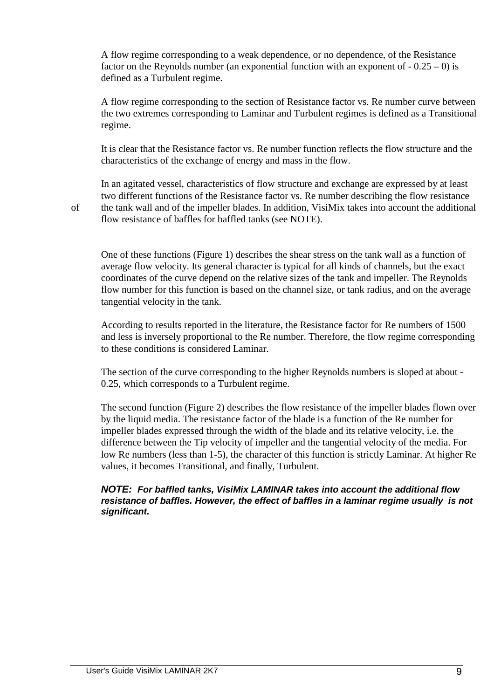A flow regime corresponding to a weak dependence, or no dependence, of the Resistance factor on the Reynolds number (an exponential function with an exponent of  $-0.25 - 0$ ) is defined as a Turbulent regime.

A flow regime corresponding to the section of Resistance factor vs. Re number curve between the two extremes corresponding to Laminar and Turbulent regimes is defined as a Transitional regime.

It is clear that the Resistance factor vs. Re number function reflects the flow structure and the characteristics of the exchange of energy and mass in the flow.

In an agitated vessel, characteristics of flow structure and exchange are expressed by at least two different functions of the Resistance factor vs. Re number describing the flow resistance of the tank wall and of the impeller blades. In addition, VisiMix takes into account the additional flow resistance of baffles for baffled tanks (see NOTE).

One of these functions (Figure 1) describes the shear stress on the tank wall as a function of average flow velocity. Its general character is typical for all kinds of channels, but the exact coordinates of the curve depend on the relative sizes of the tank and impeller. The Reynolds flow number for this function is based on the channel size, or tank radius, and on the average tangential velocity in the tank.

According to results reported in the literature, the Resistance factor for Re numbers of 1500 and less is inversely proportional to the Re number. Therefore, the flow regime corresponding to these conditions is considered Laminar.

The section of the curve corresponding to the higher Reynolds numbers is sloped at about - 0.25, which corresponds to a Turbulent regime.

The second function (Figure 2) describes the flow resistance of the impeller blades flown over by the liquid media. The resistance factor of the blade is a function of the Re number for impeller blades expressed through the width of the blade and its relative velocity, i.e. the difference between the Tip velocity of impeller and the tangential velocity of the media. For low Re numbers (less than 1-5), the character of this function is strictly Laminar. At higher Re values, it becomes Transitional, and finally, Turbulent.

#### **NOTE: For baffled tanks, VisiMix LAMINAR takes into account the additional flow resistance of baffles. However, the effect of baffles in a laminar regime usually is not significant.**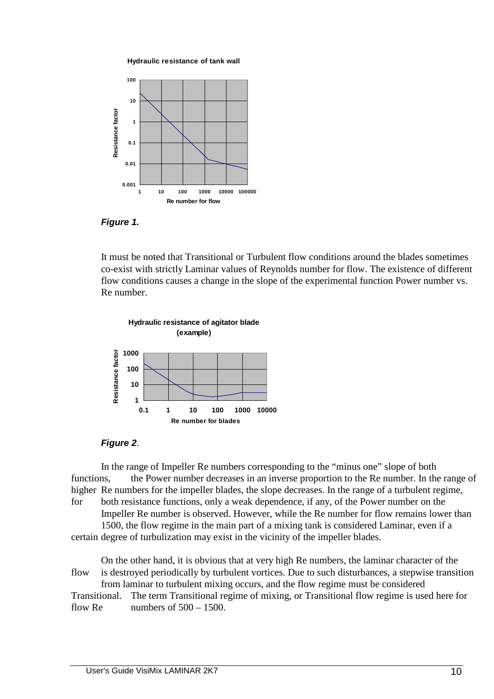



**Figure 1.** 

It must be noted that Transitional or Turbulent flow conditions around the blades sometimes co-exist with strictly Laminar values of Reynolds number for flow. The existence of different flow conditions causes a change in the slope of the experimental function Power number vs. Re number.



#### **Figure 2**.

In the range of Impeller Re numbers corresponding to the "minus one" slope of both functions, the Power number decreases in an inverse proportion to the Re number. In the range of higher Re numbers for the impeller blades, the slope decreases. In the range of a turbulent regime, for both resistance functions, only a weak dependence, if any, of the Power number on the Impeller Re number is observed. However, while the Re number for flow remains lower than

 1500, the flow regime in the main part of a mixing tank is considered Laminar, even if a certain degree of turbulization may exist in the vicinity of the impeller blades.

On the other hand, it is obvious that at very high Re numbers, the laminar character of the flow is destroyed periodically by turbulent vortices. Due to such disturbances, a stepwise transition from laminar to turbulent mixing occurs, and the flow regime must be considered Transitional. The term Transitional regime of mixing, or Transitional flow regime is used here for flow Re numbers of  $500 - 1500$ .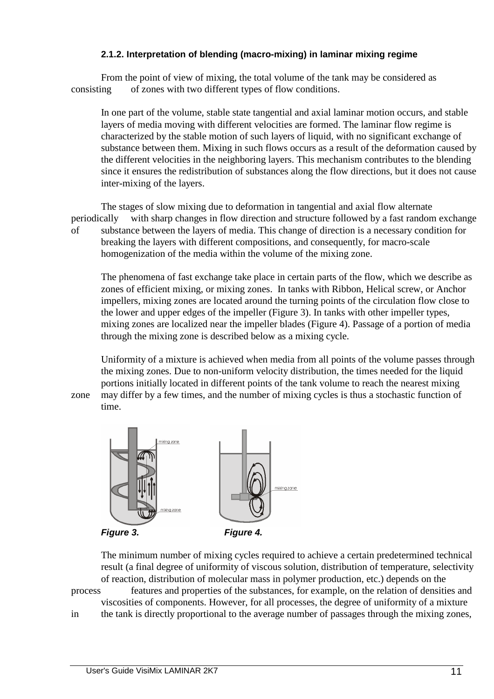#### **2.1.2. Interpretation of blending (macro-mixing) in laminar mixing regime**

 From the point of view of mixing, the total volume of the tank may be considered as consisting of zones with two different types of flow conditions.

 In one part of the volume, stable state tangential and axial laminar motion occurs, and stable layers of media moving with different velocities are formed. The laminar flow regime is characterized by the stable motion of such layers of liquid, with no significant exchange of substance between them. Mixing in such flows occurs as a result of the deformation caused by the different velocities in the neighboring layers. This mechanism contributes to the blending since it ensures the redistribution of substances along the flow directions, but it does not cause inter-mixing of the layers.

 The stages of slow mixing due to deformation in tangential and axial flow alternate periodically with sharp changes in flow direction and structure followed by a fast random exchange of substance between the layers of media. This change of direction is a necessary condition for breaking the layers with different compositions, and consequently, for macro-scale homogenization of the media within the volume of the mixing zone.

 The phenomena of fast exchange take place in certain parts of the flow, which we describe as zones of efficient mixing, or mixing zones. In tanks with Ribbon, Helical screw, or Anchor impellers, mixing zones are located around the turning points of the circulation flow close to the lower and upper edges of the impeller (Figure 3). In tanks with other impeller types, mixing zones are localized near the impeller blades (Figure 4). Passage of a portion of media through the mixing zone is described below as a mixing cycle.

 Uniformity of a mixture is achieved when media from all points of the volume passes through the mixing zones. Due to non-uniform velocity distribution, the times needed for the liquid portions initially located in different points of the tank volume to reach the nearest mixing zone may differ by a few times, and the number of mixing cycles is thus a stochastic function of time.



 The minimum number of mixing cycles required to achieve a certain predetermined technical result (a final degree of uniformity of viscous solution, distribution of temperature, selectivity of reaction, distribution of molecular mass in polymer production, etc.) depends on the

process features and properties of the substances, for example, on the relation of densities and viscosities of components. However, for all processes, the degree of uniformity of a mixture

in the tank is directly proportional to the average number of passages through the mixing zones,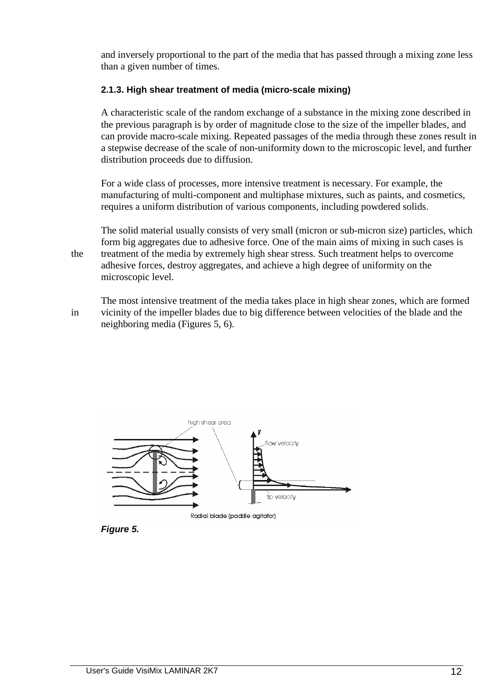and inversely proportional to the part of the media that has passed through a mixing zone less than a given number of times.

# **2.1.3. High shear treatment of media (micro-scale mixing)**

 A characteristic scale of the random exchange of a substance in the mixing zone described in the previous paragraph is by order of magnitude close to the size of the impeller blades, and can provide macro-scale mixing. Repeated passages of the media through these zones result in a stepwise decrease of the scale of non-uniformity down to the microscopic level, and further distribution proceeds due to diffusion.

 For a wide class of processes, more intensive treatment is necessary. For example, the manufacturing of multi-component and multiphase mixtures, such as paints, and cosmetics, requires a uniform distribution of various components, including powdered solids.

 The solid material usually consists of very small (micron or sub-micron size) particles, which form big aggregates due to adhesive force. One of the main aims of mixing in such cases is the treatment of the media by extremely high shear stress. Such treatment helps to overcome adhesive forces, destroy aggregates, and achieve a high degree of uniformity on the microscopic level.

 The most intensive treatment of the media takes place in high shear zones, which are formed in vicinity of the impeller blades due to big difference between velocities of the blade and the neighboring media (Figures 5, 6).



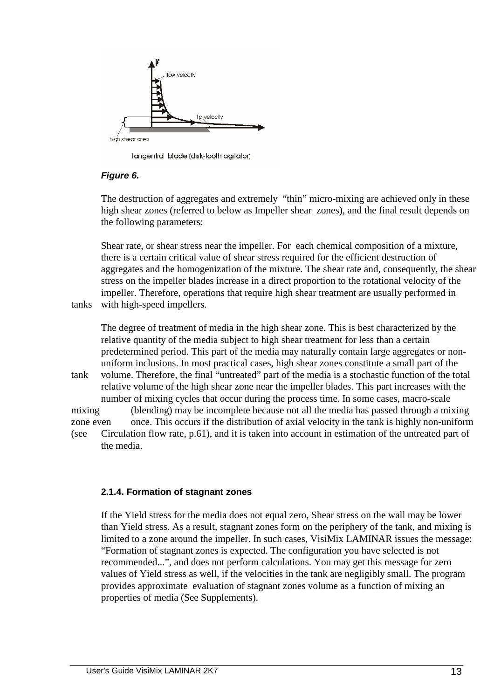

tangential blade (disk-tooth agitator)

# **Figure 6.**

 The destruction of aggregates and extremely "thin" micro-mixing are achieved only in these high shear zones (referred to below as Impeller shear zones), and the final result depends on the following parameters:

 Shear rate, or shear stress near the impeller. For each chemical composition of a mixture, there is a certain critical value of shear stress required for the efficient destruction of aggregates and the homogenization of the mixture. The shear rate and, consequently, the shear stress on the impeller blades increase in a direct proportion to the rotational velocity of the impeller. Therefore, operations that require high shear treatment are usually performed in tanks with high-speed impellers.

 The degree of treatment of media in the high shear zone. This is best characterized by the relative quantity of the media subject to high shear treatment for less than a certain predetermined period. This part of the media may naturally contain large aggregates or non uniform inclusions. In most practical cases, high shear zones constitute a small part of the tank volume. Therefore, the final "untreated" part of the media is a stochastic function of the total relative volume of the high shear zone near the impeller blades. This part increases with the number of mixing cycles that occur during the process time. In some cases, macro-scale mixing (blending) may be incomplete because not all the media has passed through a mixing zone even once. This occurs if the distribution of axial velocity in the tank is highly non-uniform (see Circulation flow rate, p.61), and it is taken into account in estimation of the untreated part of the media.

# **2.1.4. Formation of stagnant zones**

 If the Yield stress for the media does not equal zero, Shear stress on the wall may be lower than Yield stress. As a result, stagnant zones form on the periphery of the tank, and mixing is limited to a zone around the impeller. In such cases, VisiMix LAMINAR issues the message: "Formation of stagnant zones is expected. The configuration you have selected is not recommended...", and does not perform calculations. You may get this message for zero values of Yield stress as well, if the velocities in the tank are negligibly small. The program provides approximate evaluation of stagnant zones volume as a function of mixing an properties of media (See Supplements).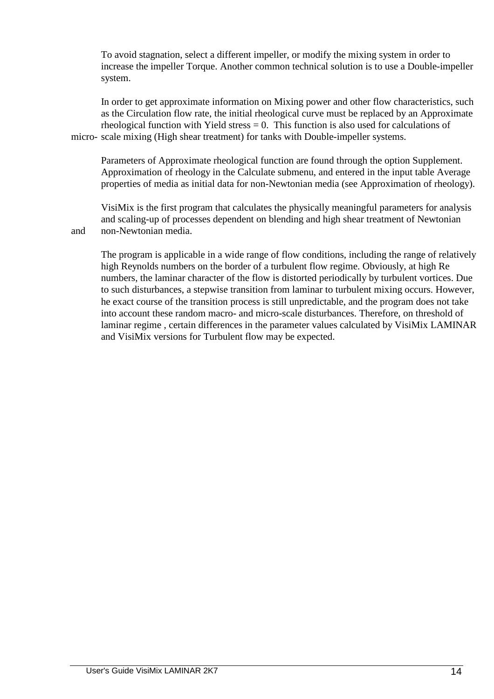To avoid stagnation, select a different impeller, or modify the mixing system in order to increase the impeller Torque. Another common technical solution is to use a Double-impeller system.

 In order to get approximate information on Mixing power and other flow characteristics, such as the Circulation flow rate, the initial rheological curve must be replaced by an Approximate rheological function with Yield stress  $= 0$ . This function is also used for calculations of micro- scale mixing (High shear treatment) for tanks with Double-impeller systems.

 Parameters of Approximate rheological function are found through the option Supplement. Approximation of rheology in the Calculate submenu, and entered in the input table Average properties of media as initial data for non-Newtonian media (see Approximation of rheology).

 VisiMix is the first program that calculates the physically meaningful parameters for analysis and scaling-up of processes dependent on blending and high shear treatment of Newtonian and non-Newtonian media.

 The program is applicable in a wide range of flow conditions, including the range of relatively high Reynolds numbers on the border of a turbulent flow regime. Obviously, at high Re numbers, the laminar character of the flow is distorted periodically by turbulent vortices. Due to such disturbances, a stepwise transition from laminar to turbulent mixing occurs. However, he exact course of the transition process is still unpredictable, and the program does not take into account these random macro- and micro-scale disturbances. Therefore, on threshold of laminar regime , certain differences in the parameter values calculated by VisiMix LAMINAR and VisiMix versions for Turbulent flow may be expected.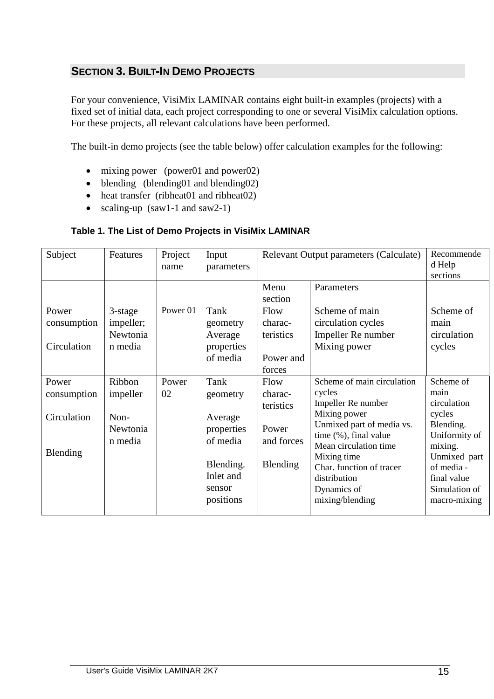# **SECTION 3. BUILT-IN DEMO PROJECTS**

For your convenience, VisiMix LAMINAR contains eight built-in examples (projects) with a fixed set of initial data, each project corresponding to one or several VisiMix calculation options. For these projects, all relevant calculations have been performed.

The built-in demo projects (see the table below) offer calculation examples for the following:

- mixing power (power01 and power02)
- blending (blending01 and blending02)
- heat transfer (ribheat01 and ribheat02)
- scaling-up (saw1-1 and saw2-1)

# **Table 1. The List of Demo Projects in VisiMix LAMINAR**

| Subject                                         | Features                                          | Project<br>name | Input<br>parameters                                                                                    |                                                                 | Relevant Output parameters (Calculate)                                                                                                                                                                                                                 | Recommende<br>d Help<br>sections                                                                                                                                  |
|-------------------------------------------------|---------------------------------------------------|-----------------|--------------------------------------------------------------------------------------------------------|-----------------------------------------------------------------|--------------------------------------------------------------------------------------------------------------------------------------------------------------------------------------------------------------------------------------------------------|-------------------------------------------------------------------------------------------------------------------------------------------------------------------|
|                                                 |                                                   |                 |                                                                                                        | Menu<br>section                                                 | Parameters                                                                                                                                                                                                                                             |                                                                                                                                                                   |
| Power<br>consumption<br>Circulation             | 3-stage<br>impeller;<br>Newtonia<br>n media       | Power 01        | Tank<br>geometry<br>Average<br>properties<br>of media                                                  | Flow<br>charac-<br>teristics<br>Power and<br>forces             | Scheme of main<br>circulation cycles<br>Impeller Re number<br>Mixing power                                                                                                                                                                             | Scheme of<br>main<br>circulation<br>cycles                                                                                                                        |
| Power<br>consumption<br>Circulation<br>Blending | Ribbon<br>impeller<br>Non-<br>Newtonia<br>n media | Power<br>02     | Tank<br>geometry<br>Average<br>properties<br>of media<br>Blending.<br>Inlet and<br>sensor<br>positions | Flow<br>charac-<br>teristics<br>Power<br>and forces<br>Blending | Scheme of main circulation<br>cycles<br>Impeller Re number<br>Mixing power<br>Unmixed part of media vs.<br>time (%), final value<br>Mean circulation time<br>Mixing time<br>Char. function of tracer<br>distribution<br>Dynamics of<br>mixing/blending | Scheme of<br>main<br>circulation<br>cycles<br>Blending.<br>Uniformity of<br>mixing.<br>Unmixed part<br>of media -<br>final value<br>Simulation of<br>macro-mixing |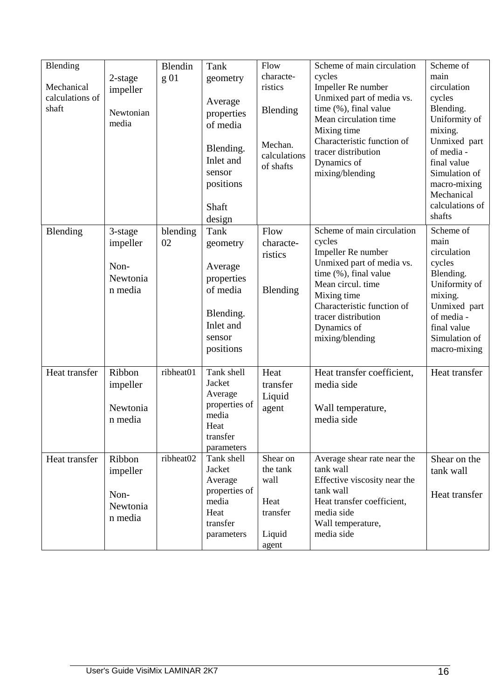| main<br>characte-<br>cycles<br>g <sub>01</sub><br>2-stage<br>geometry<br>Impeller Re number<br>circulation<br>Mechanical<br>ristics<br>impeller<br>calculations of<br>Unmixed part of media vs.<br>cycles<br>Average<br>shaft<br>time (%), final value<br>Blending.<br>Blending<br>Newtonian<br>properties<br>Mean circulation time<br>Uniformity of<br>media<br>of media<br>mixing.<br>Mixing time<br>Characteristic function of<br>Unmixed part<br>Mechan.<br>Blending.<br>of media -<br>tracer distribution<br>calculations<br>Inlet and<br>Dynamics of<br>final value<br>of shafts<br>sensor<br>mixing/blending<br>Simulation of<br>positions<br>macro-mixing<br>Mechanical<br>calculations of<br>Shaft<br>shafts<br>design<br>Scheme of main circulation<br>Scheme of<br>Flow<br>Blending<br>Tank<br>blending<br>3-stage<br>main<br>cycles<br>impeller<br>02<br>characte-<br>geometry<br>circulation<br>Impeller Re number<br>ristics<br>Unmixed part of media vs.<br>cycles<br>Non-<br>Average<br>time (%), final value<br>Blending.<br>Newtonia<br>properties<br>Mean circul. time<br>Uniformity of<br>of media<br>Blending<br>n media<br>Mixing time<br>mixing.<br>Characteristic function of<br>Unmixed part<br>Blending.<br>of media -<br>tracer distribution<br>Inlet and<br>Dynamics of<br>final value<br>sensor<br>Simulation of<br>mixing/blending<br>positions<br>macro-mixing<br>ribheat01<br>Tank shell<br>Heat<br>Heat transfer<br>Ribbon<br>Heat transfer coefficient,<br>Heat transfer<br>Jacket<br>media side<br>impeller<br>transfer<br>Average<br>Liquid<br>properties of<br>Newtonia<br>agent<br>Wall temperature,<br>media<br>media side<br>n media<br>Heat<br>transfer<br>parameters<br>ribheat02<br>Tank shell<br>Shear on<br>Ribbon<br>Average shear rate near the<br>Shear on the<br>Heat transfer<br>Jacket<br>the tank<br>tank wall<br>impeller<br>tank wall<br>wall<br>Effective viscosity near the<br>Average<br>properties of<br>tank wall<br>Non-<br>Heat transfer<br>media<br>Heat transfer coefficient,<br>Heat | Blending |          | Blendin | Tank | Flow | Scheme of main circulation | Scheme of |
|------------------------------------------------------------------------------------------------------------------------------------------------------------------------------------------------------------------------------------------------------------------------------------------------------------------------------------------------------------------------------------------------------------------------------------------------------------------------------------------------------------------------------------------------------------------------------------------------------------------------------------------------------------------------------------------------------------------------------------------------------------------------------------------------------------------------------------------------------------------------------------------------------------------------------------------------------------------------------------------------------------------------------------------------------------------------------------------------------------------------------------------------------------------------------------------------------------------------------------------------------------------------------------------------------------------------------------------------------------------------------------------------------------------------------------------------------------------------------------------------------------------------------------------------------------------------------------------------------------------------------------------------------------------------------------------------------------------------------------------------------------------------------------------------------------------------------------------------------------------------------------------------------------------------------------------------------------------------------------------------------------------------------------------------------|----------|----------|---------|------|------|----------------------------|-----------|
|                                                                                                                                                                                                                                                                                                                                                                                                                                                                                                                                                                                                                                                                                                                                                                                                                                                                                                                                                                                                                                                                                                                                                                                                                                                                                                                                                                                                                                                                                                                                                                                                                                                                                                                                                                                                                                                                                                                                                                                                                                                      |          |          |         |      |      |                            |           |
|                                                                                                                                                                                                                                                                                                                                                                                                                                                                                                                                                                                                                                                                                                                                                                                                                                                                                                                                                                                                                                                                                                                                                                                                                                                                                                                                                                                                                                                                                                                                                                                                                                                                                                                                                                                                                                                                                                                                                                                                                                                      |          |          |         |      |      |                            |           |
|                                                                                                                                                                                                                                                                                                                                                                                                                                                                                                                                                                                                                                                                                                                                                                                                                                                                                                                                                                                                                                                                                                                                                                                                                                                                                                                                                                                                                                                                                                                                                                                                                                                                                                                                                                                                                                                                                                                                                                                                                                                      |          |          |         |      |      |                            |           |
|                                                                                                                                                                                                                                                                                                                                                                                                                                                                                                                                                                                                                                                                                                                                                                                                                                                                                                                                                                                                                                                                                                                                                                                                                                                                                                                                                                                                                                                                                                                                                                                                                                                                                                                                                                                                                                                                                                                                                                                                                                                      |          |          |         |      |      |                            |           |
|                                                                                                                                                                                                                                                                                                                                                                                                                                                                                                                                                                                                                                                                                                                                                                                                                                                                                                                                                                                                                                                                                                                                                                                                                                                                                                                                                                                                                                                                                                                                                                                                                                                                                                                                                                                                                                                                                                                                                                                                                                                      |          |          |         |      |      |                            |           |
|                                                                                                                                                                                                                                                                                                                                                                                                                                                                                                                                                                                                                                                                                                                                                                                                                                                                                                                                                                                                                                                                                                                                                                                                                                                                                                                                                                                                                                                                                                                                                                                                                                                                                                                                                                                                                                                                                                                                                                                                                                                      |          |          |         |      |      |                            |           |
|                                                                                                                                                                                                                                                                                                                                                                                                                                                                                                                                                                                                                                                                                                                                                                                                                                                                                                                                                                                                                                                                                                                                                                                                                                                                                                                                                                                                                                                                                                                                                                                                                                                                                                                                                                                                                                                                                                                                                                                                                                                      |          |          |         |      |      |                            |           |
|                                                                                                                                                                                                                                                                                                                                                                                                                                                                                                                                                                                                                                                                                                                                                                                                                                                                                                                                                                                                                                                                                                                                                                                                                                                                                                                                                                                                                                                                                                                                                                                                                                                                                                                                                                                                                                                                                                                                                                                                                                                      |          |          |         |      |      |                            |           |
|                                                                                                                                                                                                                                                                                                                                                                                                                                                                                                                                                                                                                                                                                                                                                                                                                                                                                                                                                                                                                                                                                                                                                                                                                                                                                                                                                                                                                                                                                                                                                                                                                                                                                                                                                                                                                                                                                                                                                                                                                                                      |          |          |         |      |      |                            |           |
|                                                                                                                                                                                                                                                                                                                                                                                                                                                                                                                                                                                                                                                                                                                                                                                                                                                                                                                                                                                                                                                                                                                                                                                                                                                                                                                                                                                                                                                                                                                                                                                                                                                                                                                                                                                                                                                                                                                                                                                                                                                      |          |          |         |      |      |                            |           |
|                                                                                                                                                                                                                                                                                                                                                                                                                                                                                                                                                                                                                                                                                                                                                                                                                                                                                                                                                                                                                                                                                                                                                                                                                                                                                                                                                                                                                                                                                                                                                                                                                                                                                                                                                                                                                                                                                                                                                                                                                                                      |          |          |         |      |      |                            |           |
|                                                                                                                                                                                                                                                                                                                                                                                                                                                                                                                                                                                                                                                                                                                                                                                                                                                                                                                                                                                                                                                                                                                                                                                                                                                                                                                                                                                                                                                                                                                                                                                                                                                                                                                                                                                                                                                                                                                                                                                                                                                      |          |          |         |      |      |                            |           |
|                                                                                                                                                                                                                                                                                                                                                                                                                                                                                                                                                                                                                                                                                                                                                                                                                                                                                                                                                                                                                                                                                                                                                                                                                                                                                                                                                                                                                                                                                                                                                                                                                                                                                                                                                                                                                                                                                                                                                                                                                                                      |          |          |         |      |      |                            |           |
|                                                                                                                                                                                                                                                                                                                                                                                                                                                                                                                                                                                                                                                                                                                                                                                                                                                                                                                                                                                                                                                                                                                                                                                                                                                                                                                                                                                                                                                                                                                                                                                                                                                                                                                                                                                                                                                                                                                                                                                                                                                      |          |          |         |      |      |                            |           |
|                                                                                                                                                                                                                                                                                                                                                                                                                                                                                                                                                                                                                                                                                                                                                                                                                                                                                                                                                                                                                                                                                                                                                                                                                                                                                                                                                                                                                                                                                                                                                                                                                                                                                                                                                                                                                                                                                                                                                                                                                                                      |          |          |         |      |      |                            |           |
|                                                                                                                                                                                                                                                                                                                                                                                                                                                                                                                                                                                                                                                                                                                                                                                                                                                                                                                                                                                                                                                                                                                                                                                                                                                                                                                                                                                                                                                                                                                                                                                                                                                                                                                                                                                                                                                                                                                                                                                                                                                      |          |          |         |      |      |                            |           |
|                                                                                                                                                                                                                                                                                                                                                                                                                                                                                                                                                                                                                                                                                                                                                                                                                                                                                                                                                                                                                                                                                                                                                                                                                                                                                                                                                                                                                                                                                                                                                                                                                                                                                                                                                                                                                                                                                                                                                                                                                                                      |          |          |         |      |      |                            |           |
|                                                                                                                                                                                                                                                                                                                                                                                                                                                                                                                                                                                                                                                                                                                                                                                                                                                                                                                                                                                                                                                                                                                                                                                                                                                                                                                                                                                                                                                                                                                                                                                                                                                                                                                                                                                                                                                                                                                                                                                                                                                      |          |          |         |      |      |                            |           |
|                                                                                                                                                                                                                                                                                                                                                                                                                                                                                                                                                                                                                                                                                                                                                                                                                                                                                                                                                                                                                                                                                                                                                                                                                                                                                                                                                                                                                                                                                                                                                                                                                                                                                                                                                                                                                                                                                                                                                                                                                                                      |          |          |         |      |      |                            |           |
|                                                                                                                                                                                                                                                                                                                                                                                                                                                                                                                                                                                                                                                                                                                                                                                                                                                                                                                                                                                                                                                                                                                                                                                                                                                                                                                                                                                                                                                                                                                                                                                                                                                                                                                                                                                                                                                                                                                                                                                                                                                      |          |          |         |      |      |                            |           |
|                                                                                                                                                                                                                                                                                                                                                                                                                                                                                                                                                                                                                                                                                                                                                                                                                                                                                                                                                                                                                                                                                                                                                                                                                                                                                                                                                                                                                                                                                                                                                                                                                                                                                                                                                                                                                                                                                                                                                                                                                                                      |          |          |         |      |      |                            |           |
|                                                                                                                                                                                                                                                                                                                                                                                                                                                                                                                                                                                                                                                                                                                                                                                                                                                                                                                                                                                                                                                                                                                                                                                                                                                                                                                                                                                                                                                                                                                                                                                                                                                                                                                                                                                                                                                                                                                                                                                                                                                      |          |          |         |      |      |                            |           |
|                                                                                                                                                                                                                                                                                                                                                                                                                                                                                                                                                                                                                                                                                                                                                                                                                                                                                                                                                                                                                                                                                                                                                                                                                                                                                                                                                                                                                                                                                                                                                                                                                                                                                                                                                                                                                                                                                                                                                                                                                                                      |          |          |         |      |      |                            |           |
|                                                                                                                                                                                                                                                                                                                                                                                                                                                                                                                                                                                                                                                                                                                                                                                                                                                                                                                                                                                                                                                                                                                                                                                                                                                                                                                                                                                                                                                                                                                                                                                                                                                                                                                                                                                                                                                                                                                                                                                                                                                      |          |          |         |      |      |                            |           |
|                                                                                                                                                                                                                                                                                                                                                                                                                                                                                                                                                                                                                                                                                                                                                                                                                                                                                                                                                                                                                                                                                                                                                                                                                                                                                                                                                                                                                                                                                                                                                                                                                                                                                                                                                                                                                                                                                                                                                                                                                                                      |          |          |         |      |      |                            |           |
|                                                                                                                                                                                                                                                                                                                                                                                                                                                                                                                                                                                                                                                                                                                                                                                                                                                                                                                                                                                                                                                                                                                                                                                                                                                                                                                                                                                                                                                                                                                                                                                                                                                                                                                                                                                                                                                                                                                                                                                                                                                      |          |          |         |      |      |                            |           |
|                                                                                                                                                                                                                                                                                                                                                                                                                                                                                                                                                                                                                                                                                                                                                                                                                                                                                                                                                                                                                                                                                                                                                                                                                                                                                                                                                                                                                                                                                                                                                                                                                                                                                                                                                                                                                                                                                                                                                                                                                                                      |          |          |         |      |      |                            |           |
|                                                                                                                                                                                                                                                                                                                                                                                                                                                                                                                                                                                                                                                                                                                                                                                                                                                                                                                                                                                                                                                                                                                                                                                                                                                                                                                                                                                                                                                                                                                                                                                                                                                                                                                                                                                                                                                                                                                                                                                                                                                      |          |          |         |      |      |                            |           |
|                                                                                                                                                                                                                                                                                                                                                                                                                                                                                                                                                                                                                                                                                                                                                                                                                                                                                                                                                                                                                                                                                                                                                                                                                                                                                                                                                                                                                                                                                                                                                                                                                                                                                                                                                                                                                                                                                                                                                                                                                                                      |          |          |         |      |      |                            |           |
|                                                                                                                                                                                                                                                                                                                                                                                                                                                                                                                                                                                                                                                                                                                                                                                                                                                                                                                                                                                                                                                                                                                                                                                                                                                                                                                                                                                                                                                                                                                                                                                                                                                                                                                                                                                                                                                                                                                                                                                                                                                      |          |          |         |      |      |                            |           |
|                                                                                                                                                                                                                                                                                                                                                                                                                                                                                                                                                                                                                                                                                                                                                                                                                                                                                                                                                                                                                                                                                                                                                                                                                                                                                                                                                                                                                                                                                                                                                                                                                                                                                                                                                                                                                                                                                                                                                                                                                                                      |          |          |         |      |      |                            |           |
|                                                                                                                                                                                                                                                                                                                                                                                                                                                                                                                                                                                                                                                                                                                                                                                                                                                                                                                                                                                                                                                                                                                                                                                                                                                                                                                                                                                                                                                                                                                                                                                                                                                                                                                                                                                                                                                                                                                                                                                                                                                      |          |          |         |      |      |                            |           |
|                                                                                                                                                                                                                                                                                                                                                                                                                                                                                                                                                                                                                                                                                                                                                                                                                                                                                                                                                                                                                                                                                                                                                                                                                                                                                                                                                                                                                                                                                                                                                                                                                                                                                                                                                                                                                                                                                                                                                                                                                                                      |          |          |         |      |      |                            |           |
|                                                                                                                                                                                                                                                                                                                                                                                                                                                                                                                                                                                                                                                                                                                                                                                                                                                                                                                                                                                                                                                                                                                                                                                                                                                                                                                                                                                                                                                                                                                                                                                                                                                                                                                                                                                                                                                                                                                                                                                                                                                      |          |          |         |      |      |                            |           |
|                                                                                                                                                                                                                                                                                                                                                                                                                                                                                                                                                                                                                                                                                                                                                                                                                                                                                                                                                                                                                                                                                                                                                                                                                                                                                                                                                                                                                                                                                                                                                                                                                                                                                                                                                                                                                                                                                                                                                                                                                                                      |          |          |         |      |      |                            |           |
|                                                                                                                                                                                                                                                                                                                                                                                                                                                                                                                                                                                                                                                                                                                                                                                                                                                                                                                                                                                                                                                                                                                                                                                                                                                                                                                                                                                                                                                                                                                                                                                                                                                                                                                                                                                                                                                                                                                                                                                                                                                      |          |          |         |      |      |                            |           |
|                                                                                                                                                                                                                                                                                                                                                                                                                                                                                                                                                                                                                                                                                                                                                                                                                                                                                                                                                                                                                                                                                                                                                                                                                                                                                                                                                                                                                                                                                                                                                                                                                                                                                                                                                                                                                                                                                                                                                                                                                                                      |          |          |         |      |      |                            |           |
| Heat<br>transfer<br>media side                                                                                                                                                                                                                                                                                                                                                                                                                                                                                                                                                                                                                                                                                                                                                                                                                                                                                                                                                                                                                                                                                                                                                                                                                                                                                                                                                                                                                                                                                                                                                                                                                                                                                                                                                                                                                                                                                                                                                                                                                       |          | Newtonia |         |      |      |                            |           |
| n media<br>transfer<br>Wall temperature,                                                                                                                                                                                                                                                                                                                                                                                                                                                                                                                                                                                                                                                                                                                                                                                                                                                                                                                                                                                                                                                                                                                                                                                                                                                                                                                                                                                                                                                                                                                                                                                                                                                                                                                                                                                                                                                                                                                                                                                                             |          |          |         |      |      |                            |           |
| media side<br>Liquid<br>parameters                                                                                                                                                                                                                                                                                                                                                                                                                                                                                                                                                                                                                                                                                                                                                                                                                                                                                                                                                                                                                                                                                                                                                                                                                                                                                                                                                                                                                                                                                                                                                                                                                                                                                                                                                                                                                                                                                                                                                                                                                   |          |          |         |      |      |                            |           |
| agent                                                                                                                                                                                                                                                                                                                                                                                                                                                                                                                                                                                                                                                                                                                                                                                                                                                                                                                                                                                                                                                                                                                                                                                                                                                                                                                                                                                                                                                                                                                                                                                                                                                                                                                                                                                                                                                                                                                                                                                                                                                |          |          |         |      |      |                            |           |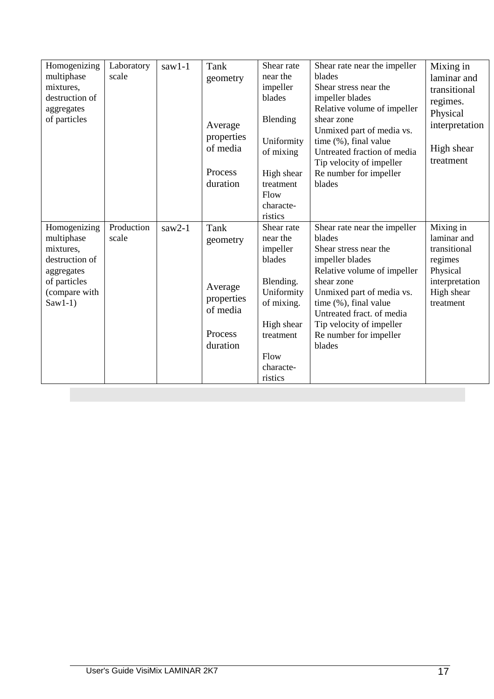| Homogenizing<br>multiphase<br>mixtures,<br>destruction of<br>aggregates<br>of particles                               | Laboratory<br>scale | $saw1-1$ | Tank<br>geometry<br>Average<br>properties<br>of media<br>Process<br>duration | Shear rate<br>near the<br>impeller<br>blades<br>Blending<br>Uniformity<br>of mixing<br>High shear<br>treatment<br>Flow<br>characte-<br>ristics   | Shear rate near the impeller<br>blades<br>Shear stress near the<br>impeller blades<br>Relative volume of impeller<br>shear zone<br>Unmixed part of media vs.<br>time (%), final value<br>Untreated fraction of media<br>Tip velocity of impeller<br>Re number for impeller<br>blades | Mixing in<br>laminar and<br>transitional<br>regimes.<br>Physical<br>interpretation<br>High shear<br>treatment |
|-----------------------------------------------------------------------------------------------------------------------|---------------------|----------|------------------------------------------------------------------------------|--------------------------------------------------------------------------------------------------------------------------------------------------|--------------------------------------------------------------------------------------------------------------------------------------------------------------------------------------------------------------------------------------------------------------------------------------|---------------------------------------------------------------------------------------------------------------|
| Homogenizing<br>multiphase<br>mixtures,<br>destruction of<br>aggregates<br>of particles<br>(compare with<br>$Saw1-1)$ | Production<br>scale | $saw2-1$ | Tank<br>geometry<br>Average<br>properties<br>of media<br>Process<br>duration | Shear rate<br>near the<br>impeller<br>blades<br>Blending.<br>Uniformity<br>of mixing.<br>High shear<br>treatment<br>Flow<br>characte-<br>ristics | Shear rate near the impeller<br>blades<br>Shear stress near the<br>impeller blades<br>Relative volume of impeller<br>shear zone<br>Unmixed part of media vs.<br>time (%), final value<br>Untreated fract. of media<br>Tip velocity of impeller<br>Re number for impeller<br>blades   | Mixing in<br>laminar and<br>transitional<br>regimes<br>Physical<br>interpretation<br>High shear<br>treatment  |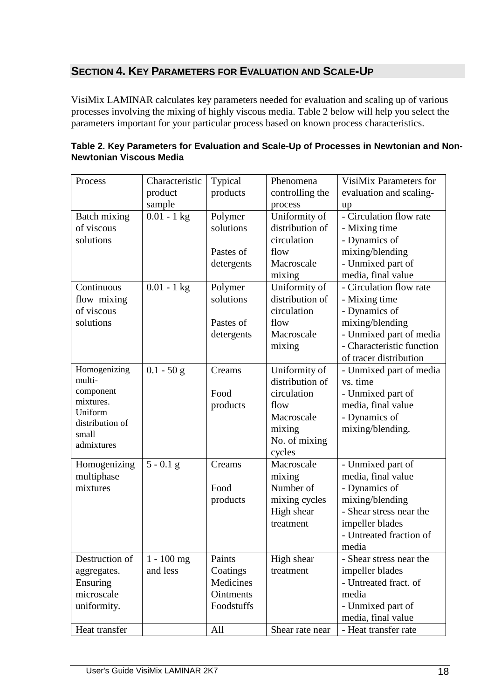# **SECTION 4. KEY PARAMETERS FOR EVALUATION AND SCALE-UP**

VisiMix LAMINAR calculates key parameters needed for evaluation and scaling up of various processes involving the mixing of highly viscous media. Table 2 below will help you select the parameters important for your particular process based on known process characteristics.

| Process              | Characteristic | Typical          | Phenomena       | VisiMix Parameters for    |
|----------------------|----------------|------------------|-----------------|---------------------------|
|                      | product        | products         | controlling the | evaluation and scaling-   |
|                      | sample         |                  | process         | up                        |
| Batch mixing         | $0.01 - 1$ kg  | Polymer          | Uniformity of   | - Circulation flow rate   |
| of viscous           |                | solutions        | distribution of | - Mixing time             |
| solutions            |                |                  | circulation     | - Dynamics of             |
|                      |                | Pastes of        | flow            | mixing/blending           |
|                      |                | detergents       | Macroscale      | - Unmixed part of         |
|                      |                |                  | mixing          | media, final value        |
| Continuous           | $0.01 - 1$ kg  | Polymer          | Uniformity of   | - Circulation flow rate   |
| flow mixing          |                | solutions        | distribution of | - Mixing time             |
| of viscous           |                |                  | circulation     | - Dynamics of             |
| solutions            |                | Pastes of        | flow            | mixing/blending           |
|                      |                | detergents       | Macroscale      | - Unmixed part of media   |
|                      |                |                  | mixing          | - Characteristic function |
|                      |                |                  |                 | of tracer distribution    |
| Homogenizing         | $0.1 - 50$ g   | Creams           | Uniformity of   | - Unmixed part of media   |
| multi-               |                |                  | distribution of | vs. time                  |
| component            |                | Food             | circulation     | - Unmixed part of         |
| mixtures.<br>Uniform |                | products         | flow            | media, final value        |
| distribution of      |                |                  | Macroscale      | - Dynamics of             |
| small                |                |                  | mixing          | mixing/blending.          |
| admixtures           |                |                  | No. of mixing   |                           |
|                      |                |                  | cycles          |                           |
| Homogenizing         | $5 - 0.1$ g    | Creams           | Macroscale      | - Unmixed part of         |
| multiphase           |                |                  | mixing          | media, final value        |
| mixtures             |                | Food             | Number of       | - Dynamics of             |
|                      |                | products         | mixing cycles   | mixing/blending           |
|                      |                |                  | High shear      | - Shear stress near the   |
|                      |                |                  | treatment       | impeller blades           |
|                      |                |                  |                 | - Untreated fraction of   |
|                      |                |                  |                 | media                     |
| Destruction of       | $1 - 100$ mg   | Paints           | High shear      | - Shear stress near the   |
| aggregates.          | and less       | Coatings         | treatment       | impeller blades           |
| Ensuring             |                | Medicines        |                 | - Untreated fract. of     |
| microscale           |                | <b>Ointments</b> |                 | media                     |
| uniformity.          |                | Foodstuffs       |                 | - Unmixed part of         |
|                      |                |                  |                 | media, final value        |
| Heat transfer        |                | All              | Shear rate near | - Heat transfer rate      |

| Table 2. Key Parameters for Evaluation and Scale-Up of Processes in Newtonian and Non- |
|----------------------------------------------------------------------------------------|
| Newtonian Viscous Media                                                                |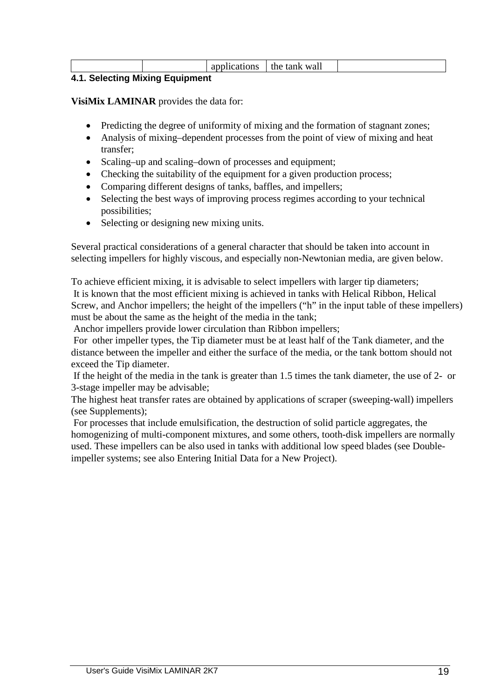|   |  |     |  | $\sim$<br>$-1$<br>$\overline{\phantom{a}}$ | wall<br>the<br>fank<br>$  -$<br>$\sim$ $\sim$ $\sim$ $\sim$ |  |
|---|--|-----|--|--------------------------------------------|-------------------------------------------------------------|--|
| . |  | --- |  |                                            |                                                             |  |

# **4.1. Selecting Mixing Equipment**

**VisiMix LAMINAR** provides the data for:

- Predicting the degree of uniformity of mixing and the formation of stagnant zones;
- Analysis of mixing–dependent processes from the point of view of mixing and heat transfer;
- Scaling–up and scaling–down of processes and equipment;
- Checking the suitability of the equipment for a given production process;
- Comparing different designs of tanks, baffles, and impellers;
- Selecting the best ways of improving process regimes according to your technical possibilities;
- Selecting or designing new mixing units.

Several practical considerations of a general character that should be taken into account in selecting impellers for highly viscous, and especially non-Newtonian media, are given below.

To achieve efficient mixing, it is advisable to select impellers with larger tip diameters; It is known that the most efficient mixing is achieved in tanks with Helical Ribbon, Helical Screw, and Anchor impellers; the height of the impellers ("h" in the input table of these impellers) must be about the same as the height of the media in the tank;

Anchor impellers provide lower circulation than Ribbon impellers;

 For other impeller types, the Tip diameter must be at least half of the Tank diameter, and the distance between the impeller and either the surface of the media, or the tank bottom should not exceed the Tip diameter.

 If the height of the media in the tank is greater than 1.5 times the tank diameter, the use of 2- or 3-stage impeller may be advisable;

The highest heat transfer rates are obtained by applications of scraper (sweeping-wall) impellers (see Supplements);

 For processes that include emulsification, the destruction of solid particle aggregates, the homogenizing of multi-component mixtures, and some others, tooth-disk impellers are normally used. These impellers can be also used in tanks with additional low speed blades (see Doubleimpeller systems; see also Entering Initial Data for a New Project).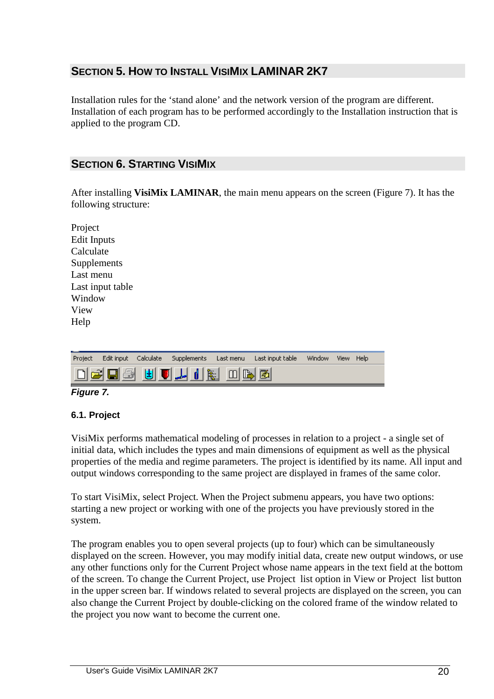# **SECTION 5. HOW TO INSTALL VISIMIX LAMINAR 2K7**

Installation rules for the 'stand alone' and the network version of the program are different. Installation of each program has to be performed accordingly to the Installation instruction that is applied to the program CD.

# **SECTION 6. STARTING VISIMIX**

After installing **VisiMix LAMINAR**, the main menu appears on the screen (Figure 7). It has the following structure:

| Project            |
|--------------------|
| <b>Edit Inputs</b> |
| Calculate          |
| Supplements        |
| Last menu          |
| Last input table   |
| Window             |
| View               |
| Help               |



# **Figure 7.**

# **6.1. Project**

VisiMix performs mathematical modeling of processes in relation to a project - a single set of initial data, which includes the types and main dimensions of equipment as well as the physical properties of the media and regime parameters. The project is identified by its name. All input and output windows corresponding to the same project are displayed in frames of the same color.

To start VisiMix, select Project. When the Project submenu appears, you have two options: starting a new project or working with one of the projects you have previously stored in the system.

The program enables you to open several projects (up to four) which can be simultaneously displayed on the screen. However, you may modify initial data, create new output windows, or use any other functions only for the Current Project whose name appears in the text field at the bottom of the screen. To change the Current Project, use Project list option in View or Project list button in the upper screen bar. If windows related to several projects are displayed on the screen, you can also change the Current Project by double-clicking on the colored frame of the window related to the project you now want to become the current one.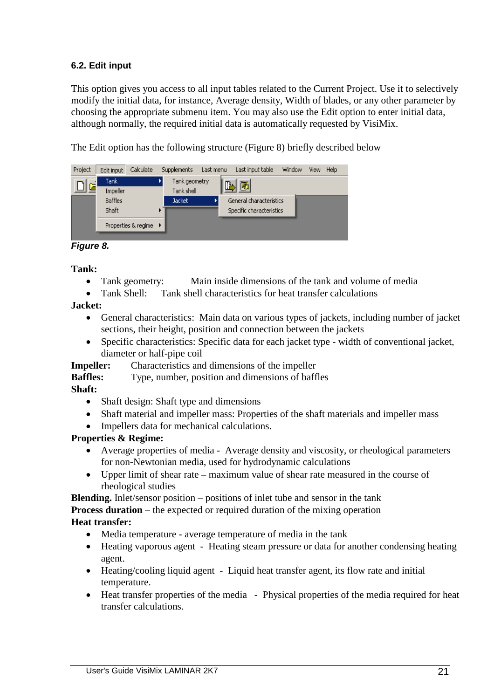# **6.2. Edit input**

This option gives you access to all input tables related to the Current Project. Use it to selectively modify the initial data, for instance, Average density, Width of blades, or any other parameter by choosing the appropriate submenu item. You may also use the Edit option to enter initial data, although normally, the required initial data is automatically requested by VisiMix.

The Edit option has the following structure (Figure 8) briefly described below

| Project | Edit input              | Calculate             | Supplements                 | Last menu | Last input table                                    | Window | <b>View</b> | Help |
|---------|-------------------------|-----------------------|-----------------------------|-----------|-----------------------------------------------------|--------|-------------|------|
| ובן [   | Tanki<br>Impeller       |                       | Tank geometry<br>Tank shell | P         | 圈                                                   |        |             |      |
|         | <b>Baffles</b><br>Shaft |                       | <b>Jacket</b>               |           | General characteristics<br>Specific characteristics |        |             |      |
|         |                         | Properties & regime ▶ |                             |           |                                                     |        |             |      |

**Figure 8.** 

**Tank:** 

- Tank geometry: Main inside dimensions of the tank and volume of media
- Tank Shell: Tank shell characteristics for heat transfer calculations

**Jacket:** 

- General characteristics: Main data on various types of jackets, including number of jacket sections, their height, position and connection between the jackets
- Specific characteristics: Specific data for each jacket type width of conventional jacket, diameter or half-pipe coil

**Impeller:** Characteristics and dimensions of the impeller

**Baffles:** Type, number, position and dimensions of baffles

# **Shaft:**

- Shaft design: Shaft type and dimensions
- Shaft material and impeller mass: Properties of the shaft materials and impeller mass
- Impellers data for mechanical calculations.

# **Properties & Regime:**

- Average properties of media Average density and viscosity, or rheological parameters for non-Newtonian media, used for hydrodynamic calculations
- Upper limit of shear rate maximum value of shear rate measured in the course of rheological studies

**Blending.** Inlet/sensor position – positions of inlet tube and sensor in the tank **Process duration** – the expected or required duration of the mixing operation **Heat transfer:** 

- Media temperature average temperature of media in the tank
- Heating vaporous agent Heating steam pressure or data for another condensing heating agent.
- Heating/cooling liquid agent Liquid heat transfer agent, its flow rate and initial temperature.
- Heat transfer properties of the media Physical properties of the media required for heat transfer calculations.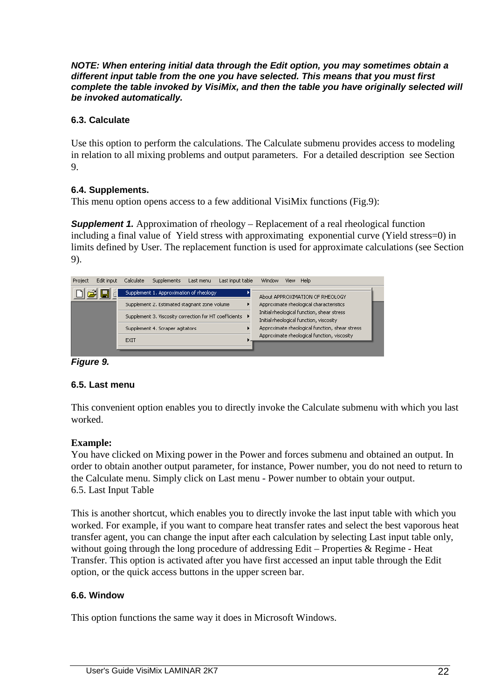**NOTE: When entering initial data through the Edit option, you may sometimes obtain a different input table from the one you have selected. This means that you must first complete the table invoked by VisiMix, and then the table you have originally selected will be invoked automatically.** 

# **6.3. Calculate**

Use this option to perform the calculations. The Calculate submenu provides access to modeling in relation to all mixing problems and output parameters. For a detailed description see Section 9.

# **6.4. Supplements.**

This menu option opens access to a few additional VisiMix functions (Fig.9):

**Supplement 1.** Approximation of rheology – Replacement of a real rheological function including a final value of Yield stress with approximating exponential curve (Yield stress=0) in limits defined by User. The replacement function is used for approximate calculations (see Section 9).

| Supplement 1. Approximation of rheology<br>About APPROXIMATION OF RHEOLOGY                                                                      |  |
|-------------------------------------------------------------------------------------------------------------------------------------------------|--|
| Supplement 2, Estimated stagnant zone volume<br>Approximate rheological characteristics                                                         |  |
| Initial rheological function, shear stress<br>Supplement 3. Viscosity correction for HT coefficients<br>Initial rheological function, viscosity |  |
| Approximate rheological function, shear stress<br>Supplement 4. Scraper agitators                                                               |  |
| Approximate rheological function, viscosity<br><b>EXIT</b>                                                                                      |  |

# **Figure 9.**

# **6.5. Last menu**

This convenient option enables you to directly invoke the Calculate submenu with which you last worked.

# **Example:**

You have clicked on Mixing power in the Power and forces submenu and obtained an output. In order to obtain another output parameter, for instance, Power number, you do not need to return to the Calculate menu. Simply click on Last menu - Power number to obtain your output. 6.5. Last Input Table

This is another shortcut, which enables you to directly invoke the last input table with which you worked. For example, if you want to compare heat transfer rates and select the best vaporous heat transfer agent, you can change the input after each calculation by selecting Last input table only, without going through the long procedure of addressing Edit – Properties & Regime - Heat Transfer. This option is activated after you have first accessed an input table through the Edit option, or the quick access buttons in the upper screen bar.

# **6.6. Window**

This option functions the same way it does in Microsoft Windows.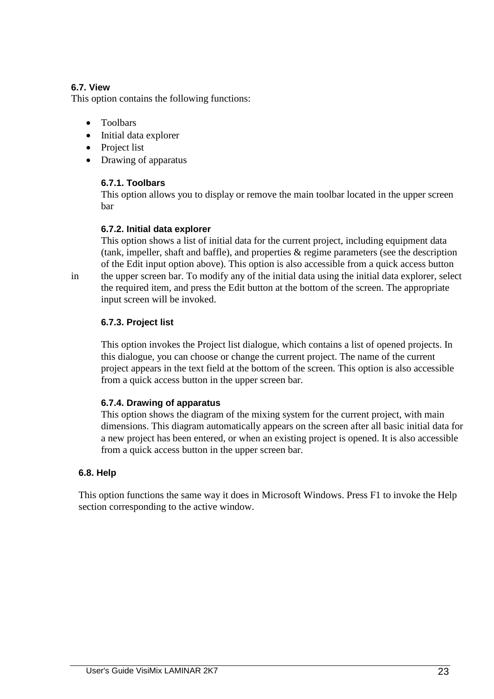# **6.7. View**

This option contains the following functions:

- Toolbars
- Initial data explorer
- Project list
- Drawing of apparatus

# **6.7.1. Toolbars**

 This option allows you to display or remove the main toolbar located in the upper screen bar

# **6.7.2. Initial data explorer**

 This option shows a list of initial data for the current project, including equipment data (tank, impeller, shaft and baffle), and properties & regime parameters (see the description of the Edit input option above). This option is also accessible from a quick access button in the upper screen bar. To modify any of the initial data using the initial data explorer, select the required item, and press the Edit button at the bottom of the screen. The appropriate input screen will be invoked.

# **6.7.3. Project list**

 This option invokes the Project list dialogue, which contains a list of opened projects. In this dialogue, you can choose or change the current project. The name of the current project appears in the text field at the bottom of the screen. This option is also accessible from a quick access button in the upper screen bar.

# **6.7.4. Drawing of apparatus**

 This option shows the diagram of the mixing system for the current project, with main dimensions. This diagram automatically appears on the screen after all basic initial data for a new project has been entered, or when an existing project is opened. It is also accessible from a quick access button in the upper screen bar.

# **6.8. Help**

 This option functions the same way it does in Microsoft Windows. Press F1 to invoke the Help section corresponding to the active window.

User's Guide VisiMix LAMINAR 2K7 23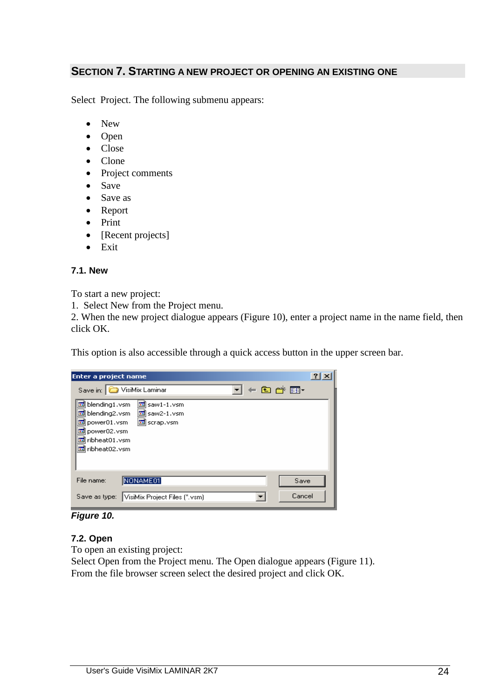# **SECTION 7. STARTING A NEW PROJECT OR OPENING AN EXISTING ONE**

Select Project. The following submenu appears:

- New
- Open
- Close
- Clone
- Project comments
- Save
- Save as
- Report
- Print
- [Recent projects]
- Exit

# **7.1. New**

To start a new project:

1. Select New from the Project menu.

2. When the new project dialogue appears (Figure 10), enter a project name in the name field, then click OK.

This option is also accessible through a quick access button in the upper screen bar.

| Enter a project name                                                                                                                                        |  |
|-------------------------------------------------------------------------------------------------------------------------------------------------------------|--|
| ←白び囲・<br>VisiMix Laminar<br>Save in:                                                                                                                        |  |
| blending1.vsm<br>saw1-1.vsm<br>io.<br>blending2.vsm<br>圆 saw2-1.vsm<br>power01.vsm<br>圆 scrap.vsm<br>power02.vsm<br>कि<br>ribheat01.vsm<br>खी ribheat02.vsm |  |
| NONAME01<br>File name:<br>Save                                                                                                                              |  |
| Cancel<br>VisiMix Project Files (*.vsm)<br>Save as type:                                                                                                    |  |

#### **Figure 10.**

# **7.2. Open**

To open an existing project:

Select Open from the Project menu. The Open dialogue appears (Figure 11). From the file browser screen select the desired project and click OK.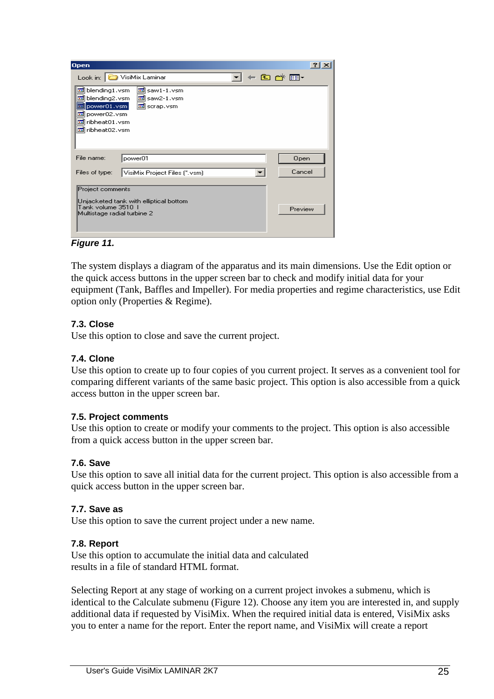| <b>Open</b>                                                                                                                          |                                                | $?$   $\times$ |
|--------------------------------------------------------------------------------------------------------------------------------------|------------------------------------------------|----------------|
|                                                                                                                                      | Look in: VisiMix Laminar                       | $+$ a $ -$     |
| blending1.vsm<br>ite.<br>国 blending2.vsm<br> power01.vsm <br><b>BO</b><br>Mower02.vsm<br><u>ख</u> ी ribheat01.vsm<br>Miribheat02.vsm | saw1-1.vsm<br><u>ब</u> saw2-1.vsm<br>scrap.vsm |                |
| File name:                                                                                                                           | power01                                        | Open           |
| Files of type:                                                                                                                       | VisiMix Project Files (*.vsm)                  | Cancel         |
| Project comments<br>Tank volume 3510 1<br>Multistage radial turbine 2                                                                | Unjacketed tank with elliptical bottom         | Preview        |

**Figure 11.** 

The system displays a diagram of the apparatus and its main dimensions. Use the Edit option or the quick access buttons in the upper screen bar to check and modify initial data for your equipment (Tank, Baffles and Impeller). For media properties and regime characteristics, use Edit option only (Properties & Regime).

# **7.3. Close**

Use this option to close and save the current project.

# **7.4. Clone**

Use this option to create up to four copies of you current project. It serves as a convenient tool for comparing different variants of the same basic project. This option is also accessible from a quick access button in the upper screen bar.

# **7.5. Project comments**

Use this option to create or modify your comments to the project. This option is also accessible from a quick access button in the upper screen bar.

# **7.6. Save**

Use this option to save all initial data for the current project. This option is also accessible from a quick access button in the upper screen bar.

# **7.7. Save as**

Use this option to save the current project under a new name.

# **7.8. Report**

Use this option to accumulate the initial data and calculated results in a file of standard HTML format.

Selecting Report at any stage of working on a current project invokes a submenu, which is identical to the Calculate submenu (Figure 12). Choose any item you are interested in, and supply additional data if requested by VisiMix. When the required initial data is entered, VisiMix asks you to enter a name for the report. Enter the report name, and VisiMix will create a report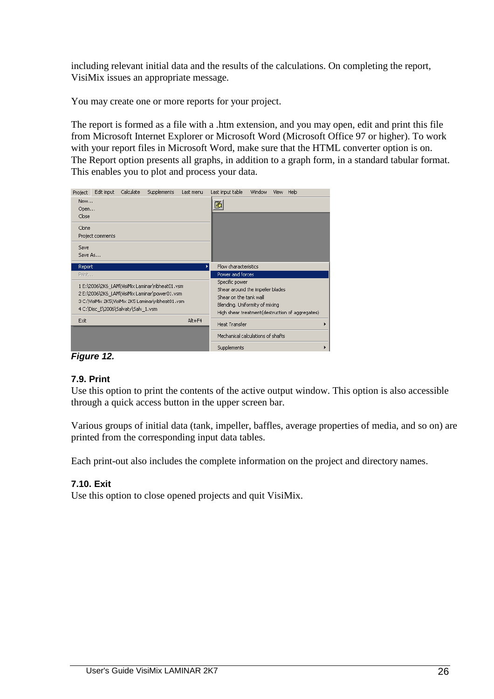including relevant initial data and the results of the calculations. On completing the report, VisiMix issues an appropriate message.

You may create one or more reports for your project.

The report is formed as a file with a .htm extension, and you may open, edit and print this file from Microsoft Internet Explorer or Microsoft Word (Microsoft Office 97 or higher). To work with your report files in Microsoft Word, make sure that the HTML converter option is on. The Report option presents all graphs, in addition to a graph form, in a standard tabular format. This enables you to plot and process your data.

| Edit input<br>Calculate<br>Supplements<br>Last menu<br>Project                                                                                                                                | Last input table<br>Window<br>Help<br>View                                                                                                                        |
|-----------------------------------------------------------------------------------------------------------------------------------------------------------------------------------------------|-------------------------------------------------------------------------------------------------------------------------------------------------------------------|
| New<br>Open                                                                                                                                                                                   | 圏                                                                                                                                                                 |
| Close                                                                                                                                                                                         |                                                                                                                                                                   |
| Clone<br>Project comments                                                                                                                                                                     |                                                                                                                                                                   |
| Save<br>Save As                                                                                                                                                                               |                                                                                                                                                                   |
| Report                                                                                                                                                                                        | Flow characteristics                                                                                                                                              |
| Print                                                                                                                                                                                         | Power and forces                                                                                                                                                  |
| 1 E:\2006\2K6_LAM\VisiMix Laminar\ribheat01.vsm<br>2 E:\2006\2K6_LAM\VisiMix Laminar\power01.vsm<br>3 C:\VisiMix 2K5\VisiMix 2K5 Laminar\ribheat01.vsm<br>4 C:\Disc_E\2006\Salvaty\Salv_1.vsm | Specific power<br>Shear around the impeller blades<br>Shear on the tank wall<br>Blending, Uniformity of mixing<br>High shear treatment(destruction of aggregates) |
| Alt+F4<br>Exit                                                                                                                                                                                | Heat Transfer                                                                                                                                                     |
|                                                                                                                                                                                               | Mechanical calculations of shafts                                                                                                                                 |
| "                                                                                                                                                                                             | Supplements                                                                                                                                                       |

**Figure 12.**

# **7.9. Print**

Use this option to print the contents of the active output window. This option is also accessible through a quick access button in the upper screen bar.

Various groups of initial data (tank, impeller, baffles, average properties of media, and so on) are printed from the corresponding input data tables.

Each print-out also includes the complete information on the project and directory names.

# **7.10. Exit**

Use this option to close opened projects and quit VisiMix.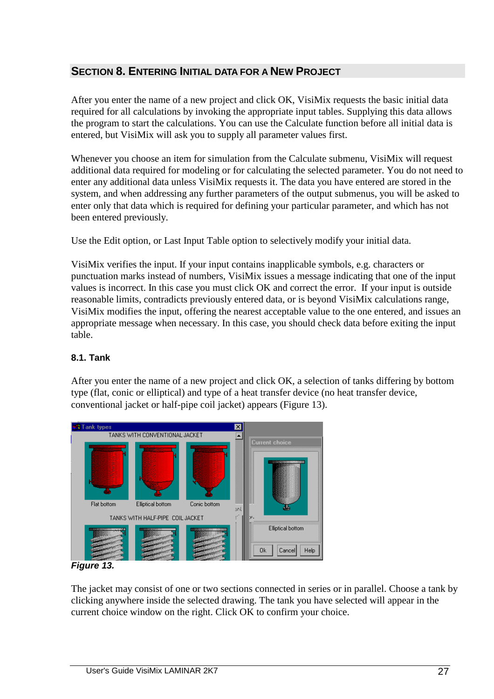# **SECTION 8. ENTERING INITIAL DATA FOR A NEW PROJECT**

After you enter the name of a new project and click OK, VisiMix requests the basic initial data required for all calculations by invoking the appropriate input tables. Supplying this data allows the program to start the calculations. You can use the Calculate function before all initial data is entered, but VisiMix will ask you to supply all parameter values first.

Whenever you choose an item for simulation from the Calculate submenu, VisiMix will request additional data required for modeling or for calculating the selected parameter. You do not need to enter any additional data unless VisiMix requests it. The data you have entered are stored in the system, and when addressing any further parameters of the output submenus, you will be asked to enter only that data which is required for defining your particular parameter, and which has not been entered previously.

Use the Edit option, or Last Input Table option to selectively modify your initial data.

VisiMix verifies the input. If your input contains inapplicable symbols, e.g. characters or punctuation marks instead of numbers, VisiMix issues a message indicating that one of the input values is incorrect. In this case you must click OK and correct the error. If your input is outside reasonable limits, contradicts previously entered data, or is beyond VisiMix calculations range, VisiMix modifies the input, offering the nearest acceptable value to the one entered, and issues an appropriate message when necessary. In this case, you should check data before exiting the input table.

# **8.1. Tank**

After you enter the name of a new project and click OK, a selection of tanks differing by bottom type (flat, conic or elliptical) and type of a heat transfer device (no heat transfer device, conventional jacket or half-pipe coil jacket) appears (Figure 13).



**Figure 13.** 

The jacket may consist of one or two sections connected in series or in parallel. Choose a tank by clicking anywhere inside the selected drawing. The tank you have selected will appear in the current choice window on the right. Click OK to confirm your choice.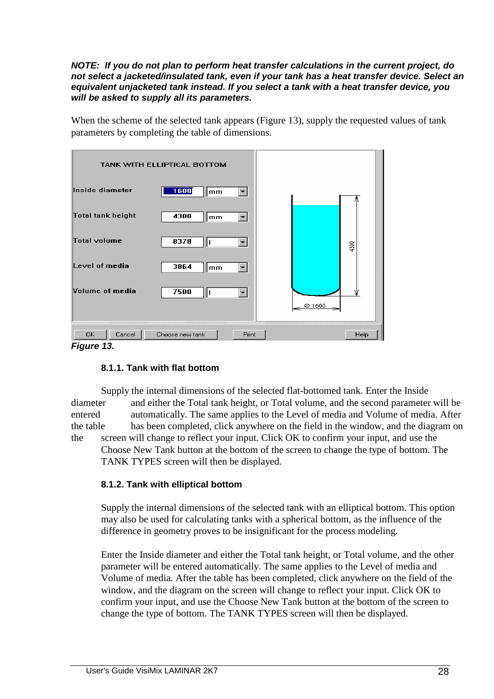#### **NOTE: If you do not plan to perform heat transfer calculations in the current project, do not select a jacketed/insulated tank, even if your tank has a heat transfer device. Select an equivalent unjacketed tank instead. If you select a tank with a heat transfer device, you will be asked to supply all its parameters.**

When the scheme of the selected tank appears (Figure 13), supply the requested values of tank parameters by completing the table of dimensions.

|                          | TANK WITH ELLIPTICAL BOTTOM |        |      |
|--------------------------|-----------------------------|--------|------|
| Inside diameter          | 1600<br>mm<br>▾╽            |        |      |
| <b>Total tank height</b> | 4300<br>mm                  |        |      |
| <b>Total volume</b>      | 8378<br>п                   |        | 4300 |
| Level of media           | 3864<br>mm<br>▼             |        |      |
| Volume of media          | 7500<br>H                   |        |      |
|                          |                             | ⊗ 1600 |      |
| Cancel<br>OK.            | Choose new tank<br>Print    |        | Help |
| Figure 13.               |                             |        |      |

# **8.1.1. Tank with flat bottom**

 Supply the internal dimensions of the selected flat-bottomed tank. Enter the Inside diameter and either the Total tank height, or Total volume, and the second parameter will be entered automatically. The same applies to the Level of media and Volume of media. After the table has been completed, click anywhere on the field in the window, and the diagram on the screen will change to reflect your input. Click OK to confirm your input, and use the Choose New Tank button at the bottom of the screen to change the type of bottom. The TANK TYPES screen will then be displayed.

# **8.1.2. Tank with elliptical bottom**

 Supply the internal dimensions of the selected tank with an elliptical bottom. This option may also be used for calculating tanks with a spherical bottom, as the influence of the difference in geometry proves to be insignificant for the process modeling.

 Enter the Inside diameter and either the Total tank height, or Total volume, and the other parameter will be entered automatically. The same applies to the Level of media and Volume of media. After the table has been completed, click anywhere on the field of the window, and the diagram on the screen will change to reflect your input. Click OK to confirm your input, and use the Choose New Tank button at the bottom of the screen to change the type of bottom. The TANK TYPES screen will then be displayed.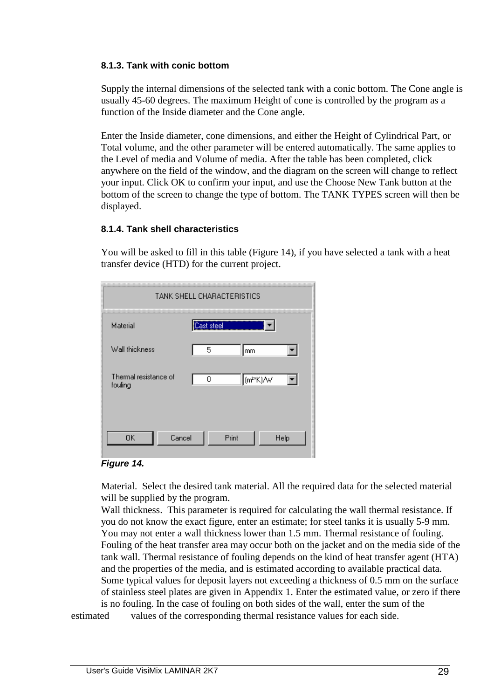#### **8.1.3. Tank with conic bottom**

 Supply the internal dimensions of the selected tank with a conic bottom. The Cone angle is usually 45-60 degrees. The maximum Height of cone is controlled by the program as a function of the Inside diameter and the Cone angle.

 Enter the Inside diameter, cone dimensions, and either the Height of Cylindrical Part, or Total volume, and the other parameter will be entered automatically. The same applies to the Level of media and Volume of media. After the table has been completed, click anywhere on the field of the window, and the diagram on the screen will change to reflect your input. Click OK to confirm your input, and use the Choose New Tank button at the bottom of the screen to change the type of bottom. The TANK TYPES screen will then be displayed.

# **8.1.4. Tank shell characteristics**

 You will be asked to fill in this table (Figure 14), if you have selected a tank with a heat transfer device (HTD) for the current project.

| TANK SHELL CHARACTERISTICS       |                             |  |  |  |
|----------------------------------|-----------------------------|--|--|--|
| Material                         | Cast steel                  |  |  |  |
| Wall thickness                   | 5<br>mm                     |  |  |  |
| Thermal resistance of<br>fouling | 0<br>∥(m <sup>≥×</sup> K)/W |  |  |  |
| Cancel<br><b>OK</b>              | Print<br>Help               |  |  |  |

#### **Figure 14.**

 Material. Select the desired tank material. All the required data for the selected material will be supplied by the program.

 Wall thickness. This parameter is required for calculating the wall thermal resistance. If you do not know the exact figure, enter an estimate; for steel tanks it is usually 5-9 mm. You may not enter a wall thickness lower than 1.5 mm. Thermal resistance of fouling. Fouling of the heat transfer area may occur both on the jacket and on the media side of the tank wall. Thermal resistance of fouling depends on the kind of heat transfer agent (HTA) and the properties of the media, and is estimated according to available practical data. Some typical values for deposit layers not exceeding a thickness of 0.5 mm on the surface of stainless steel plates are given in Appendix 1. Enter the estimated value, or zero if there is no fouling. In the case of fouling on both sides of the wall, enter the sum of the

estimated values of the corresponding thermal resistance values for each side.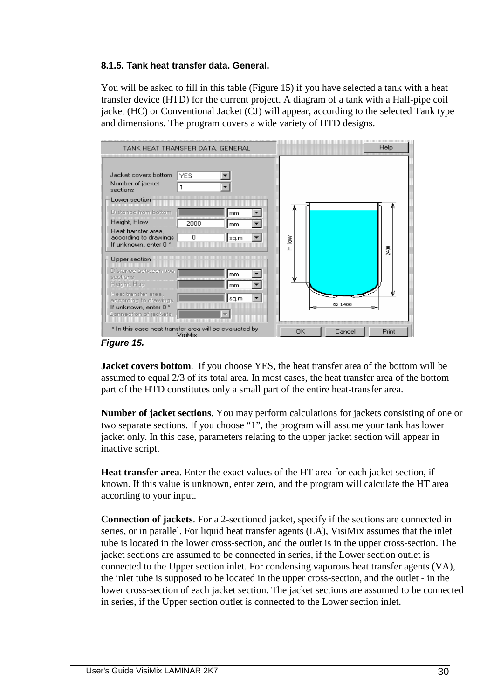# **8.1.5. Tank heat transfer data. General.**

 You will be asked to fill in this table (Figure 15) if you have selected a tank with a heat transfer device (HTD) for the current project. A diagram of a tank with a Half-pipe coil jacket (HC) or Conventional Jacket (CJ) will appear, according to the selected Tank type and dimensions. The program covers a wide variety of HTD designs.

| TANK HEAT TRANSFER DATA, GENERAL                                                               |            |          |           |        | Help  |
|------------------------------------------------------------------------------------------------|------------|----------|-----------|--------|-------|
| Jacket covers bottom<br>Number of jacket<br>sections<br>Lower section<br>Distance from bottom  | <b>YES</b> | mm.      |           |        |       |
| Height, Hlow                                                                                   | 2000       | mm       |           |        |       |
| Heat transfer area,<br>according to drawings<br>If unknown, enter 0 *                          | 0          | sq.m     | Mol H     |        | 2400  |
| Upper section                                                                                  |            |          |           |        |       |
| Distance between two<br>sections.<br>Height, Hup                                               |            | mm<br>mm | Ψ         |        |       |
| Heat transfer area,<br>according to drawings<br>If unknown, enter 0 *<br>Connection of jackets |            | sq.m     |           | ⊗ 1400 |       |
| * In this case heat transfer area will be evaluated by<br>$\overline{\phantom{a}}$             | VisiMix    |          | <b>OK</b> | Cancel | Print |

**Figure 15.** 

**Jacket covers bottom**. If you choose YES, the heat transfer area of the bottom will be assumed to equal 2/3 of its total area. In most cases, the heat transfer area of the bottom part of the HTD constitutes only a small part of the entire heat-transfer area.

**Number of jacket sections**. You may perform calculations for jackets consisting of one or two separate sections. If you choose "1", the program will assume your tank has lower jacket only. In this case, parameters relating to the upper jacket section will appear in inactive script.

**Heat transfer area**. Enter the exact values of the HT area for each jacket section, if known. If this value is unknown, enter zero, and the program will calculate the HT area according to your input.

 **Connection of jackets**. For a 2-sectioned jacket, specify if the sections are connected in series, or in parallel. For liquid heat transfer agents (LA), VisiMix assumes that the inlet tube is located in the lower cross-section, and the outlet is in the upper cross-section. The jacket sections are assumed to be connected in series, if the Lower section outlet is connected to the Upper section inlet. For condensing vaporous heat transfer agents (VA), the inlet tube is supposed to be located in the upper cross-section, and the outlet - in the lower cross-section of each jacket section. The jacket sections are assumed to be connected in series, if the Upper section outlet is connected to the Lower section inlet.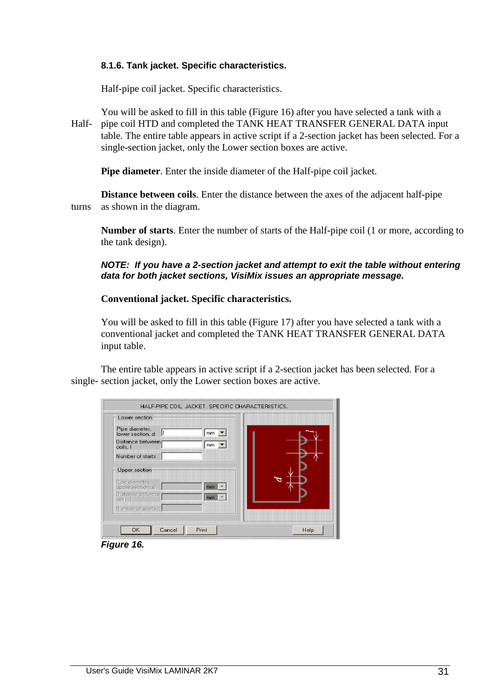#### **8.1.6. Tank jacket. Specific characteristics.**

Half-pipe coil jacket. Specific characteristics.

 You will be asked to fill in this table (Figure 16) after you have selected a tank with a Half- pipe coil HTD and completed the TANK HEAT TRANSFER GENERAL DATA input table. The entire table appears in active script if a 2-section jacket has been selected. For a single-section jacket, only the Lower section boxes are active.

 **Pipe diameter**. Enter the inside diameter of the Half-pipe coil jacket.

 **Distance between coils**. Enter the distance between the axes of the adjacent half-pipe turns as shown in the diagram.

 **Number of starts**. Enter the number of starts of the Half-pipe coil (1 or more, according to the tank design).

# **NOTE: If you have a 2-section jacket and attempt to exit the table without entering data for both jacket sections, VisiMix issues an appropriate message.**

 **Conventional jacket. Specific characteristics.** 

 You will be asked to fill in this table (Figure 17) after you have selected a tank with a conventional jacket and completed the TANK HEAT TRANSFER GENERAL DATA input table.

 The entire table appears in active script if a 2-section jacket has been selected. For a single- section jacket, only the Lower section boxes are active.

| Lower section<br>Pipe diameter,<br>lower section, d | $mm$ $\blacktriangledown$ |  |
|-----------------------------------------------------|---------------------------|--|
| Distance between!<br>coils. I                       | mm  ▼                     |  |
| Number of starts                                    |                           |  |
| Upper section                                       |                           |  |
| Pipe diameter,<br>upper section, d                  | mm                        |  |
| Distance between<br>coils, I                        | mm                        |  |
| Number of starts                                    |                           |  |
|                                                     |                           |  |

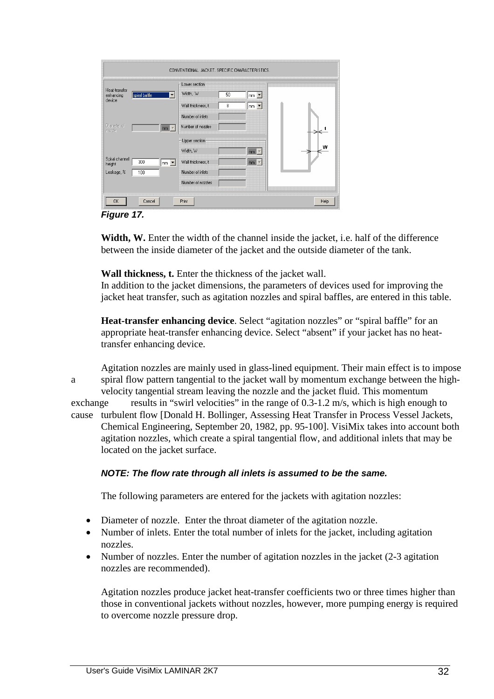|                                                       |                                    | Lower section     |    |                            |  |
|-------------------------------------------------------|------------------------------------|-------------------|----|----------------------------|--|
| Heat-transfer<br>spiral baffle<br>enhancing<br>device | $\blacktriangledown$               | Width, W          | 50 | mm                         |  |
|                                                       |                                    | Wall thickness, t | 8  | $mm$ $\blacktriangledown$  |  |
|                                                       |                                    | Number of inlets  |    |                            |  |
| Diameter of<br>nozzle                                 | mm   v                             | Number of nozzles |    |                            |  |
|                                                       |                                    | Upper section     |    |                            |  |
|                                                       |                                    | Width, W          |    | $mm$ $\tau$                |  |
| Spiral channel<br>300<br>height                       | $\mathsf{mm}$ $\blacktriangledown$ | Wall thickness, t |    | $\mathsf{mm}$ $\mathsf{v}$ |  |
| Leakage, %<br>100                                     |                                    | Number of inlets  |    |                            |  |
|                                                       |                                    | Number of nozzles |    |                            |  |

**Figure 17.** 

**Width, W.** Enter the width of the channel inside the jacket, i.e. half of the difference between the inside diameter of the jacket and the outside diameter of the tank.

 **Wall thickness, t.** Enter the thickness of the jacket wall.

 In addition to the jacket dimensions, the parameters of devices used for improving the jacket heat transfer, such as agitation nozzles and spiral baffles, are entered in this table.

 **Heat-transfer enhancing device**. Select "agitation nozzles" or "spiral baffle" for an appropriate heat-transfer enhancing device. Select "absent" if your jacket has no heat transfer enhancing device.

 Agitation nozzles are mainly used in glass-lined equipment. Their main effect is to impose a spiral flow pattern tangential to the jacket wall by momentum exchange between the high velocity tangential stream leaving the nozzle and the jacket fluid. This momentum exchange results in "swirl velocities" in the range of 0.3-1.2 m/s, which is high enough to cause turbulent flow [Donald H. Bollinger, Assessing Heat Transfer in Process Vessel Jackets, Chemical Engineering, September 20, 1982, pp. 95-100]. VisiMix takes into account both agitation nozzles, which create a spiral tangential flow, and additional inlets that may be located on the jacket surface.

# **NOTE: The flow rate through all inlets is assumed to be the same.**

The following parameters are entered for the jackets with agitation nozzles:

- Diameter of nozzle. Enter the throat diameter of the agitation nozzle.
- Number of inlets. Enter the total number of inlets for the jacket, including agitation nozzles.
- Number of nozzles. Enter the number of agitation nozzles in the jacket (2-3 agitation nozzles are recommended).

 Agitation nozzles produce jacket heat-transfer coefficients two or three times higher than those in conventional jackets without nozzles, however, more pumping energy is required to overcome nozzle pressure drop.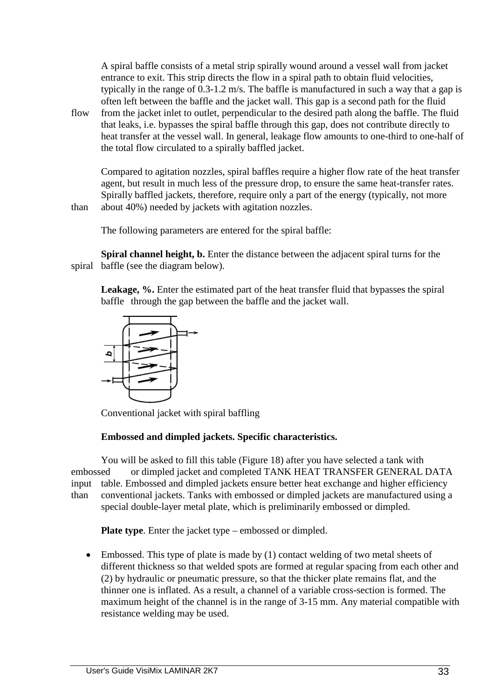A spiral baffle consists of a metal strip spirally wound around a vessel wall from jacket entrance to exit. This strip directs the flow in a spiral path to obtain fluid velocities, typically in the range of 0.3-1.2 m/s. The baffle is manufactured in such a way that a gap is often left between the baffle and the jacket wall. This gap is a second path for the fluid

flow from the jacket inlet to outlet, perpendicular to the desired path along the baffle. The fluid that leaks, i.e. bypasses the spiral baffle through this gap, does not contribute directly to heat transfer at the vessel wall. In general, leakage flow amounts to one-third to one-half of the total flow circulated to a spirally baffled jacket.

 Compared to agitation nozzles, spiral baffles require a higher flow rate of the heat transfer agent, but result in much less of the pressure drop, to ensure the same heat-transfer rates. Spirally baffled jackets, therefore, require only a part of the energy (typically, not more than about 40%) needed by jackets with agitation nozzles.

The following parameters are entered for the spiral baffle:

**Spiral channel height, b.** Enter the distance between the adjacent spiral turns for the spiral baffle (see the diagram below).

**Leakage, %.** Enter the estimated part of the heat transfer fluid that bypasses the spiral baffle through the gap between the baffle and the jacket wall.



Conventional jacket with spiral baffling

# **Embossed and dimpled jackets. Specific characteristics.**

 You will be asked to fill this table (Figure 18) after you have selected a tank with embossed or dimpled jacket and completed TANK HEAT TRANSFER GENERAL DATA input table. Embossed and dimpled jackets ensure better heat exchange and higher efficiency than conventional jackets. Tanks with embossed or dimpled jackets are manufactured using a special double-layer metal plate, which is preliminarily embossed or dimpled.

**Plate type**. Enter the jacket type – embossed or dimpled.

• Embossed. This type of plate is made by (1) contact welding of two metal sheets of different thickness so that welded spots are formed at regular spacing from each other and (2) by hydraulic or pneumatic pressure, so that the thicker plate remains flat, and the thinner one is inflated. As a result, a channel of a variable cross-section is formed. The maximum height of the channel is in the range of 3-15 mm. Any material compatible with resistance welding may be used.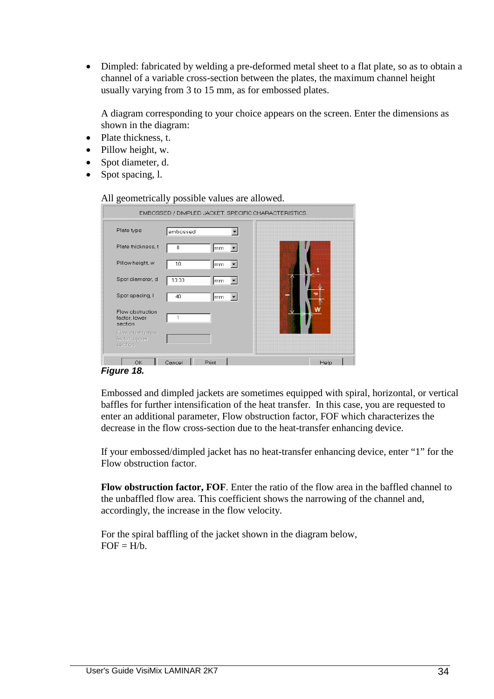• Dimpled: fabricated by welding a pre-deformed metal sheet to a flat plate, so as to obtain a channel of a variable cross-section between the plates, the maximum channel height usually varying from 3 to 15 mm, as for embossed plates.

 A diagram corresponding to your choice appears on the screen. Enter the dimensions as shown in the diagram:

- Plate thickness, t.
- Pillow height, w.
- Spot diameter, d.
- Spot spacing, l.

All geometrically possible values are allowed.

|                                              | EMBOSSED / DIMPLED JACKET. SPECIFIC CHARACTERISTICS. |      |
|----------------------------------------------|------------------------------------------------------|------|
| Plate type                                   | embossed                                             |      |
| Plate thickness, t                           | 8<br>mm.                                             |      |
| Pillow height w                              | 10<br>mm                                             |      |
| Spot diameter, d                             | 13.33<br>mm                                          |      |
| Spot spacing, I                              | 40<br>mm                                             |      |
| Flow obstruction<br>factor, lower<br>section | 1                                                    |      |
| Flow obstruction<br>factor, upper<br>section |                                                      |      |
| OK                                           | Cancel<br>Print                                      | Help |

# **Figure 18.**

 Embossed and dimpled jackets are sometimes equipped with spiral, horizontal, or vertical baffles for further intensification of the heat transfer. In this case, you are requested to enter an additional parameter, Flow obstruction factor, FOF which characterizes the decrease in the flow cross-section due to the heat-transfer enhancing device.

 If your embossed/dimpled jacket has no heat-transfer enhancing device, enter "1" for the Flow obstruction factor.

**Flow obstruction factor, FOF**. Enter the ratio of the flow area in the baffled channel to the unbaffled flow area. This coefficient shows the narrowing of the channel and, accordingly, the increase in the flow velocity.

 For the spiral baffling of the jacket shown in the diagram below,  $FOF = H/h$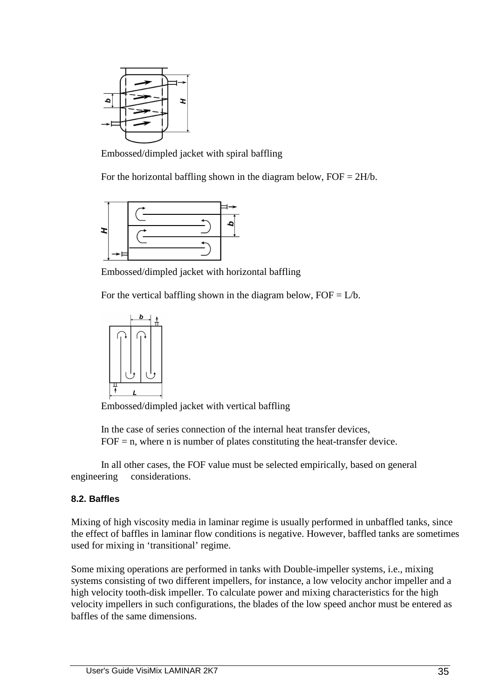

Embossed/dimpled jacket with spiral baffling

For the horizontal baffling shown in the diagram below,  $FOF = 2H/b$ .



Embossed/dimpled jacket with horizontal baffling

For the vertical baffling shown in the diagram below,  $FOF = L/b$ .



Embossed/dimpled jacket with vertical baffling

 In the case of series connection of the internal heat transfer devices,  $FOF = n$ , where n is number of plates constituting the heat-transfer device.

 In all other cases, the FOF value must be selected empirically, based on general engineering considerations.

# **8.2. Baffles**

Mixing of high viscosity media in laminar regime is usually performed in unbaffled tanks, since the effect of baffles in laminar flow conditions is negative. However, baffled tanks are sometimes used for mixing in 'transitional' regime.

Some mixing operations are performed in tanks with Double-impeller systems, i.e., mixing systems consisting of two different impellers, for instance, a low velocity anchor impeller and a high velocity tooth-disk impeller. To calculate power and mixing characteristics for the high velocity impellers in such configurations, the blades of the low speed anchor must be entered as baffles of the same dimensions.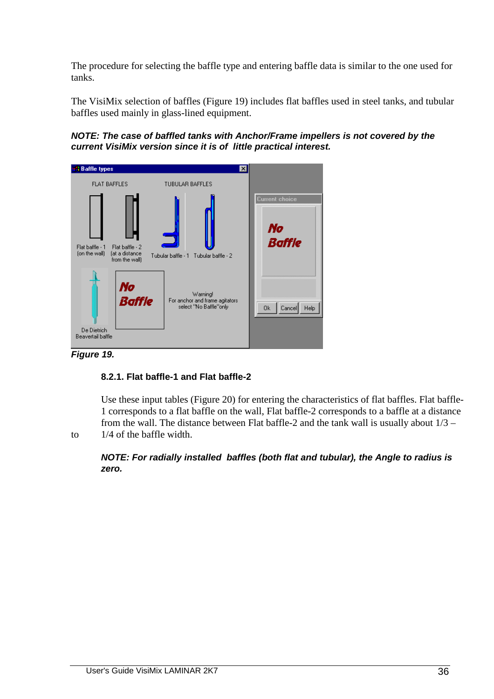The procedure for selecting the baffle type and entering baffle data is similar to the one used for tanks.

The VisiMix selection of baffles (Figure 19) includes flat baffles used in steel tanks, and tubular baffles used mainly in glass-lined equipment.

**NOTE: The case of baffled tanks with Anchor/Frame impellers is not covered by the current VisiMix version since it is of little practical interest.**



**Figure 19.** 

# **8.2.1. Flat baffle-1 and Flat baffle-2**

 Use these input tables (Figure 20) for entering the characteristics of flat baffles. Flat baffle- 1 corresponds to a flat baffle on the wall, Flat baffle-2 corresponds to a baffle at a distance from the wall. The distance between Flat baffle-2 and the tank wall is usually about 1/3 – to 1/4 of the baffle width.

**NOTE: For radially installed baffles (both flat and tubular), the Angle to radius is zero.**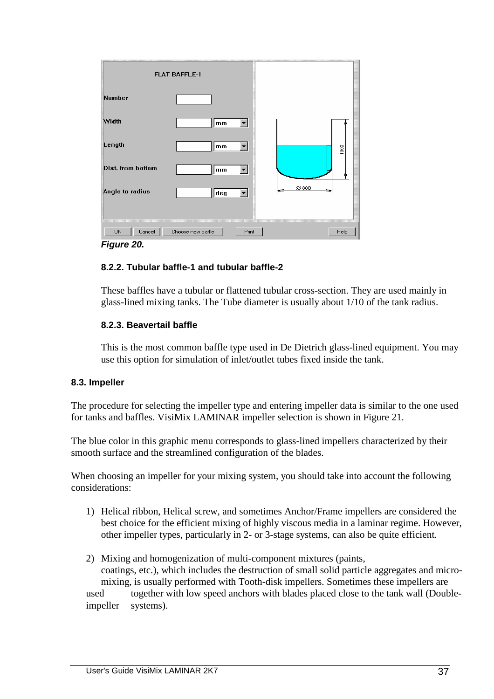|                          | <b>FLAT BAFFLE-1</b>       |      |      |
|--------------------------|----------------------------|------|------|
| Number                   |                            |      |      |
| Width                    | mm                         |      |      |
| Length                   | mm                         |      | 1000 |
| <b>Dist. from bottom</b> | mm                         |      | ж    |
| Angle to radius          | deg<br>▼                   | ⊗800 |      |
|                          |                            |      |      |
| 0K<br>Cancel             | Choose new baffle<br>Print |      | Help |
| Figure 20.               |                            |      |      |

## **8.2.2. Tubular baffle-1 and tubular baffle-2**

 These baffles have a tubular or flattened tubular cross-section. They are used mainly in glass-lined mixing tanks. The Tube diameter is usually about 1/10 of the tank radius.

## **8.2.3. Beavertail baffle**

 This is the most common baffle type used in De Dietrich glass-lined equipment. You may use this option for simulation of inlet/outlet tubes fixed inside the tank.

## **8.3. Impeller**

The procedure for selecting the impeller type and entering impeller data is similar to the one used for tanks and baffles. VisiMix LAMINAR impeller selection is shown in Figure 21.

The blue color in this graphic menu corresponds to glass-lined impellers characterized by their smooth surface and the streamlined configuration of the blades.

When choosing an impeller for your mixing system, you should take into account the following considerations:

- 1) Helical ribbon, Helical screw, and sometimes Anchor/Frame impellers are considered the best choice for the efficient mixing of highly viscous media in a laminar regime. However, other impeller types, particularly in 2- or 3-stage systems, can also be quite efficient.
- 2) Mixing and homogenization of multi-component mixtures (paints, coatings, etc.), which includes the destruction of small solid particle aggregates and micro mixing, is usually performed with Tooth-disk impellers. Sometimes these impellers are used together with low speed anchors with blades placed close to the tank wall (Doubleimpeller systems).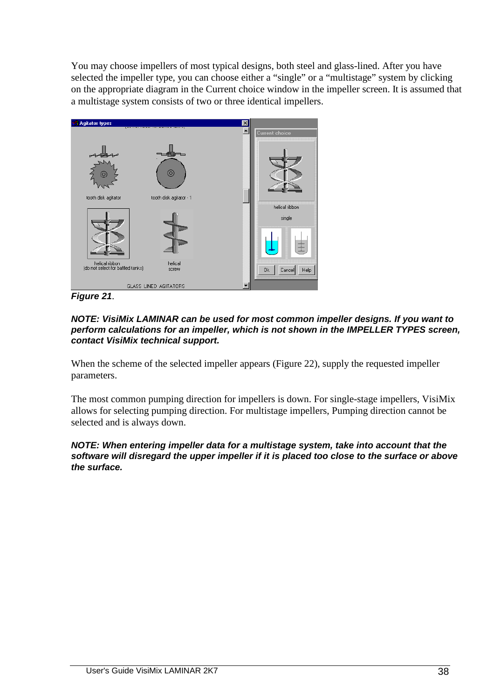You may choose impellers of most typical designs, both steel and glass-lined. After you have selected the impeller type, you can choose either a "single" or a "multistage" system by clicking on the appropriate diagram in the Current choice window in the impeller screen. It is assumed that a multistage system consists of two or three identical impellers.



**Figure 21**.

### **NOTE: VisiMix LAMINAR can be used for most common impeller designs. If you want to perform calculations for an impeller, which is not shown in the IMPELLER TYPES screen, contact VisiMix technical support.**

When the scheme of the selected impeller appears (Figure 22), supply the requested impeller parameters.

The most common pumping direction for impellers is down. For single-stage impellers, VisiMix allows for selecting pumping direction. For multistage impellers, Pumping direction cannot be selected and is always down.

#### **NOTE: When entering impeller data for a multistage system, take into account that the software will disregard the upper impeller if it is placed too close to the surface or above the surface.**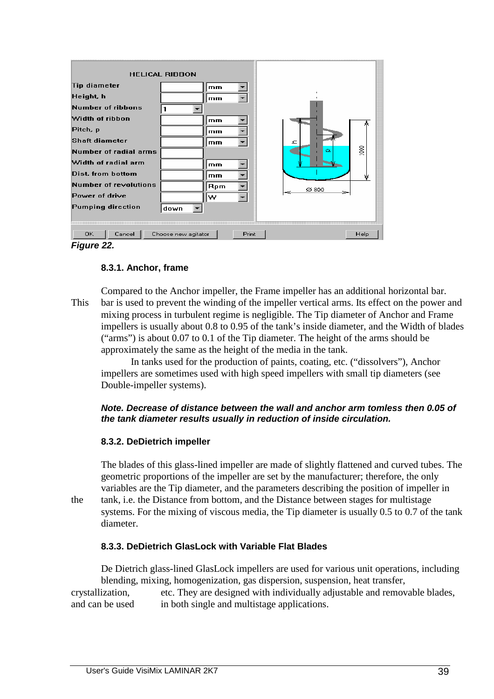| Tip diameter<br>Height, h<br>Number of ribbons<br>Width of ribbon<br>Pitch, p<br>Shaft diameter<br>Number of radial arms<br>Width of radial arm<br>Dist, from bottom<br>Number of revolutions<br>Power of drive<br>Pumping direction | <b>HELICAL RIBBON</b><br>down | mm<br>mm<br>mm<br>mm<br>mm<br>mm<br>mm<br>Rpm<br>w | ᇰ<br>Ω<br>⊗ 800 | $\frac{8}{2}$ |
|--------------------------------------------------------------------------------------------------------------------------------------------------------------------------------------------------------------------------------------|-------------------------------|----------------------------------------------------|-----------------|---------------|
| Cancel<br>OK.                                                                                                                                                                                                                        | Choose new agitator           | Print                                              |                 | Help          |
| Figure 22.                                                                                                                                                                                                                           |                               |                                                    |                 |               |

## **8.3.1. Anchor, frame**

 Compared to the Anchor impeller, the Frame impeller has an additional horizontal bar. This bar is used to prevent the winding of the impeller vertical arms. Its effect on the power and mixing process in turbulent regime is negligible. The Tip diameter of Anchor and Frame impellers is usually about 0.8 to 0.95 of the tank's inside diameter, and the Width of blades ("arms") is about 0.07 to 0.1 of the Tip diameter. The height of the arms should be approximately the same as the height of the media in the tank.

 In tanks used for the production of paints, coating, etc. ("dissolvers"), Anchor impellers are sometimes used with high speed impellers with small tip diameters (see Double-impeller systems).

## **Note. Decrease of distance between the wall and anchor arm tomless then 0.05 of the tank diameter results usually in reduction of inside circulation.**

## **8.3.2. DeDietrich impeller**

 The blades of this glass-lined impeller are made of slightly flattened and curved tubes. The geometric proportions of the impeller are set by the manufacturer; therefore, the only variables are the Tip diameter, and the parameters describing the position of impeller in the tank, i.e. the Distance from bottom, and the Distance between stages for multistage systems. For the mixing of viscous media, the Tip diameter is usually 0.5 to 0.7 of the tank diameter.

 **8.3.3. DeDietrich GlasLock with Variable Flat Blades** 

 De Dietrich glass-lined GlasLock impellers are used for various unit operations, including blending, mixing, homogenization, gas dispersion, suspension, heat transfer, crystallization, etc. They are designed with individually adjustable and removable blades, and can be used in both single and multistage applications.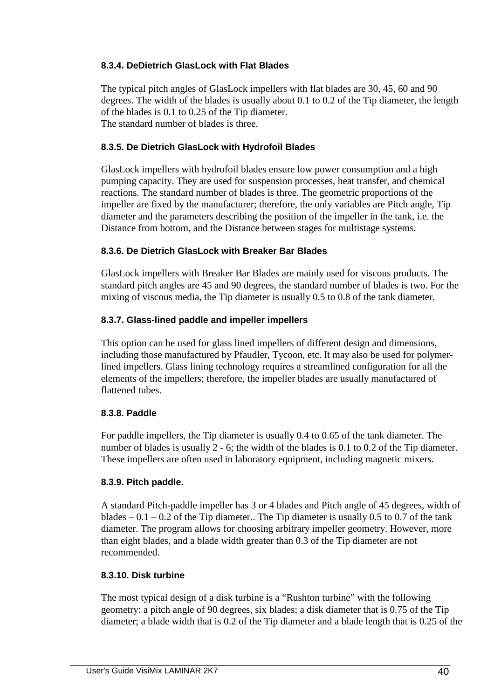## **8.3.4. DeDietrich GlasLock with Flat Blades**

 The typical pitch angles of GlasLock impellers with flat blades are 30, 45, 60 and 90 degrees. The width of the blades is usually about 0.1 to 0.2 of the Tip diameter, the length of the blades is 0.1 to 0.25 of the Tip diameter. The standard number of blades is three.

## **8.3.5. De Dietrich GlasLock with Hydrofoil Blades**

 GlasLock impellers with hydrofoil blades ensure low power consumption and a high pumping capacity. They are used for suspension processes, heat transfer, and chemical reactions. The standard number of blades is three. The geometric proportions of the impeller are fixed by the manufacturer; therefore, the only variables are Pitch angle, Tip diameter and the parameters describing the position of the impeller in the tank, i.e. the Distance from bottom, and the Distance between stages for multistage systems.

## **8.3.6. De Dietrich GlasLock with Breaker Bar Blades**

 GlasLock impellers with Breaker Bar Blades are mainly used for viscous products. The standard pitch angles are 45 and 90 degrees, the standard number of blades is two. For the mixing of viscous media, the Tip diameter is usually 0.5 to 0.8 of the tank diameter.

## **8.3.7. Glass-lined paddle and impeller impellers**

 This option can be used for glass lined impellers of different design and dimensions, including those manufactured by Pfaudler, Tycoon, etc. It may also be used for polymer lined impellers. Glass lining technology requires a streamlined configuration for all the elements of the impellers; therefore, the impeller blades are usually manufactured of flattened tubes.

## **8.3.8. Paddle**

 For paddle impellers, the Tip diameter is usually 0.4 to 0.65 of the tank diameter. The number of blades is usually 2 - 6; the width of the blades is 0.1 to 0.2 of the Tip diameter. These impellers are often used in laboratory equipment, including magnetic mixers.

## **8.3.9. Pitch paddle.**

 A standard Pitch-paddle impeller has 3 or 4 blades and Pitch angle of 45 degrees, width of blades  $-0.1 - 0.2$  of the Tip diameter.. The Tip diameter is usually 0.5 to 0.7 of the tank diameter. The program allows for choosing arbitrary impeller geometry. However, more than eight blades, and a blade width greater than 0.3 of the Tip diameter are not recommended.

## **8.3.10. Disk turbine**

 The most typical design of a disk turbine is a "Rushton turbine" with the following geometry: a pitch angle of 90 degrees, six blades; a disk diameter that is 0.75 of the Tip diameter; a blade width that is 0.2 of the Tip diameter and a blade length that is 0.25 of the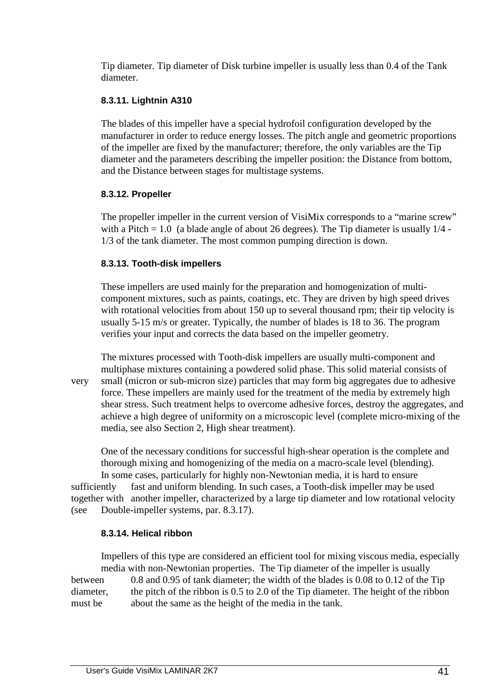Tip diameter. Tip diameter of Disk turbine impeller is usually less than 0.4 of the Tank diameter.

## **8.3.11. Lightnin A310**

 The blades of this impeller have a special hydrofoil configuration developed by the manufacturer in order to reduce energy losses. The pitch angle and geometric proportions of the impeller are fixed by the manufacturer; therefore, the only variables are the Tip diameter and the parameters describing the impeller position: the Distance from bottom, and the Distance between stages for multistage systems.

# **8.3.12. Propeller**

 The propeller impeller in the current version of VisiMix corresponds to a "marine screw" with a Pitch  $= 1.0$  (a blade angle of about 26 degrees). The Tip diameter is usually  $1/4$  -1/3 of the tank diameter. The most common pumping direction is down.

# **8.3.13. Tooth-disk impellers**

 These impellers are used mainly for the preparation and homogenization of multi component mixtures, such as paints, coatings, etc. They are driven by high speed drives with rotational velocities from about 150 up to several thousand rpm; their tip velocity is usually 5-15 m/s or greater. Typically, the number of blades is 18 to 36. The program verifies your input and corrects the data based on the impeller geometry.

 The mixtures processed with Tooth-disk impellers are usually multi-component and multiphase mixtures containing a powdered solid phase. This solid material consists of very small (micron or sub-micron size) particles that may form big aggregates due to adhesive force. These impellers are mainly used for the treatment of the media by extremely high shear stress. Such treatment helps to overcome adhesive forces, destroy the aggregates, and achieve a high degree of uniformity on a microscopic level (complete micro-mixing of the media, see also Section 2, High shear treatment).

 One of the necessary conditions for successful high-shear operation is the complete and thorough mixing and homogenizing of the media on a macro-scale level (blending). In some cases, particularly for highly non-Newtonian media, it is hard to ensure

sufficiently fast and uniform blending. In such cases, a Tooth-disk impeller may be used together with another impeller, characterized by a large tip diameter and low rotational velocity (see Double-impeller systems, par. 8.3.17).

# **8.3.14. Helical ribbon**

 Impellers of this type are considered an efficient tool for mixing viscous media, especially media with non-Newtonian properties. The Tip diameter of the impeller is usually between 0.8 and 0.95 of tank diameter; the width of the blades is 0.08 to 0.12 of the Tip diameter, the pitch of the ribbon is 0.5 to 2.0 of the Tip diameter. The height of the ribbon must be about the same as the height of the media in the tank.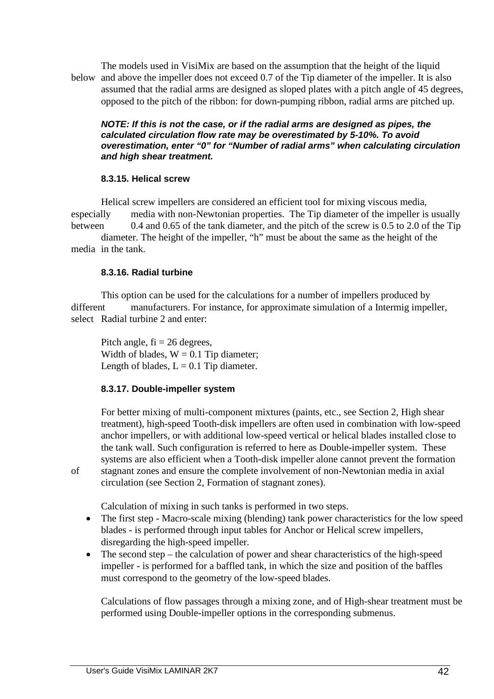The models used in VisiMix are based on the assumption that the height of the liquid below and above the impeller does not exceed 0.7 of the Tip diameter of the impeller. It is also assumed that the radial arms are designed as sloped plates with a pitch angle of 45 degrees, opposed to the pitch of the ribbon: for down-pumping ribbon, radial arms are pitched up.

#### **NOTE: If this is not the case, or if the radial arms are designed as pipes, the calculated circulation flow rate may be overestimated by 5-10%. To avoid overestimation, enter "0" for "Number of radial arms" when calculating circulation and high shear treatment.**

### **8.3.15. Helical screw**

 Helical screw impellers are considered an efficient tool for mixing viscous media, especially media with non-Newtonian properties. The Tip diameter of the impeller is usually between 0.4 and 0.65 of the tank diameter, and the pitch of the screw is 0.5 to 2.0 of the Tip

 diameter. The height of the impeller, "h" must be about the same as the height of the media in the tank.

### **8.3.16. Radial turbine**

 This option can be used for the calculations for a number of impellers produced by different manufacturers. For instance, for approximate simulation of a Intermig impeller, select Radial turbine 2 and enter:

Pitch angle,  $fi = 26$  degrees, Width of blades,  $W = 0.1$  Tip diameter: Length of blades,  $L = 0.1$  Tip diameter.

## **8.3.17. Double-impeller system**

 For better mixing of multi-component mixtures (paints, etc., see Section 2, High shear treatment), high-speed Tooth-disk impellers are often used in combination with low-speed anchor impellers, or with additional low-speed vertical or helical blades installed close to the tank wall. Such configuration is referred to here as Double-impeller system. These systems are also efficient when a Tooth-disk impeller alone cannot prevent the formation of stagnant zones and ensure the complete involvement of non-Newtonian media in axial circulation (see Section 2, Formation of stagnant zones).

Calculation of mixing in such tanks is performed in two steps.

- The first step Macro-scale mixing (blending) tank power characteristics for the low speed blades - is performed through input tables for Anchor or Helical screw impellers, disregarding the high-speed impeller.
- The second step the calculation of power and shear characteristics of the high-speed impeller - is performed for a baffled tank, in which the size and position of the baffles must correspond to the geometry of the low-speed blades.

 Calculations of flow passages through a mixing zone, and of High-shear treatment must be performed using Double-impeller options in the corresponding submenus.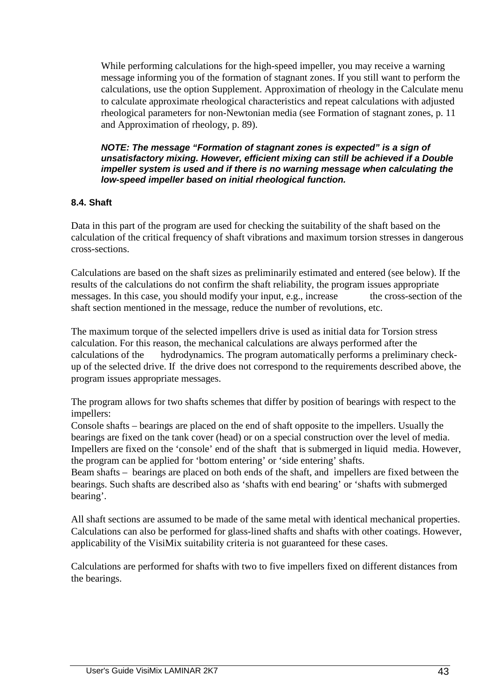While performing calculations for the high-speed impeller, you may receive a warning message informing you of the formation of stagnant zones. If you still want to perform the calculations, use the option Supplement. Approximation of rheology in the Calculate menu to calculate approximate rheological characteristics and repeat calculations with adjusted rheological parameters for non-Newtonian media (see Formation of stagnant zones, p. 11 and Approximation of rheology, p. 89).

 **NOTE: The message "Formation of stagnant zones is expected" is a sign of unsatisfactory mixing. However, efficient mixing can still be achieved if a Double impeller system is used and if there is no warning message when calculating the low-speed impeller based on initial rheological function.** 

## **8.4. Shaft**

Data in this part of the program are used for checking the suitability of the shaft based on the calculation of the critical frequency of shaft vibrations and maximum torsion stresses in dangerous cross-sections.

Calculations are based on the shaft sizes as preliminarily estimated and entered (see below). If the results of the calculations do not confirm the shaft reliability, the program issues appropriate messages. In this case, you should modify your input, e.g., increase the cross-section of the shaft section mentioned in the message, reduce the number of revolutions, etc.

The maximum torque of the selected impellers drive is used as initial data for Torsion stress calculation. For this reason, the mechanical calculations are always performed after the calculations of the hydrodynamics. The program automatically performs a preliminary checkup of the selected drive. If the drive does not correspond to the requirements described above, the program issues appropriate messages.

The program allows for two shafts schemes that differ by position of bearings with respect to the impellers:

Console shafts – bearings are placed on the end of shaft opposite to the impellers. Usually the bearings are fixed on the tank cover (head) or on a special construction over the level of media. Impellers are fixed on the 'console' end of the shaft that is submerged in liquid media. However, the program can be applied for 'bottom entering' or 'side entering' shafts.

Beam shafts – bearings are placed on both ends of the shaft, and impellers are fixed between the bearings. Such shafts are described also as 'shafts with end bearing' or 'shafts with submerged bearing'.

All shaft sections are assumed to be made of the same metal with identical mechanical properties. Calculations can also be performed for glass-lined shafts and shafts with other coatings. However, applicability of the VisiMix suitability criteria is not guaranteed for these cases.

Calculations are performed for shafts with two to five impellers fixed on different distances from the bearings.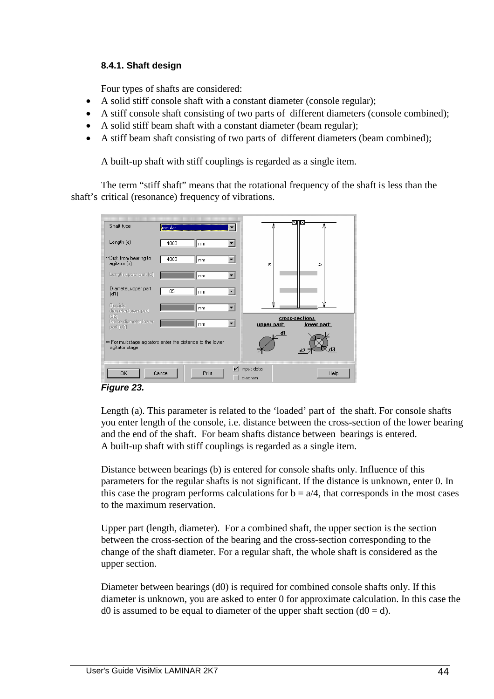## **8.4.1. Shaft design**

Four types of shafts are considered:

- A solid stiff console shaft with a constant diameter (console regular);
- A stiff console shaft consisting of two parts of different diameters (console combined);
- A solid stiff beam shaft with a constant diameter (beam regular);
- A stiff beam shaft consisting of two parts of different diameters (beam combined);

A built-up shaft with stiff couplings is regarded as a single item.

 The term "stiff shaft" means that the rotational frequency of the shaft is less than the shaft's critical (resonance) frequency of vibrations.

| Shaft type                                                                    | regular |        |                             | ⊠Π⊠            |             |
|-------------------------------------------------------------------------------|---------|--------|-----------------------------|----------------|-------------|
| Length (a)                                                                    | 4000    | mm     |                             |                |             |
| **Dist. from bearing to<br>agitator (b)                                       | 4000    | mm     | $\sigma$                    |                | ▵           |
| Length, upper part (c)                                                        |         | mm     |                             |                |             |
| Diameter, upper part<br>[d1]                                                  | 85      | mm     |                             |                |             |
| <b>Outside</b><br>diameter, lower part                                        |         | mm     |                             |                |             |
| (d2)<br>Inside diameter, lower<br>part (d3)                                   |         | mm     | upper part:                 | cross-sections | lower part: |
| ** For multistage agitators enter the distance to the lower<br>agitator stage |         |        |                             | d1             | dЗ          |
| 0K                                                                            | Cancel  | Print. | $\nu$ input data<br>diagram |                | Help        |

**Figure 23.** 

 Length (a). This parameter is related to the 'loaded' part of the shaft. For console shafts you enter length of the console, i.e. distance between the cross-section of the lower bearing and the end of the shaft. For beam shafts distance between bearings is entered. A built-up shaft with stiff couplings is regarded as a single item.

 Distance between bearings (b) is entered for console shafts only. Influence of this parameters for the regular shafts is not significant. If the distance is unknown, enter 0. In this case the program performs calculations for  $b = a/4$ , that corresponds in the most cases to the maximum reservation.

 Upper part (length, diameter). For a combined shaft, the upper section is the section between the cross-section of the bearing and the cross-section corresponding to the change of the shaft diameter. For a regular shaft, the whole shaft is considered as the upper section.

 Diameter between bearings (d0) is required for combined console shafts only. If this diameter is unknown, you are asked to enter 0 for approximate calculation. In this case the d0 is assumed to be equal to diameter of the upper shaft section  $(d0 = d)$ .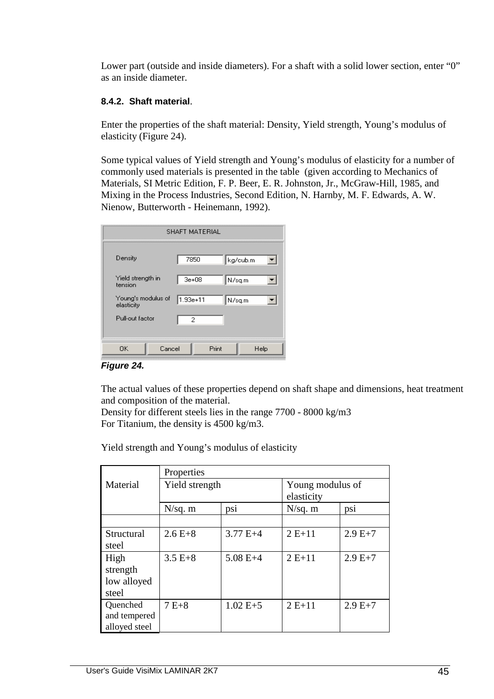Lower part (outside and inside diameters). For a shaft with a solid lower section, enter "0" as an inside diameter.

## **8.4.2. Shaft material**.

 Enter the properties of the shaft material: Density, Yield strength, Young's modulus of elasticity (Figure 24).

 Some typical values of Yield strength and Young's modulus of elasticity for a number of commonly used materials is presented in the table (given according to Mechanics of Materials, SI Metric Edition, F. P. Beer, E. R. Johnston, Jr., McGraw-Hill, 1985, and Mixing in the Process Industries, Second Edition, N. Harnby, M. F. Edwards, A. W. Nienow, Butterworth - Heinemann, 1992).

| 7850                                                       |                    |                       |                               |
|------------------------------------------------------------|--------------------|-----------------------|-------------------------------|
| $3e+08$                                                    |                    |                       |                               |
|                                                            |                    |                       |                               |
| 2                                                          |                    |                       |                               |
|                                                            | Print              |                       | Help                          |
| Yield strength in<br>Young's modulus of<br>Pull-out factor | 1.93e+11<br>Cancel | <b>SHAFT MATERIAL</b> | kg/cub.m<br>∥N⁄sq.m<br>N/sq.m |

**Figure 24.** 

 The actual values of these properties depend on shaft shape and dimensions, heat treatment and composition of the material.

 Density for different steels lies in the range 7700 - 8000 kg/m3 For Titanium, the density is 4500 kg/m3.

Yield strength and Young's modulus of elasticity

|               | Properties     |            |                  |          |
|---------------|----------------|------------|------------------|----------|
| Material      | Yield strength |            | Young modulus of |          |
|               |                |            | elasticity       |          |
|               | $N/sq.$ m      | psi        | N/sq. m          | psi      |
|               |                |            |                  |          |
| Structural    | $2.6E+8$       | $3.77 E+4$ | $2E+11$          | $2.9E+7$ |
| steel         |                |            |                  |          |
| High          | $3.5 E + 8$    | $5.08 E+4$ | $2E+11$          | $2.9E+7$ |
| strength      |                |            |                  |          |
| low alloyed   |                |            |                  |          |
| steel         |                |            |                  |          |
| Quenched      | $7E+8$         | $1.02 E+5$ | $2E+11$          | $2.9E+7$ |
| and tempered  |                |            |                  |          |
| alloyed steel |                |            |                  |          |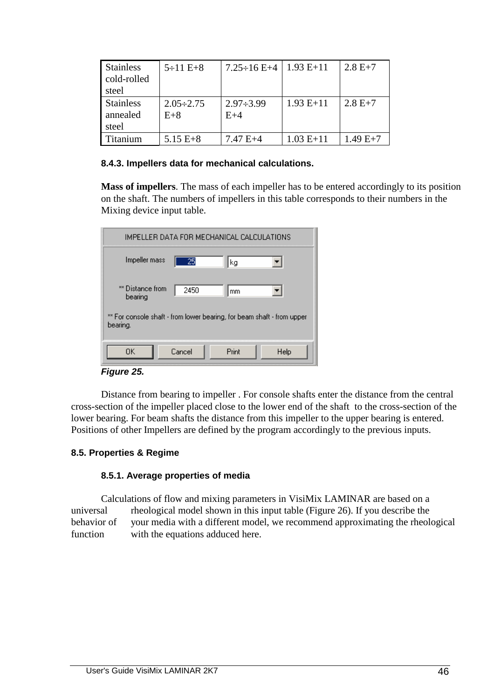| <b>Stainless</b><br>cold-rolled<br>steel | $5 \div 11 E + 8$         | $7.25 \div 16$ E+4        | $1.93 E+11$ | $2.8 E+7$  |
|------------------------------------------|---------------------------|---------------------------|-------------|------------|
| <b>Stainless</b><br>annealed<br>steel    | $2.05 \div 2.75$<br>$E+8$ | $2.97 \div 3.99$<br>$E+4$ | $1.93 E+11$ | $2.8 E+7$  |
| <b>Titanium</b>                          | $5.15 E + 8$              | $7.47 E+4$                | $1.03 E+11$ | $1.49 E+7$ |

### **8.4.3. Impellers data for mechanical calculations.**

 **Mass of impellers**. The mass of each impeller has to be entered accordingly to its position on the shaft. The numbers of impellers in this table corresponds to their numbers in the Mixing device input table.

| IMPELLER DATA FOR MECHANICAL CALCULATIONS                                          |
|------------------------------------------------------------------------------------|
| Impeller mass<br>25<br>kg                                                          |
| ** Distance from<br>2450<br>mm<br>bearing                                          |
| ** For console shaft - from lower bearing, for beam shaft - from upper<br>bearing. |
| Print<br>ΠK<br>Cancel<br>Help                                                      |

#### **Figure 25.**

 Distance from bearing to impeller . For console shafts enter the distance from the central cross-section of the impeller placed close to the lower end of the shaft to the cross-section of the lower bearing. For beam shafts the distance from this impeller to the upper bearing is entered. Positions of other Impellers are defined by the program accordingly to the previous inputs.

## **8.5. Properties & Regime**

## **8.5.1. Average properties of media**

 Calculations of flow and mixing parameters in VisiMix LAMINAR are based on a universal rheological model shown in this input table (Figure 26). If you describe the behavior of your media with a different model, we recommend approximating the rheological function with the equations adduced here.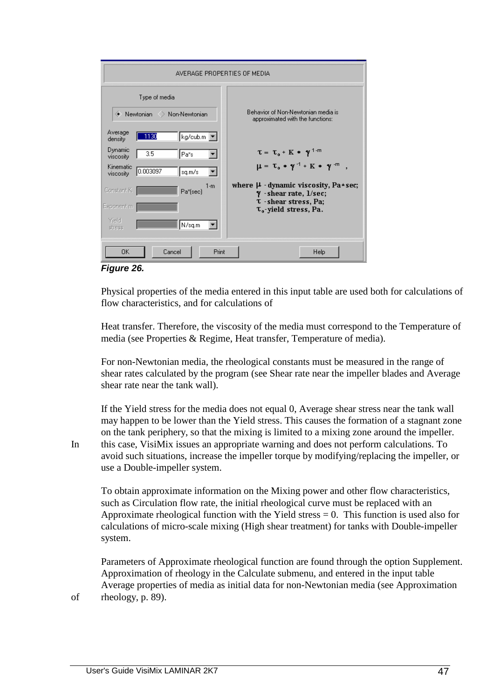| AVERAGE PROPERTIES OF MEDIA                                    |                                                                                   |  |  |  |
|----------------------------------------------------------------|-----------------------------------------------------------------------------------|--|--|--|
| Type of media<br>Newtonian > Non-Newtonian                     | Behavior of Non-Newtonian media is<br>approximated with the functions:            |  |  |  |
| Average<br>$\left  \text{kg/cub.m} \right $<br>1130<br>density |                                                                                   |  |  |  |
| Dynamic<br>3.5<br>Pa*s<br>viscosity                            | $\tau = \tau_0 + K * \gamma^{1-m}$                                                |  |  |  |
| Kinematic<br>0.003097<br>sq.m/s<br>viscosity                   | $\mu = \tau_0 * \gamma^{-1} + K * \gamma^{-m}$                                    |  |  |  |
| $1-m$<br>Constant K<br>Pa*(sec)                                | where $\mu$ -dynamic viscosity, Pa*sec;<br>$\gamma$ -shear rate, $1/\text{sec}$ ; |  |  |  |
| Exponent m                                                     | <b>T</b> - shear stress, Pa;<br>$\tau_{0}$ -yield stress, Pa.                     |  |  |  |
| Yield<br>N/sq.m<br>stress                                      |                                                                                   |  |  |  |
| <b>Print</b><br>0K<br>Cancel                                   | Help                                                                              |  |  |  |

**Figure 26.** 

 Physical properties of the media entered in this input table are used both for calculations of flow characteristics, and for calculations of

 Heat transfer. Therefore, the viscosity of the media must correspond to the Temperature of media (see Properties & Regime, Heat transfer, Temperature of media).

 For non-Newtonian media, the rheological constants must be measured in the range of shear rates calculated by the program (see Shear rate near the impeller blades and Average shear rate near the tank wall).

 If the Yield stress for the media does not equal 0, Average shear stress near the tank wall may happen to be lower than the Yield stress. This causes the formation of a stagnant zone on the tank periphery, so that the mixing is limited to a mixing zone around the impeller. In this case, VisiMix issues an appropriate warning and does not perform calculations. To avoid such situations, increase the impeller torque by modifying/replacing the impeller, or use a Double-impeller system.

 To obtain approximate information on the Mixing power and other flow characteristics, such as Circulation flow rate, the initial rheological curve must be replaced with an Approximate rheological function with the Yield stress  $= 0$ . This function is used also for calculations of micro-scale mixing (High shear treatment) for tanks with Double-impeller system.

 Parameters of Approximate rheological function are found through the option Supplement. Approximation of rheology in the Calculate submenu, and entered in the input table Average properties of media as initial data for non-Newtonian media (see Approximation of rheology, p. 89).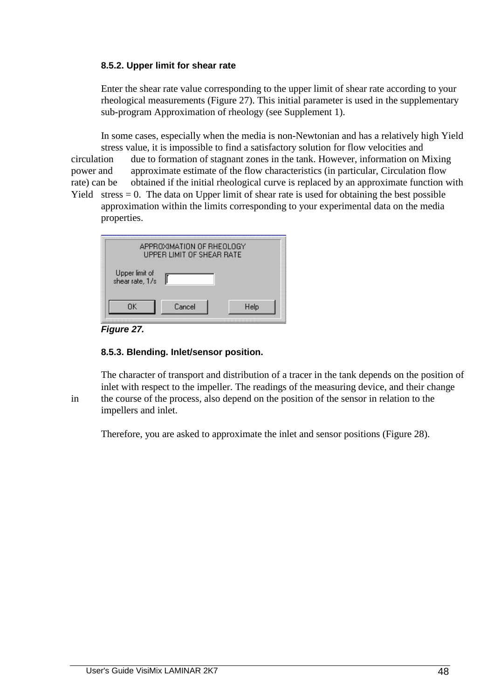## **8.5.2. Upper limit for shear rate**

 Enter the shear rate value corresponding to the upper limit of shear rate according to your rheological measurements (Figure 27). This initial parameter is used in the supplementary sub-program Approximation of rheology (see Supplement 1).

 In some cases, especially when the media is non-Newtonian and has a relatively high Yield stress value, it is impossible to find a satisfactory solution for flow velocities and circulation due to formation of stagnant zones in the tank. However, information on Mixing power and approximate estimate of the flow characteristics (in particular, Circulation flow rate) can be obtained if the initial rheological curve is replaced by an approximate function with Yield stress  $= 0$ . The data on Upper limit of shear rate is used for obtaining the best possible

 approximation within the limits corresponding to your experimental data on the media properties.

| APPROXIMATION OF RHEOLOGY<br><b>UPPER LIMIT OF SHEAR RATE</b> |        |      |
|---------------------------------------------------------------|--------|------|
| Upper limit of<br>shear rate, 1/s                             |        |      |
| ΠK                                                            | Cancel | Help |

**Figure 27.** 

## **8.5.3. Blending. Inlet/sensor position.**

 The character of transport and distribution of a tracer in the tank depends on the position of inlet with respect to the impeller. The readings of the measuring device, and their change in the course of the process, also depend on the position of the sensor in relation to the impellers and inlet.

Therefore, you are asked to approximate the inlet and sensor positions (Figure 28).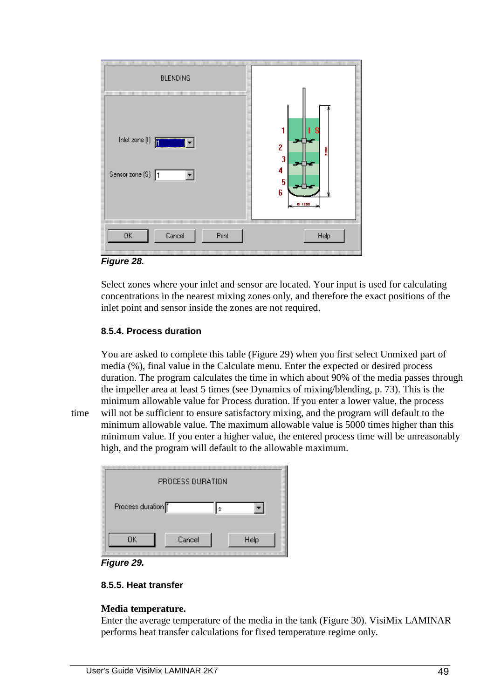

**Figure 28.** 

 Select zones where your inlet and sensor are located. Your input is used for calculating concentrations in the nearest mixing zones only, and therefore the exact positions of the inlet point and sensor inside the zones are not required.

## **8.5.4. Process duration**

 You are asked to complete this table (Figure 29) when you first select Unmixed part of media (%), final value in the Calculate menu. Enter the expected or desired process duration. The program calculates the time in which about 90% of the media passes through the impeller area at least 5 times (see Dynamics of mixing/blending, p. 73). This is the minimum allowable value for Process duration. If you enter a lower value, the process

time will not be sufficient to ensure satisfactory mixing, and the program will default to the minimum allowable value. The maximum allowable value is 5000 times higher than this minimum value. If you enter a higher value, the entered process time will be unreasonably high, and the program will default to the allowable maximum.

| PROCESS DURATION      |      |
|-----------------------|------|
| Process duration<br>Ś |      |
| OΚ<br>Cancel          | Help |



## **8.5.5. Heat transfer**

## **Media temperature.**

 Enter the average temperature of the media in the tank (Figure 30). VisiMix LAMINAR performs heat transfer calculations for fixed temperature regime only.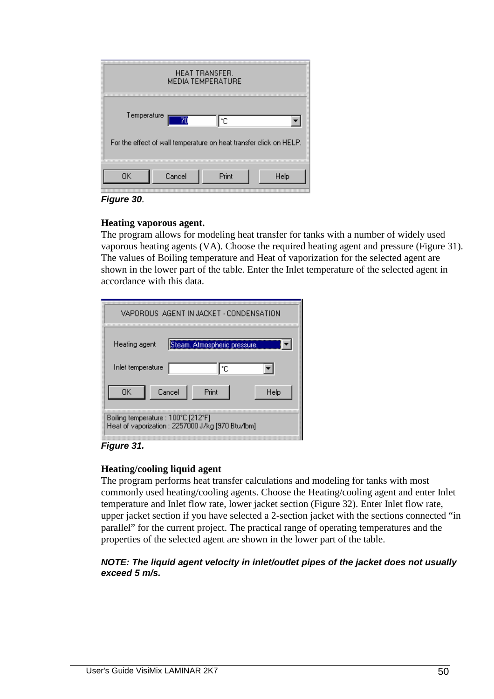|             |                                                                    | HEAT TRANSFER.<br><b>MEDIA TEMPERATURE</b> |      |
|-------------|--------------------------------------------------------------------|--------------------------------------------|------|
| Temperature |                                                                    | ۴C                                         |      |
|             | For the effect of wall temperature on heat transfer click on HELP. |                                            |      |
| ΠK          | Cancel                                                             | Print                                      | Help |

**Figure 30**.

## **Heating vaporous agent.**

 The program allows for modeling heat transfer for tanks with a number of widely used vaporous heating agents (VA). Choose the required heating agent and pressure (Figure 31). The values of Boiling temperature and Heat of vaporization for the selected agent are shown in the lower part of the table. Enter the Inlet temperature of the selected agent in accordance with this data.

| VAPOROUS, AGENT IN JACKET - CONDENSATION                                                |
|-----------------------------------------------------------------------------------------|
| Steam. Atmospheric pressure.<br>Heating agent                                           |
| Inlet temperature<br>۴C                                                                 |
| Print<br>OΚ<br>Cancel<br>Help                                                           |
| Boiling temperature : 100°C [212°F]<br>Heat of vaporization: 2257000 J/kg [970 Btu/lbm] |

**Figure 31.** 

## **Heating/cooling liquid agent**

 The program performs heat transfer calculations and modeling for tanks with most commonly used heating/cooling agents. Choose the Heating/cooling agent and enter Inlet temperature and Inlet flow rate, lower jacket section (Figure 32). Enter Inlet flow rate, upper jacket section if you have selected a 2-section jacket with the sections connected "in parallel" for the current project. The practical range of operating temperatures and the properties of the selected agent are shown in the lower part of the table.

### **NOTE: The liquid agent velocity in inlet/outlet pipes of the jacket does not usually exceed 5 m/s.**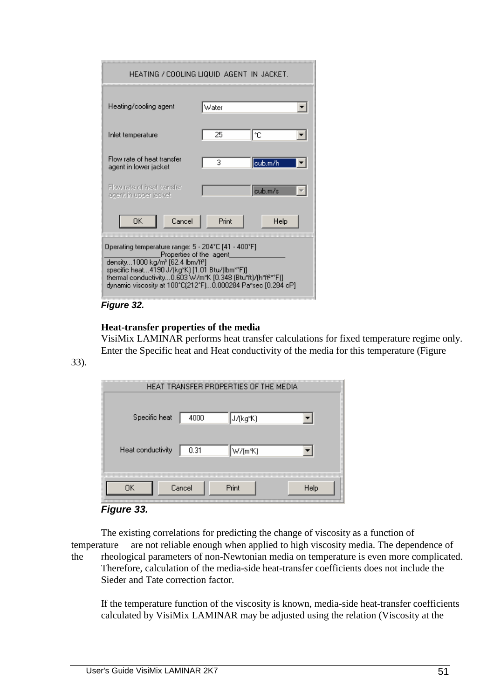| HEATING / COOLING LIQUID-AGENT-IN-JACKET.                                                                                                                                                                                                                                                                                                 |       |         |  |
|-------------------------------------------------------------------------------------------------------------------------------------------------------------------------------------------------------------------------------------------------------------------------------------------------------------------------------------------|-------|---------|--|
| Heating/cooling agent                                                                                                                                                                                                                                                                                                                     | Water |         |  |
| Inlet temperature                                                                                                                                                                                                                                                                                                                         | 25    | ŀс      |  |
| Flow rate of heat transfer<br>agent in lower jacket                                                                                                                                                                                                                                                                                       | 3     | cub.m/h |  |
| Flow rate of heat transfer<br>agent in upper jacket                                                                                                                                                                                                                                                                                       |       | cub.m/s |  |
| OΚ<br>Cancel                                                                                                                                                                                                                                                                                                                              | Print | Help    |  |
| Operating temperature range: 5 - 204°C [41 - 400°F]<br>Properties of the agent_<br>density1000 kg/m <sup>3</sup> [62.4 lbm/ft <sup>3</sup> ]<br>specific heat4190 J/(kg*K) [1.01 Btu/(lbm**F)]<br>thermal conductivity0.603 W/m*K [0.348 (Btu*ft)/(h*ff <sup>z**</sup> F)]<br>dynamic viscosity at 100°C(212°F)0.000284 Pa*sec [0.284 cP] |       |         |  |

## **Figure 32.**

### **Heat-transfer properties of the media**

 VisiMix LAMINAR performs heat transfer calculations for fixed temperature regime only. Enter the Specific heat and Heat conductivity of the media for this temperature (Figure

33).

|                   |        | HEAT TRANSFER PROPERTIES OF THE MEDIA |      |
|-------------------|--------|---------------------------------------|------|
| Specific heat     | 4000   | J/(kg*K)                              |      |
| Heat conductivity | 0.31   | $\mathbb{W}/(\mathsf{m}^*\mathsf{K})$ |      |
| OΚ                | Cancel | Print                                 | Help |



 The existing correlations for predicting the change of viscosity as a function of temperature are not reliable enough when applied to high viscosity media. The dependence of the rheological parameters of non-Newtonian media on temperature is even more complicated. Therefore, calculation of the media-side heat-transfer coefficients does not include the Sieder and Tate correction factor.

 If the temperature function of the viscosity is known, media-side heat-transfer coefficients calculated by VisiMix LAMINAR may be adjusted using the relation (Viscosity at the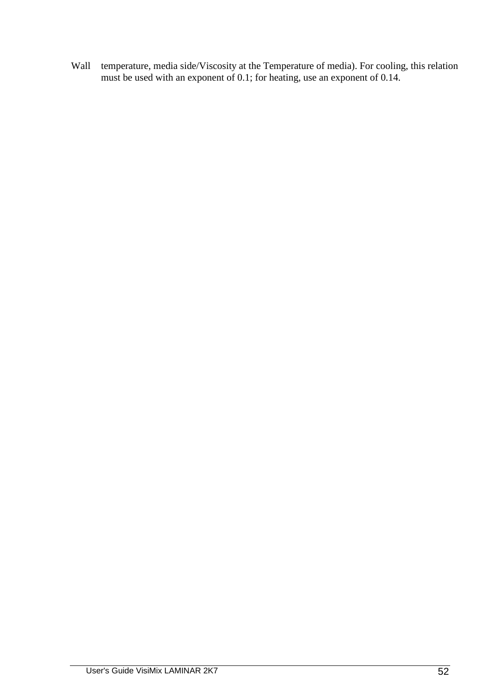Wall temperature, media side/Viscosity at the Temperature of media). For cooling, this relation must be used with an exponent of 0.1; for heating, use an exponent of 0.14.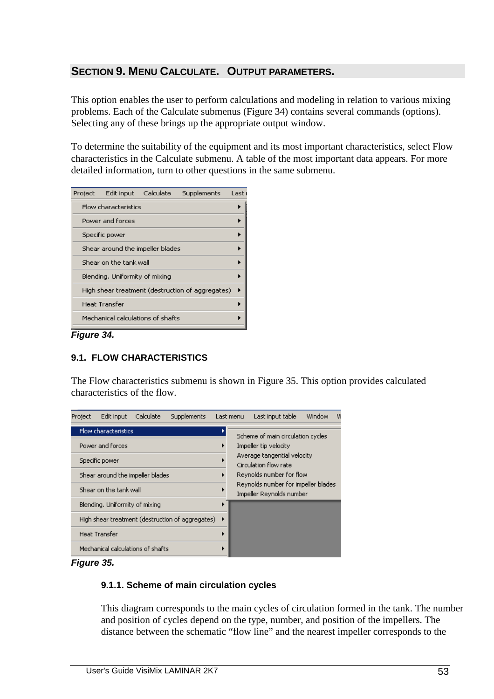# **SECTION 9. MENU CALCULATE. OUTPUT PARAMETERS.**

This option enables the user to perform calculations and modeling in relation to various mixing problems. Each of the Calculate submenus (Figure 34) contains several commands (options). Selecting any of these brings up the appropriate output window.

To determine the suitability of the equipment and its most important characteristics, select Flow characteristics in the Calculate submenu. A table of the most important data appears. For more detailed information, turn to other questions in the same submenu.

| Project Edit input Calculate      | <b>Supplements</b>                               | Last |
|-----------------------------------|--------------------------------------------------|------|
| Flow characteristics              |                                                  |      |
| Power and forces                  |                                                  |      |
| Specific power                    |                                                  |      |
| Shear around the impeller blades  |                                                  |      |
| Shear on the tank wall            |                                                  |      |
| Blending, Uniformity of mixing    |                                                  |      |
|                                   | High shear treatment (destruction of aggregates) |      |
| <b>Heat Transfer</b>              |                                                  |      |
| Mechanical calculations of shafts |                                                  |      |

**Figure 34.** 

# **9.1. FLOW CHARACTERISTICS**

The Flow characteristics submenu is shown in Figure 35. This option provides calculated characteristics of the flow.



**Figure 35.** 

## **9.1.1. Scheme of main circulation cycles**

 This diagram corresponds to the main cycles of circulation formed in the tank. The number and position of cycles depend on the type, number, and position of the impellers. The distance between the schematic "flow line" and the nearest impeller corresponds to the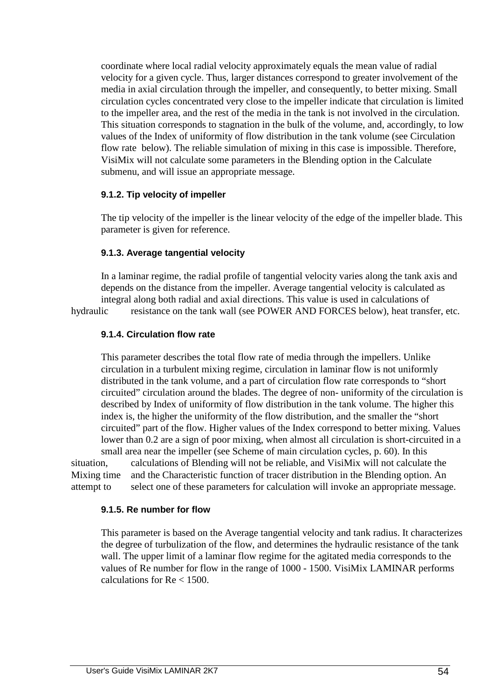coordinate where local radial velocity approximately equals the mean value of radial velocity for a given cycle. Thus, larger distances correspond to greater involvement of the media in axial circulation through the impeller, and consequently, to better mixing. Small circulation cycles concentrated very close to the impeller indicate that circulation is limited to the impeller area, and the rest of the media in the tank is not involved in the circulation. This situation corresponds to stagnation in the bulk of the volume, and, accordingly, to low values of the Index of uniformity of flow distribution in the tank volume (see Circulation flow rate below). The reliable simulation of mixing in this case is impossible. Therefore, VisiMix will not calculate some parameters in the Blending option in the Calculate submenu, and will issue an appropriate message.

### **9.1.2. Tip velocity of impeller**

 The tip velocity of the impeller is the linear velocity of the edge of the impeller blade. This parameter is given for reference.

### **9.1.3. Average tangential velocity**

 In a laminar regime, the radial profile of tangential velocity varies along the tank axis and depends on the distance from the impeller. Average tangential velocity is calculated as integral along both radial and axial directions. This value is used in calculations of

hydraulic resistance on the tank wall (see POWER AND FORCES below), heat transfer, etc.

# **9.1.4. Circulation flow rate**

 This parameter describes the total flow rate of media through the impellers. Unlike circulation in a turbulent mixing regime, circulation in laminar flow is not uniformly distributed in the tank volume, and a part of circulation flow rate corresponds to "short circuited" circulation around the blades. The degree of non- uniformity of the circulation is described by Index of uniformity of flow distribution in the tank volume. The higher this index is, the higher the uniformity of the flow distribution, and the smaller the "short circuited" part of the flow. Higher values of the Index correspond to better mixing. Values lower than 0.2 are a sign of poor mixing, when almost all circulation is short-circuited in a small area near the impeller (see Scheme of main circulation cycles, p. 60). In this

situation, calculations of Blending will not be reliable, and VisiMix will not calculate the Mixing time and the Characteristic function of tracer distribution in the Blending option. An attempt to select one of these parameters for calculation will invoke an appropriate message.

## **9.1.5. Re number for flow**

 This parameter is based on the Average tangential velocity and tank radius. It characterizes the degree of turbulization of the flow, and determines the hydraulic resistance of the tank wall. The upper limit of a laminar flow regime for the agitated media corresponds to the values of Re number for flow in the range of 1000 - 1500. VisiMix LAMINAR performs calculations for Re < 1500.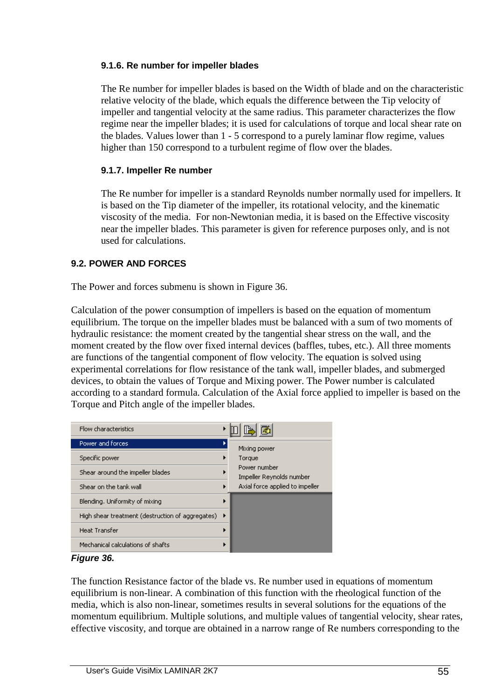## **9.1.6. Re number for impeller blades**

 The Re number for impeller blades is based on the Width of blade and on the characteristic relative velocity of the blade, which equals the difference between the Tip velocity of impeller and tangential velocity at the same radius. This parameter characterizes the flow regime near the impeller blades; it is used for calculations of torque and local shear rate on the blades. Values lower than 1 - 5 correspond to a purely laminar flow regime, values higher than 150 correspond to a turbulent regime of flow over the blades.

## **9.1.7. Impeller Re number**

 The Re number for impeller is a standard Reynolds number normally used for impellers. It is based on the Tip diameter of the impeller, its rotational velocity, and the kinematic viscosity of the media. For non-Newtonian media, it is based on the Effective viscosity near the impeller blades. This parameter is given for reference purposes only, and is not used for calculations.

## **9.2. POWER AND FORCES**

The Power and forces submenu is shown in Figure 36.

Calculation of the power consumption of impellers is based on the equation of momentum equilibrium. The torque on the impeller blades must be balanced with a sum of two moments of hydraulic resistance: the moment created by the tangential shear stress on the wall, and the moment created by the flow over fixed internal devices (baffles, tubes, etc.). All three moments are functions of the tangential component of flow velocity. The equation is solved using experimental correlations for flow resistance of the tank wall, impeller blades, and submerged devices, to obtain the values of Torque and Mixing power. The Power number is calculated according to a standard formula. Calculation of the Axial force applied to impeller is based on the Torque and Pitch angle of the impeller blades.





The function Resistance factor of the blade vs. Re number used in equations of momentum equilibrium is non-linear. A combination of this function with the rheological function of the media, which is also non-linear, sometimes results in several solutions for the equations of the momentum equilibrium. Multiple solutions, and multiple values of tangential velocity, shear rates, effective viscosity, and torque are obtained in a narrow range of Re numbers corresponding to the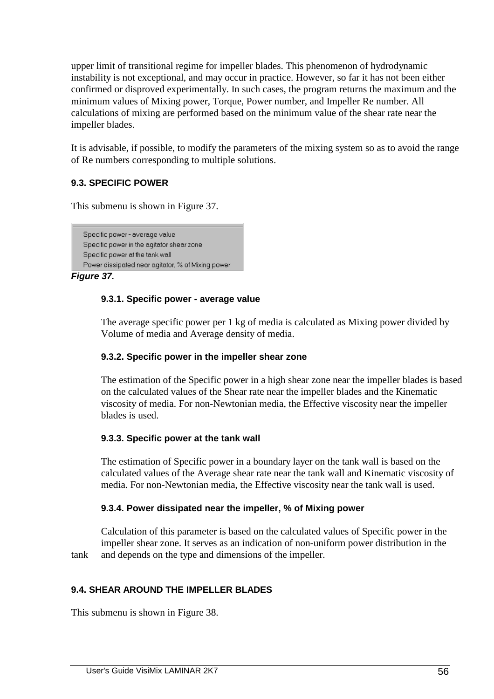upper limit of transitional regime for impeller blades. This phenomenon of hydrodynamic instability is not exceptional, and may occur in practice. However, so far it has not been either confirmed or disproved experimentally. In such cases, the program returns the maximum and the minimum values of Mixing power, Torque, Power number, and Impeller Re number. All calculations of mixing are performed based on the minimum value of the shear rate near the impeller blades.

It is advisable, if possible, to modify the parameters of the mixing system so as to avoid the range of Re numbers corresponding to multiple solutions.

## **9.3. SPECIFIC POWER**

This submenu is shown in Figure 37.

```
Specific power - average value
Specific power in the agitator shear zone
Specific power at the tank wall
Power dissipated near agitator, % of Mixing power
```
**Figure 37.** 

## **9.3.1. Specific power - average value**

 The average specific power per 1 kg of media is calculated as Mixing power divided by Volume of media and Average density of media.

## **9.3.2. Specific power in the impeller shear zone**

 The estimation of the Specific power in a high shear zone near the impeller blades is based on the calculated values of the Shear rate near the impeller blades and the Kinematic viscosity of media. For non-Newtonian media, the Effective viscosity near the impeller blades is used.

## **9.3.3. Specific power at the tank wall**

 The estimation of Specific power in a boundary layer on the tank wall is based on the calculated values of the Average shear rate near the tank wall and Kinematic viscosity of media. For non-Newtonian media, the Effective viscosity near the tank wall is used.

## **9.3.4. Power dissipated near the impeller, % of Mixing power**

 Calculation of this parameter is based on the calculated values of Specific power in the impeller shear zone. It serves as an indication of non-uniform power distribution in the tank and depends on the type and dimensions of the impeller.

## **9.4. SHEAR AROUND THE IMPELLER BLADES**

This submenu is shown in Figure 38.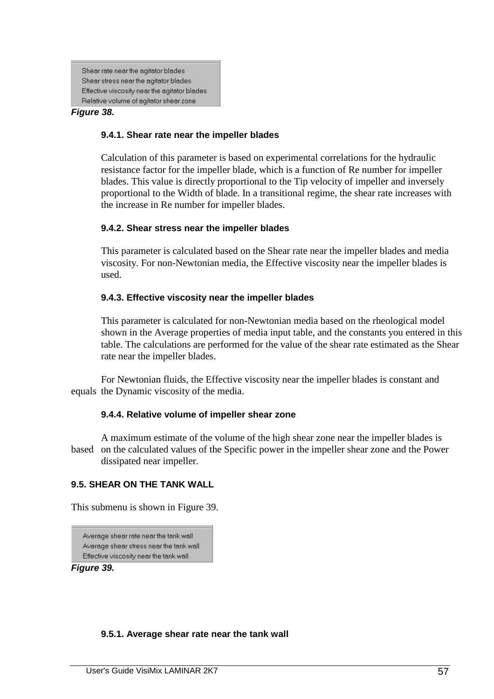Shear rate near the agitator blades Shear stress near the agitator blades Effective viscosity near the agitator blades Relative volume of agitator shear zone

#### **Figure 38.**

#### **9.4.1. Shear rate near the impeller blades**

 Calculation of this parameter is based on experimental correlations for the hydraulic resistance factor for the impeller blade, which is a function of Re number for impeller blades. This value is directly proportional to the Tip velocity of impeller and inversely proportional to the Width of blade. In a transitional regime, the shear rate increases with the increase in Re number for impeller blades.

### **9.4.2. Shear stress near the impeller blades**

 This parameter is calculated based on the Shear rate near the impeller blades and media viscosity. For non-Newtonian media, the Effective viscosity near the impeller blades is used.

### **9.4.3. Effective viscosity near the impeller blades**

 This parameter is calculated for non-Newtonian media based on the rheological model shown in the Average properties of media input table, and the constants you entered in this table. The calculations are performed for the value of the shear rate estimated as the Shear rate near the impeller blades.

 For Newtonian fluids, the Effective viscosity near the impeller blades is constant and equals the Dynamic viscosity of the media.

#### **9.4.4. Relative volume of impeller shear zone**

 A maximum estimate of the volume of the high shear zone near the impeller blades is based on the calculated values of the Specific power in the impeller shear zone and the Power dissipated near impeller.

#### **9.5. SHEAR ON THE TANK WALL**

This submenu is shown in Figure 39.

Average shear rate near the tank wall Average shear stress near the tank wall Effective viscosity near the tank wall

**Figure 39.** 

#### **9.5.1. Average shear rate near the tank wall**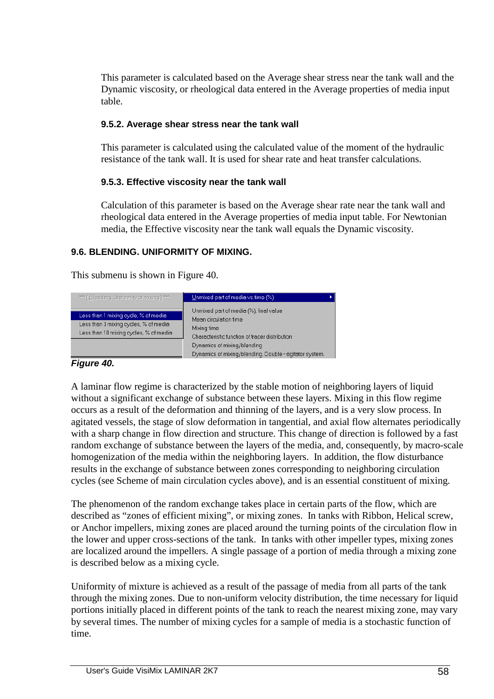This parameter is calculated based on the Average shear stress near the tank wall and the Dynamic viscosity, or rheological data entered in the Average properties of media input table.

## **9.5.2. Average shear stress near the tank wall**

 This parameter is calculated using the calculated value of the moment of the hydraulic resistance of the tank wall. It is used for shear rate and heat transfer calculations.

## **9.5.3. Effective viscosity near the tank wall**

 Calculation of this parameter is based on the Average shear rate near the tank wall and rheological data entered in the Average properties of media input table. For Newtonian media, the Effective viscosity near the tank wall equals the Dynamic viscosity.

# **9.6. BLENDING. UNIFORMITY OF MIXING.**

This submenu is shown in Figure 40.

| *** [ Blending, Uniformity of mixing ] ***                                                                               | Unmixed part of media vs.time (%)                                                                                                                                                                                         |
|--------------------------------------------------------------------------------------------------------------------------|---------------------------------------------------------------------------------------------------------------------------------------------------------------------------------------------------------------------------|
| Less than 1 mixing cycle, % of media<br>Less than 3 mixing cycles, % of media.<br>Less than 10 mixing cycles, % of media | Unmixed part of media (%), final value<br>Mean circulation time<br>Mixing time<br>Characteristic function of tracer distribution<br>Dynamics of mixing/blending<br>Dynamics of mixing/blending. Double - agitator system. |

## **Figure 40.**

A laminar flow regime is characterized by the stable motion of neighboring layers of liquid without a significant exchange of substance between these layers. Mixing in this flow regime occurs as a result of the deformation and thinning of the layers, and is a very slow process. In agitated vessels, the stage of slow deformation in tangential, and axial flow alternates periodically with a sharp change in flow direction and structure. This change of direction is followed by a fast random exchange of substance between the layers of the media, and, consequently, by macro-scale homogenization of the media within the neighboring layers. In addition, the flow disturbance results in the exchange of substance between zones corresponding to neighboring circulation cycles (see Scheme of main circulation cycles above), and is an essential constituent of mixing.

The phenomenon of the random exchange takes place in certain parts of the flow, which are described as "zones of efficient mixing", or mixing zones. In tanks with Ribbon, Helical screw, or Anchor impellers, mixing zones are placed around the turning points of the circulation flow in the lower and upper cross-sections of the tank. In tanks with other impeller types, mixing zones are localized around the impellers. A single passage of a portion of media through a mixing zone is described below as a mixing cycle.

Uniformity of mixture is achieved as a result of the passage of media from all parts of the tank through the mixing zones. Due to non-uniform velocity distribution, the time necessary for liquid portions initially placed in different points of the tank to reach the nearest mixing zone, may vary by several times. The number of mixing cycles for a sample of media is a stochastic function of time.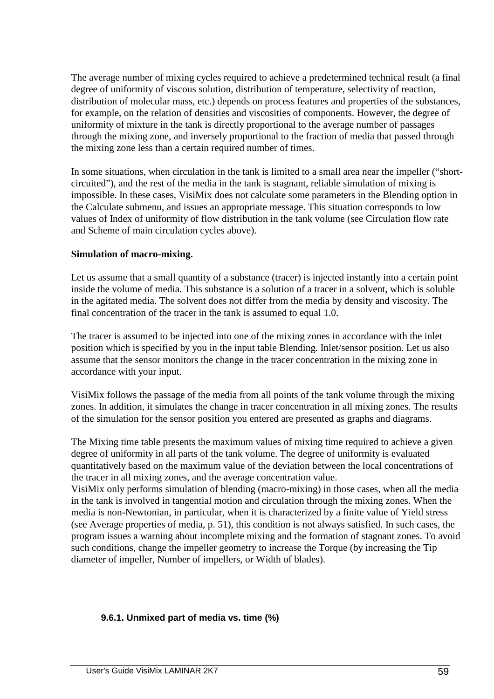The average number of mixing cycles required to achieve a predetermined technical result (a final degree of uniformity of viscous solution, distribution of temperature, selectivity of reaction, distribution of molecular mass, etc.) depends on process features and properties of the substances, for example, on the relation of densities and viscosities of components. However, the degree of uniformity of mixture in the tank is directly proportional to the average number of passages through the mixing zone, and inversely proportional to the fraction of media that passed through the mixing zone less than a certain required number of times.

In some situations, when circulation in the tank is limited to a small area near the impeller ("shortcircuited"), and the rest of the media in the tank is stagnant, reliable simulation of mixing is impossible. In these cases, VisiMix does not calculate some parameters in the Blending option in the Calculate submenu, and issues an appropriate message. This situation corresponds to low values of Index of uniformity of flow distribution in the tank volume (see Circulation flow rate and Scheme of main circulation cycles above).

## **Simulation of macro-mixing.**

Let us assume that a small quantity of a substance (tracer) is injected instantly into a certain point inside the volume of media. This substance is a solution of a tracer in a solvent, which is soluble in the agitated media. The solvent does not differ from the media by density and viscosity. The final concentration of the tracer in the tank is assumed to equal 1.0.

The tracer is assumed to be injected into one of the mixing zones in accordance with the inlet position which is specified by you in the input table Blending. Inlet/sensor position. Let us also assume that the sensor monitors the change in the tracer concentration in the mixing zone in accordance with your input.

VisiMix follows the passage of the media from all points of the tank volume through the mixing zones. In addition, it simulates the change in tracer concentration in all mixing zones. The results of the simulation for the sensor position you entered are presented as graphs and diagrams.

The Mixing time table presents the maximum values of mixing time required to achieve a given degree of uniformity in all parts of the tank volume. The degree of uniformity is evaluated quantitatively based on the maximum value of the deviation between the local concentrations of the tracer in all mixing zones, and the average concentration value.

VisiMix only performs simulation of blending (macro-mixing) in those cases, when all the media in the tank is involved in tangential motion and circulation through the mixing zones. When the media is non-Newtonian, in particular, when it is characterized by a finite value of Yield stress (see Average properties of media, p. 51), this condition is not always satisfied. In such cases, the program issues a warning about incomplete mixing and the formation of stagnant zones. To avoid such conditions, change the impeller geometry to increase the Torque (by increasing the Tip diameter of impeller, Number of impellers, or Width of blades).

## **9.6.1. Unmixed part of media vs. time (%)**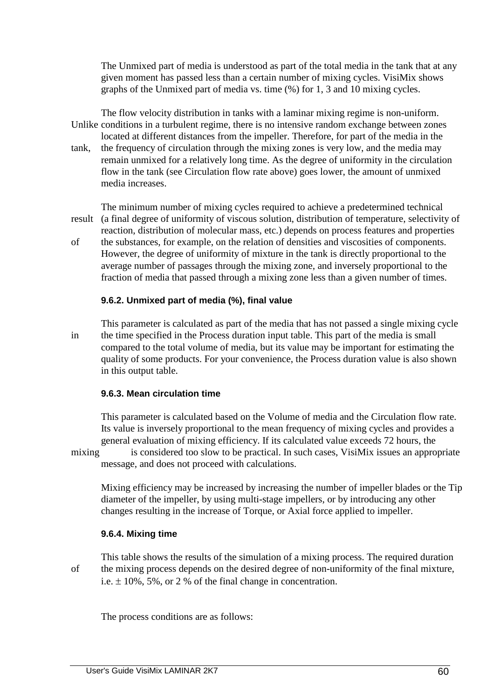The Unmixed part of media is understood as part of the total media in the tank that at any given moment has passed less than a certain number of mixing cycles. VisiMix shows graphs of the Unmixed part of media vs. time (%) for 1, 3 and 10 mixing cycles.

 The flow velocity distribution in tanks with a laminar mixing regime is non-uniform. Unlike conditions in a turbulent regime, there is no intensive random exchange between zones located at different distances from the impeller. Therefore, for part of the media in the tank, the frequency of circulation through the mixing zones is very low, and the media may remain unmixed for a relatively long time. As the degree of uniformity in the circulation flow in the tank (see Circulation flow rate above) goes lower, the amount of unmixed media increases.

 The minimum number of mixing cycles required to achieve a predetermined technical result (a final degree of uniformity of viscous solution, distribution of temperature, selectivity of reaction, distribution of molecular mass, etc.) depends on process features and properties

of the substances, for example, on the relation of densities and viscosities of components. However, the degree of uniformity of mixture in the tank is directly proportional to the average number of passages through the mixing zone, and inversely proportional to the fraction of media that passed through a mixing zone less than a given number of times.

### **9.6.2. Unmixed part of media (%), final value**

 This parameter is calculated as part of the media that has not passed a single mixing cycle in the time specified in the Process duration input table. This part of the media is small compared to the total volume of media, but its value may be important for estimating the quality of some products. For your convenience, the Process duration value is also shown in this output table.

#### **9.6.3. Mean circulation time**

 This parameter is calculated based on the Volume of media and the Circulation flow rate. Its value is inversely proportional to the mean frequency of mixing cycles and provides a general evaluation of mixing efficiency. If its calculated value exceeds 72 hours, the

mixing is considered too slow to be practical. In such cases, VisiMix issues an appropriate message, and does not proceed with calculations.

 Mixing efficiency may be increased by increasing the number of impeller blades or the Tip diameter of the impeller, by using multi-stage impellers, or by introducing any other changes resulting in the increase of Torque, or Axial force applied to impeller.

## **9.6.4. Mixing time**

 This table shows the results of the simulation of a mixing process. The required duration of the mixing process depends on the desired degree of non-uniformity of the final mixture, i.e.  $\pm$  10%, 5%, or 2 % of the final change in concentration.

The process conditions are as follows: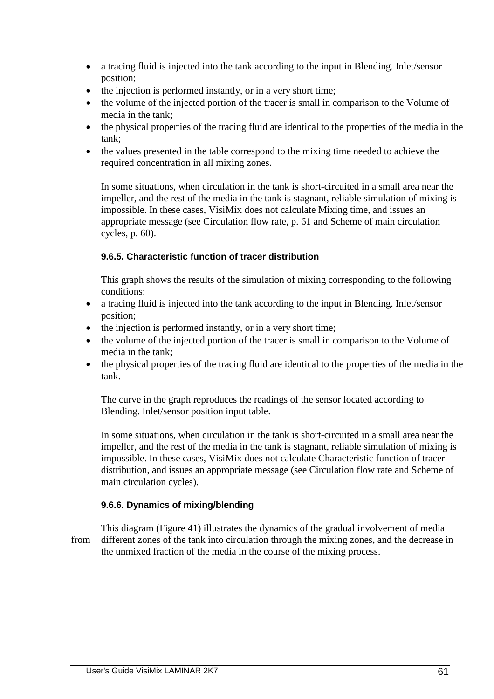- a tracing fluid is injected into the tank according to the input in Blending. Inlet/sensor position;
- the injection is performed instantly, or in a very short time;
- the volume of the injected portion of the tracer is small in comparison to the Volume of media in the tank;
- the physical properties of the tracing fluid are identical to the properties of the media in the tank;
- the values presented in the table correspond to the mixing time needed to achieve the required concentration in all mixing zones.

 In some situations, when circulation in the tank is short-circuited in a small area near the impeller, and the rest of the media in the tank is stagnant, reliable simulation of mixing is impossible. In these cases, VisiMix does not calculate Mixing time, and issues an appropriate message (see Circulation flow rate, p. 61 and Scheme of main circulation cycles, p. 60).

## **9.6.5. Characteristic function of tracer distribution**

 This graph shows the results of the simulation of mixing corresponding to the following conditions:

- a tracing fluid is injected into the tank according to the input in Blending. Inlet/sensor position;
- the injection is performed instantly, or in a very short time;
- the volume of the injected portion of the tracer is small in comparison to the Volume of media in the tank;
- the physical properties of the tracing fluid are identical to the properties of the media in the tank.

 The curve in the graph reproduces the readings of the sensor located according to Blending. Inlet/sensor position input table.

 In some situations, when circulation in the tank is short-circuited in a small area near the impeller, and the rest of the media in the tank is stagnant, reliable simulation of mixing is impossible. In these cases, VisiMix does not calculate Characteristic function of tracer distribution, and issues an appropriate message (see Circulation flow rate and Scheme of main circulation cycles).

## **9.6.6. Dynamics of mixing/blending**

 This diagram (Figure 41) illustrates the dynamics of the gradual involvement of media from different zones of the tank into circulation through the mixing zones, and the decrease in the unmixed fraction of the media in the course of the mixing process.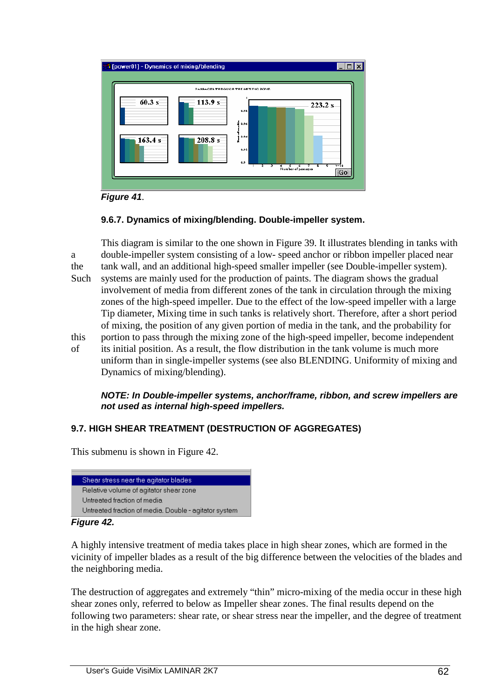

**Figure 41**.

## **9.6.7. Dynamics of mixing/blending. Double-impeller system.**

 This diagram is similar to the one shown in Figure 39. It illustrates blending in tanks with a double-impeller system consisting of a low- speed anchor or ribbon impeller placed near the tank wall, and an additional high-speed smaller impeller (see Double-impeller system). Such systems are mainly used for the production of paints. The diagram shows the gradual involvement of media from different zones of the tank in circulation through the mixing zones of the high-speed impeller. Due to the effect of the low-speed impeller with a large Tip diameter, Mixing time in such tanks is relatively short. Therefore, after a short period of mixing, the position of any given portion of media in the tank, and the probability for this portion to pass through the mixing zone of the high-speed impeller, become independent of its initial position. As a result, the flow distribution in the tank volume is much more uniform than in single-impeller systems (see also BLENDING. Uniformity of mixing and Dynamics of mixing/blending).

### **NOTE: In Double-impeller systems, anchor/frame, ribbon, and screw impellers are not used as internal high-speed impellers.**

## **9.7. HIGH SHEAR TREATMENT (DESTRUCTION OF AGGREGATES)**

This submenu is shown in Figure 42.



#### **Figure 42.**

A highly intensive treatment of media takes place in high shear zones, which are formed in the vicinity of impeller blades as a result of the big difference between the velocities of the blades and the neighboring media.

The destruction of aggregates and extremely "thin" micro-mixing of the media occur in these high shear zones only, referred to below as Impeller shear zones. The final results depend on the following two parameters: shear rate, or shear stress near the impeller, and the degree of treatment in the high shear zone.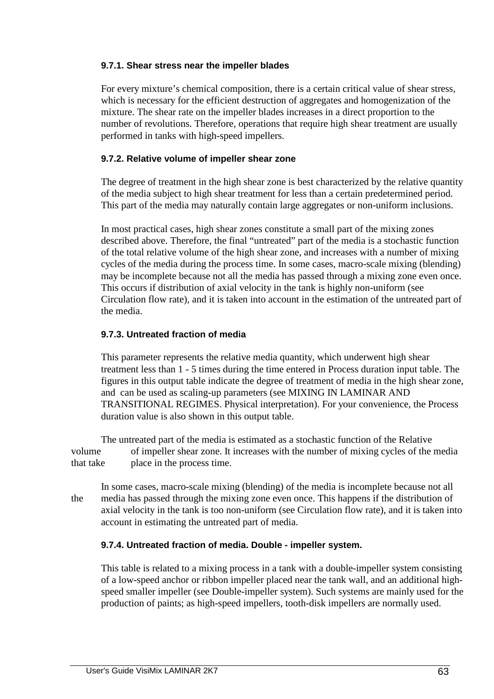## **9.7.1. Shear stress near the impeller blades**

 For every mixture's chemical composition, there is a certain critical value of shear stress, which is necessary for the efficient destruction of aggregates and homogenization of the mixture. The shear rate on the impeller blades increases in a direct proportion to the number of revolutions. Therefore, operations that require high shear treatment are usually performed in tanks with high-speed impellers.

## **9.7.2. Relative volume of impeller shear zone**

 The degree of treatment in the high shear zone is best characterized by the relative quantity of the media subject to high shear treatment for less than a certain predetermined period. This part of the media may naturally contain large aggregates or non-uniform inclusions.

 In most practical cases, high shear zones constitute a small part of the mixing zones described above. Therefore, the final "untreated" part of the media is a stochastic function of the total relative volume of the high shear zone, and increases with a number of mixing cycles of the media during the process time. In some cases, macro-scale mixing (blending) may be incomplete because not all the media has passed through a mixing zone even once. This occurs if distribution of axial velocity in the tank is highly non-uniform (see Circulation flow rate), and it is taken into account in the estimation of the untreated part of the media.

## **9.7.3. Untreated fraction of media**

 This parameter represents the relative media quantity, which underwent high shear treatment less than 1 - 5 times during the time entered in Process duration input table. The figures in this output table indicate the degree of treatment of media in the high shear zone, and can be used as scaling-up parameters (see MIXING IN LAMINAR AND TRANSITIONAL REGIMES. Physical interpretation). For your convenience, the Process duration value is also shown in this output table.

 The untreated part of the media is estimated as a stochastic function of the Relative volume of impeller shear zone. It increases with the number of mixing cycles of the media that take place in the process time.

 In some cases, macro-scale mixing (blending) of the media is incomplete because not all the media has passed through the mixing zone even once. This happens if the distribution of axial velocity in the tank is too non-uniform (see Circulation flow rate), and it is taken into account in estimating the untreated part of media.

## **9.7.4. Untreated fraction of media. Double - impeller system.**

 This table is related to a mixing process in a tank with a double-impeller system consisting of a low-speed anchor or ribbon impeller placed near the tank wall, and an additional high speed smaller impeller (see Double-impeller system). Such systems are mainly used for the production of paints; as high-speed impellers, tooth-disk impellers are normally used.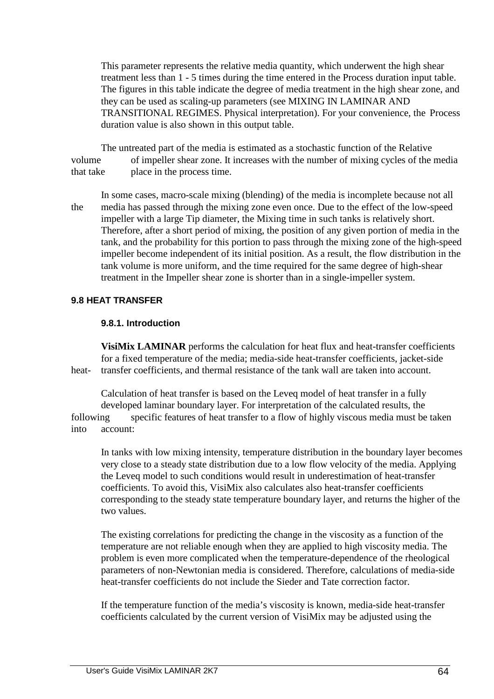This parameter represents the relative media quantity, which underwent the high shear treatment less than 1 - 5 times during the time entered in the Process duration input table. The figures in this table indicate the degree of media treatment in the high shear zone, and they can be used as scaling-up parameters (see MIXING IN LAMINAR AND TRANSITIONAL REGIMES. Physical interpretation). For your convenience, the Process duration value is also shown in this output table.

 The untreated part of the media is estimated as a stochastic function of the Relative volume of impeller shear zone. It increases with the number of mixing cycles of the media that take place in the process time.

 In some cases, macro-scale mixing (blending) of the media is incomplete because not all the media has passed through the mixing zone even once. Due to the effect of the low-speed impeller with a large Tip diameter, the Mixing time in such tanks is relatively short. Therefore, after a short period of mixing, the position of any given portion of media in the tank, and the probability for this portion to pass through the mixing zone of the high-speed impeller become independent of its initial position. As a result, the flow distribution in the tank volume is more uniform, and the time required for the same degree of high-shear treatment in the Impeller shear zone is shorter than in a single-impeller system.

### **9.8 HEAT TRANSFER**

#### **9.8.1. Introduction**

 **VisiMix LAMINAR** performs the calculation for heat flux and heat-transfer coefficients for a fixed temperature of the media; media-side heat-transfer coefficients, jacket-side heat- transfer coefficients, and thermal resistance of the tank wall are taken into account.

 Calculation of heat transfer is based on the Leveq model of heat transfer in a fully developed laminar boundary layer. For interpretation of the calculated results, the following specific features of heat transfer to a flow of highly viscous media must be taken into account:

 In tanks with low mixing intensity, temperature distribution in the boundary layer becomes very close to a steady state distribution due to a low flow velocity of the media. Applying the Leveq model to such conditions would result in underestimation of heat-transfer coefficients. To avoid this, VisiMix also calculates also heat-transfer coefficients corresponding to the steady state temperature boundary layer, and returns the higher of the two values.

 The existing correlations for predicting the change in the viscosity as a function of the temperature are not reliable enough when they are applied to high viscosity media. The problem is even more complicated when the temperature-dependence of the rheological parameters of non-Newtonian media is considered. Therefore, calculations of media-side heat-transfer coefficients do not include the Sieder and Tate correction factor.

 If the temperature function of the media's viscosity is known, media-side heat-transfer coefficients calculated by the current version of VisiMix may be adjusted using the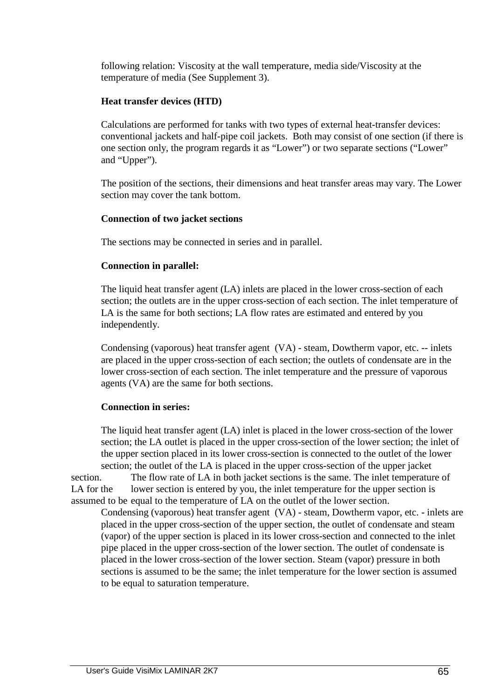following relation: Viscosity at the wall temperature, media side/Viscosity at the temperature of media (See Supplement 3).

## **Heat transfer devices (HTD)**

 Calculations are performed for tanks with two types of external heat-transfer devices: conventional jackets and half-pipe coil jackets. Both may consist of one section (if there is one section only, the program regards it as "Lower") or two separate sections ("Lower" and "Upper").

 The position of the sections, their dimensions and heat transfer areas may vary. The Lower section may cover the tank bottom.

## **Connection of two jacket sections**

The sections may be connected in series and in parallel.

### **Connection in parallel:**

 The liquid heat transfer agent (LA) inlets are placed in the lower cross-section of each section; the outlets are in the upper cross-section of each section. The inlet temperature of LA is the same for both sections; LA flow rates are estimated and entered by you independently.

 Condensing (vaporous) heat transfer agent (VA) - steam, Dowtherm vapor, etc. -- inlets are placed in the upper cross-section of each section; the outlets of condensate are in the lower cross-section of each section. The inlet temperature and the pressure of vaporous agents (VA) are the same for both sections.

## **Connection in series:**

 The liquid heat transfer agent (LA) inlet is placed in the lower cross-section of the lower section; the LA outlet is placed in the upper cross-section of the lower section; the inlet of the upper section placed in its lower cross-section is connected to the outlet of the lower section; the outlet of the LA is placed in the upper cross-section of the upper jacket

section. The flow rate of LA in both jacket sections is the same. The inlet temperature of LA for the lower section is entered by you, the inlet temperature for the upper section is assumed to be equal to the temperature of LA on the outlet of the lower section.

 Condensing (vaporous) heat transfer agent (VA) - steam, Dowtherm vapor, etc. - inlets are placed in the upper cross-section of the upper section, the outlet of condensate and steam (vapor) of the upper section is placed in its lower cross-section and connected to the inlet pipe placed in the upper cross-section of the lower section. The outlet of condensate is placed in the lower cross-section of the lower section. Steam (vapor) pressure in both sections is assumed to be the same; the inlet temperature for the lower section is assumed to be equal to saturation temperature.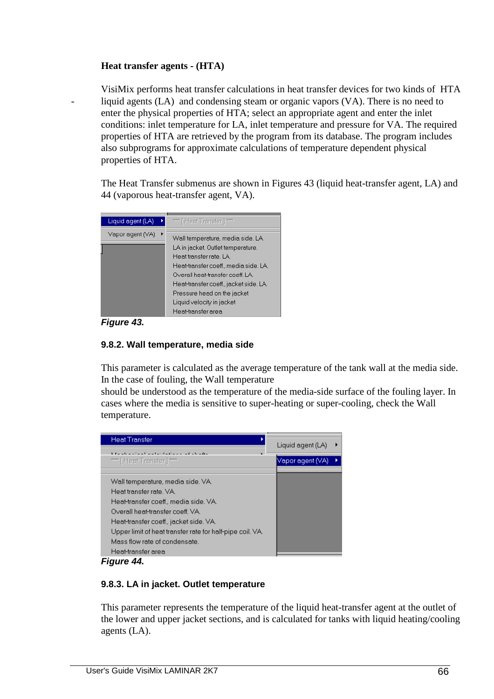## **Heat transfer agents - (HTA)**

 VisiMix performs heat transfer calculations in heat transfer devices for two kinds of HTA liquid agents (LA) and condensing steam or organic vapors (VA). There is no need to enter the physical properties of HTA; select an appropriate agent and enter the inlet conditions: inlet temperature for LA, inlet temperature and pressure for VA. The required properties of HTA are retrieved by the program from its database. The program includes also subprograms for approximate calculations of temperature dependent physical properties of HTA.

 The Heat Transfer submenus are shown in Figures 43 (liquid heat-transfer agent, LA) and 44 (vaporous heat-transfer agent, VA).



**Figure 43.** 

## **9.8.2. Wall temperature, media side**

 This parameter is calculated as the average temperature of the tank wall at the media side. In the case of fouling, the Wall temperature

 should be understood as the temperature of the media-side surface of the fouling layer. In cases where the media is sensitive to super-heating or super-cooling, check the Wall temperature.

| <b>Heat Transfer</b>                                      | Liquid agent (LA) |
|-----------------------------------------------------------|-------------------|
| والشامر والمراشين والمرور والتساري والمراوية              |                   |
| **** [ Heat Transfer ] ****                               | Vapor agent (VA)  |
|                                                           |                   |
| Wall temperature, media side. VA.                         |                   |
| Heat transfer rate, VA.                                   |                   |
| Heat-transfer coeff., media side. VA.                     |                   |
| Overall heat-transfer coeff. VA.                          |                   |
| Heat-transfer coeff., jacket side. VA.                    |                   |
| Upper limit of heat transfer rate for half-pipe coil. VA. |                   |
| Mass flow rate of condensate.                             |                   |
| Heat-transfer area                                        |                   |

**Figure 44.** 

## **9.8.3. LA in jacket. Outlet temperature**

 This parameter represents the temperature of the liquid heat-transfer agent at the outlet of the lower and upper jacket sections, and is calculated for tanks with liquid heating/cooling agents (LA).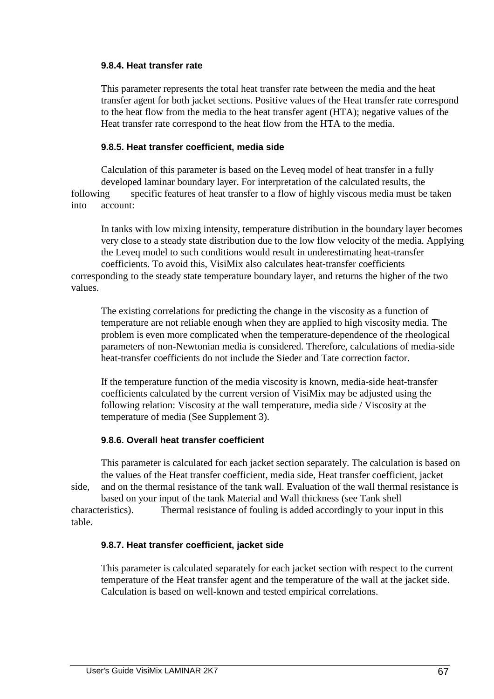### **9.8.4. Heat transfer rate**

 This parameter represents the total heat transfer rate between the media and the heat transfer agent for both jacket sections. Positive values of the Heat transfer rate correspond to the heat flow from the media to the heat transfer agent (HTA); negative values of the Heat transfer rate correspond to the heat flow from the HTA to the media.

## **9.8.5. Heat transfer coefficient, media side**

 Calculation of this parameter is based on the Leveq model of heat transfer in a fully developed laminar boundary layer. For interpretation of the calculated results, the following specific features of heat transfer to a flow of highly viscous media must be taken into account:

 In tanks with low mixing intensity, temperature distribution in the boundary layer becomes very close to a steady state distribution due to the low flow velocity of the media. Applying the Leveq model to such conditions would result in underestimating heat-transfer coefficients. To avoid this, VisiMix also calculates heat-transfer coefficients corresponding to the steady state temperature boundary layer, and returns the higher of the two values.

 The existing correlations for predicting the change in the viscosity as a function of temperature are not reliable enough when they are applied to high viscosity media. The problem is even more complicated when the temperature-dependence of the rheological parameters of non-Newtonian media is considered. Therefore, calculations of media-side heat-transfer coefficients do not include the Sieder and Tate correction factor.

 If the temperature function of the media viscosity is known, media-side heat-transfer coefficients calculated by the current version of VisiMix may be adjusted using the following relation: Viscosity at the wall temperature, media side / Viscosity at the temperature of media (See Supplement 3).

## **9.8.6. Overall heat transfer coefficient**

 This parameter is calculated for each jacket section separately. The calculation is based on the values of the Heat transfer coefficient, media side, Heat transfer coefficient, jacket side, and on the thermal resistance of the tank wall. Evaluation of the wall thermal resistance is

 based on your input of the tank Material and Wall thickness (see Tank shell characteristics). Thermal resistance of fouling is added accordingly to your input in this table.

## **9.8.7. Heat transfer coefficient, jacket side**

 This parameter is calculated separately for each jacket section with respect to the current temperature of the Heat transfer agent and the temperature of the wall at the jacket side. Calculation is based on well-known and tested empirical correlations.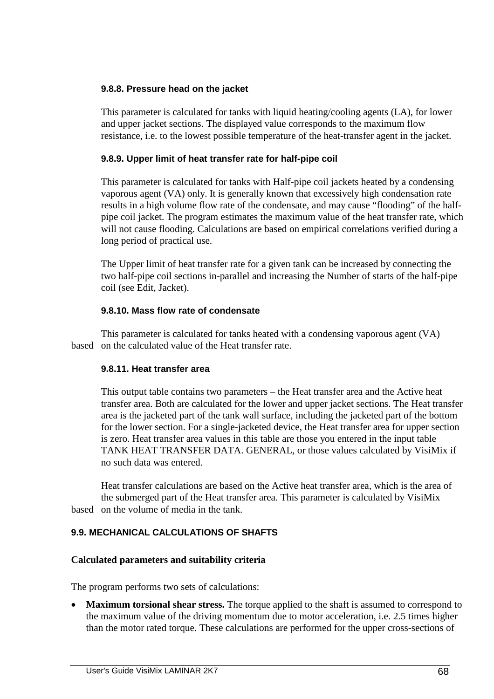## **9.8.8. Pressure head on the jacket**

 This parameter is calculated for tanks with liquid heating/cooling agents (LA), for lower and upper jacket sections. The displayed value corresponds to the maximum flow resistance, i.e. to the lowest possible temperature of the heat-transfer agent in the jacket.

## **9.8.9. Upper limit of heat transfer rate for half-pipe coil**

 This parameter is calculated for tanks with Half-pipe coil jackets heated by a condensing vaporous agent (VA) only. It is generally known that excessively high condensation rate results in a high volume flow rate of the condensate, and may cause "flooding" of the half pipe coil jacket. The program estimates the maximum value of the heat transfer rate, which will not cause flooding. Calculations are based on empirical correlations verified during a long period of practical use.

 The Upper limit of heat transfer rate for a given tank can be increased by connecting the two half-pipe coil sections in-parallel and increasing the Number of starts of the half-pipe coil (see Edit, Jacket).

## **9.8.10. Mass flow rate of condensate**

 This parameter is calculated for tanks heated with a condensing vaporous agent (VA) based on the calculated value of the Heat transfer rate.

## **9.8.11. Heat transfer area**

 This output table contains two parameters – the Heat transfer area and the Active heat transfer area. Both are calculated for the lower and upper jacket sections. The Heat transfer area is the jacketed part of the tank wall surface, including the jacketed part of the bottom for the lower section. For a single-jacketed device, the Heat transfer area for upper section is zero. Heat transfer area values in this table are those you entered in the input table TANK HEAT TRANSFER DATA. GENERAL, or those values calculated by VisiMix if no such data was entered.

 Heat transfer calculations are based on the Active heat transfer area, which is the area of the submerged part of the Heat transfer area. This parameter is calculated by VisiMix based on the volume of media in the tank.

## **9.9. MECHANICAL CALCULATIONS OF SHAFTS**

## **Calculated parameters and suitability criteria**

The program performs two sets of calculations:

• **Maximum torsional shear stress.** The torque applied to the shaft is assumed to correspond to the maximum value of the driving momentum due to motor acceleration, i.e. 2.5 times higher than the motor rated torque. These calculations are performed for the upper cross-sections of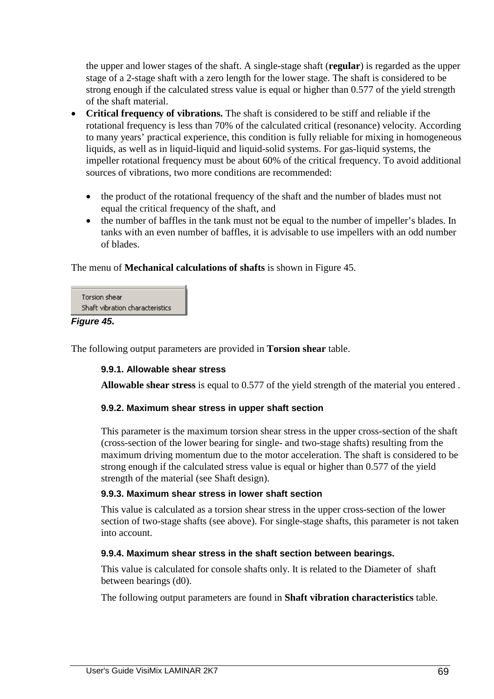the upper and lower stages of the shaft. A single-stage shaft (**regular**) is regarded as the upper stage of a 2-stage shaft with a zero length for the lower stage. The shaft is considered to be strong enough if the calculated stress value is equal or higher than 0.577 of the yield strength of the shaft material.

- **Critical frequency of vibrations.** The shaft is considered to be stiff and reliable if the rotational frequency is less than 70% of the calculated critical (resonance) velocity. According to many years' practical experience, this condition is fully reliable for mixing in homogeneous liquids, as well as in liquid-liquid and liquid-solid systems. For gas-liquid systems, the impeller rotational frequency must be about 60% of the critical frequency. To avoid additional sources of vibrations, two more conditions are recommended:
	- the product of the rotational frequency of the shaft and the number of blades must not equal the critical frequency of the shaft, and
	- the number of baffles in the tank must not be equal to the number of impeller's blades. In tanks with an even number of baffles, it is advisable to use impellers with an odd number of blades.

The menu of **Mechanical calculations of shafts** is shown in Figure 45.

| Torsion shear                   |  |
|---------------------------------|--|
| Shaft vibration characteristics |  |

## **Figure 45.**

The following output parameters are provided in **Torsion shear** table.

## **9.9.1. Allowable shear stress**

**Allowable shear stress** is equal to 0.577 of the yield strength of the material you entered .

## **9.9.2. Maximum shear stress in upper shaft section**

 This parameter is the maximum torsion shear stress in the upper cross-section of the shaft (cross-section of the lower bearing for single- and two-stage shafts) resulting from the maximum driving momentum due to the motor acceleration. The shaft is considered to be strong enough if the calculated stress value is equal or higher than 0.577 of the yield strength of the material (see Shaft design).

## **9.9.3. Maximum shear stress in lower shaft section**

 This value is calculated as a torsion shear stress in the upper cross-section of the lower section of two-stage shafts (see above). For single-stage shafts, this parameter is not taken into account.

## **9.9.4. Maximum shear stress in the shaft section between bearings.**

This value is calculated for console shafts only. It is related to the Diameter of shaft between bearings (d0).

The following output parameters are found in **Shaft vibration characteristics** table.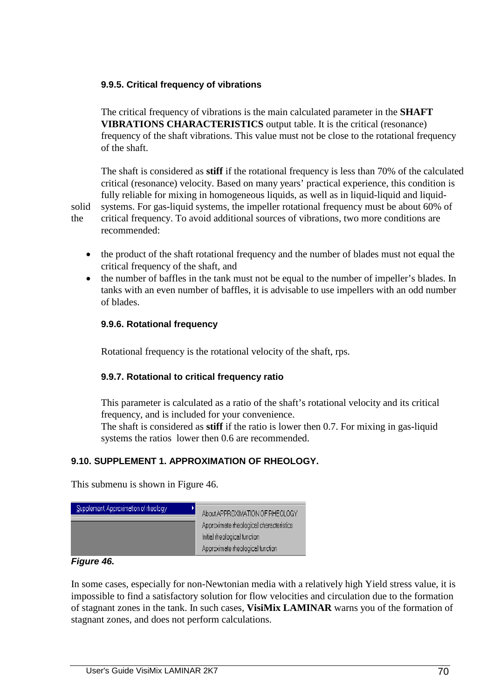## **9.9.5. Critical frequency of vibrations**

 The critical frequency of vibrations is the main calculated parameter in the **SHAFT VIBRATIONS CHARACTERISTICS** output table. It is the critical (resonance) frequency of the shaft vibrations. This value must not be close to the rotational frequency of the shaft.

 The shaft is considered as **stiff** if the rotational frequency is less than 70% of the calculated critical (resonance) velocity. Based on many years' practical experience, this condition is fully reliable for mixing in homogeneous liquids, as well as in liquid-liquid and liquidsolid systems. For gas-liquid systems, the impeller rotational frequency must be about 60% of the critical frequency. To avoid additional sources of vibrations, two more conditions are recommended:

- the product of the shaft rotational frequency and the number of blades must not equal the critical frequency of the shaft, and
- the number of baffles in the tank must not be equal to the number of impeller's blades. In tanks with an even number of baffles, it is advisable to use impellers with an odd number of blades.

## **9.9.6. Rotational frequency**

Rotational frequency is the rotational velocity of the shaft, rps.

## **9.9.7. Rotational to critical frequency ratio**

 This parameter is calculated as a ratio of the shaft's rotational velocity and its critical frequency, and is included for your convenience.

 The shaft is considered as **stiff** if the ratio is lower then 0.7. For mixing in gas-liquid systems the ratios lower then 0.6 are recommended.

## **9.10. SUPPLEMENT 1. APPROXIMATION OF RHEOLOGY.**

This submenu is shown in Figure 46.



#### **Figure 46.**

In some cases, especially for non-Newtonian media with a relatively high Yield stress value, it is impossible to find a satisfactory solution for flow velocities and circulation due to the formation of stagnant zones in the tank. In such cases, **VisiMix LAMINAR** warns you of the formation of stagnant zones, and does not perform calculations.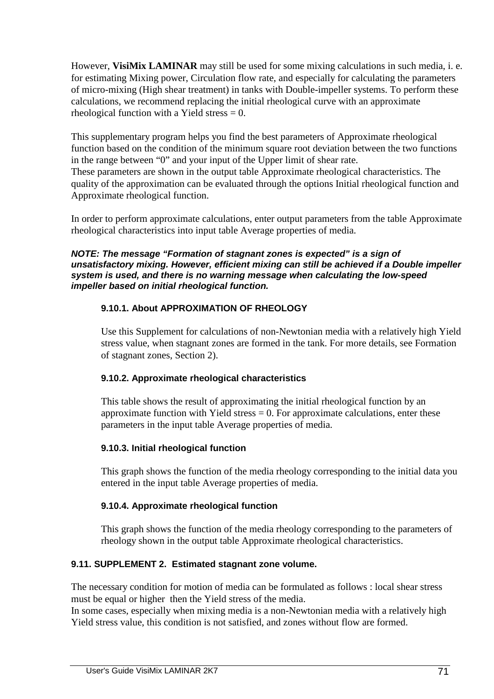However, **VisiMix LAMINAR** may still be used for some mixing calculations in such media, i. e. for estimating Mixing power, Circulation flow rate, and especially for calculating the parameters of micro-mixing (High shear treatment) in tanks with Double-impeller systems. To perform these calculations, we recommend replacing the initial rheological curve with an approximate rheological function with a Yield stress  $= 0$ .

This supplementary program helps you find the best parameters of Approximate rheological function based on the condition of the minimum square root deviation between the two functions in the range between "0" and your input of the Upper limit of shear rate. These parameters are shown in the output table Approximate rheological characteristics. The quality of the approximation can be evaluated through the options Initial rheological function and Approximate rheological function.

In order to perform approximate calculations, enter output parameters from the table Approximate rheological characteristics into input table Average properties of media.

#### **NOTE: The message "Formation of stagnant zones is expected" is a sign of unsatisfactory mixing. However, efficient mixing can still be achieved if a Double impeller system is used, and there is no warning message when calculating the low-speed impeller based on initial rheological function.**

## **9.10.1. About APPROXIMATION OF RHEOLOGY**

 Use this Supplement for calculations of non-Newtonian media with a relatively high Yield stress value, when stagnant zones are formed in the tank. For more details, see Formation of stagnant zones, Section 2).

## **9.10.2. Approximate rheological characteristics**

 This table shows the result of approximating the initial rheological function by an approximate function with Yield stress  $= 0$ . For approximate calculations, enter these parameters in the input table Average properties of media.

## **9.10.3. Initial rheological function**

 This graph shows the function of the media rheology corresponding to the initial data you entered in the input table Average properties of media.

## **9.10.4. Approximate rheological function**

 This graph shows the function of the media rheology corresponding to the parameters of rheology shown in the output table Approximate rheological characteristics.

## **9.11. SUPPLEMENT 2. Estimated stagnant zone volume.**

The necessary condition for motion of media can be formulated as follows : local shear stress must be equal or higher then the Yield stress of the media.

In some cases, especially when mixing media is a non-Newtonian media with a relatively high Yield stress value, this condition is not satisfied, and zones without flow are formed.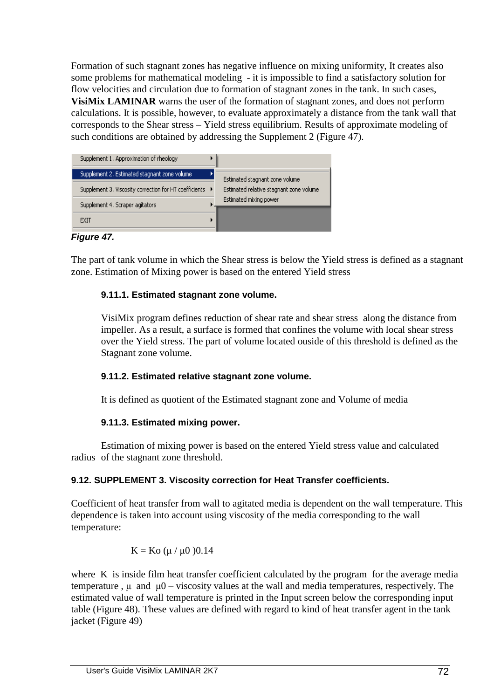Formation of such stagnant zones has negative influence on mixing uniformity, It creates also some problems for mathematical modeling - it is impossible to find a satisfactory solution for flow velocities and circulation due to formation of stagnant zones in the tank. In such cases, **VisiMix LAMINAR** warns the user of the formation of stagnant zones, and does not perform calculations. It is possible, however, to evaluate approximately a distance from the tank wall that corresponds to the Shear stress – Yield stress equilibrium. Results of approximate modeling of such conditions are obtained by addressing the Supplement 2 (Figure 47).



**Figure 47.** 

The part of tank volume in which the Shear stress is below the Yield stress is defined as a stagnant zone. Estimation of Mixing power is based on the entered Yield stress

## **9.11.1. Estimated stagnant zone volume.**

 VisiMix program defines reduction of shear rate and shear stress along the distance from impeller. As a result, a surface is formed that confines the volume with local shear stress over the Yield stress. The part of volume located ouside of this threshold is defined as the Stagnant zone volume.

## **9.11.2. Estimated relative stagnant zone volume.**

It is defined as quotient of the Estimated stagnant zone and Volume of media

## **9.11.3. Estimated mixing power.**

 Estimation of mixing power is based on the entered Yield stress value and calculated radius of the stagnant zone threshold.

# **9.12. SUPPLEMENT 3. Viscosity correction for Heat Transfer coefficients.**

Coefficient of heat transfer from wall to agitated media is dependent on the wall temperature. This dependence is taken into account using viscosity of the media corresponding to the wall temperature:

$$
K = Ko \; (\mu / \mu 0 \; )0.14
$$

where K is inside film heat transfer coefficient calculated by the program for the average media temperature,  $\mu$  and  $\mu$ 0 – viscosity values at the wall and media temperatures, respectively. The estimated value of wall temperature is printed in the Input screen below the corresponding input table (Figure 48). These values are defined with regard to kind of heat transfer agent in the tank jacket (Figure 49)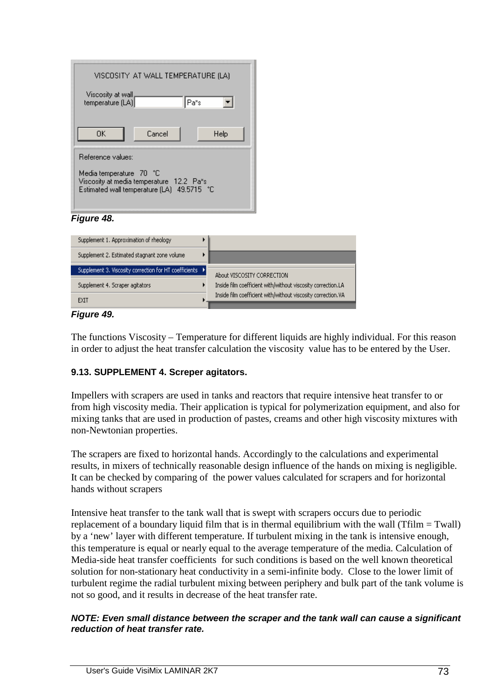| VISCOSITY AT WALL TEMPERATURE (LA)                                                                                   |      |  |
|----------------------------------------------------------------------------------------------------------------------|------|--|
| Viscosity at wall<br>temperature (LA)                                                                                | Pa*s |  |
| ΠK<br>Cancel                                                                                                         | Help |  |
| Reference values:                                                                                                    |      |  |
| Media temperature 70 °C<br>Viscosity at media temperature 12.2 Pa*s<br>49.5715 °C<br>Estimated wall temperature (LA) |      |  |

#### **Figure 48.**

| Supplement 1. Approximation of rheology                  |                                                              |
|----------------------------------------------------------|--------------------------------------------------------------|
| Supplement 2. Estimated stagnant zone volume             |                                                              |
| Supplement 3. Viscosity correction for HT coefficients ▶ | About VISCOSITY CORRECTION                                   |
| Supplement 4. Scraper agitators                          | Inside film coefficient with/without viscosity correction.LA |
| EXIT                                                     | Inside film coefficient with/without viscosity correction.VA |

#### **Figure 49.**

The functions Viscosity – Temperature for different liquids are highly individual. For this reason in order to adjust the heat transfer calculation the viscosity value has to be entered by the User.

#### **9.13. SUPPLEMENT 4. Screper agitators.**

Impellers with scrapers are used in tanks and reactors that require intensive heat transfer to or from high viscosity media. Their application is typical for polymerization equipment, and also for mixing tanks that are used in production of pastes, creams and other high viscosity mixtures with non-Newtonian properties.

The scrapers are fixed to horizontal hands. Accordingly to the calculations and experimental results, in mixers of technically reasonable design influence of the hands on mixing is negligible. It can be checked by comparing of the power values calculated for scrapers and for horizontal hands without scrapers

Intensive heat transfer to the tank wall that is swept with scrapers occurs due to periodic replacement of a boundary liquid film that is in thermal equilibrium with the wall (Tfilm = Twall) by a 'new' layer with different temperature. If turbulent mixing in the tank is intensive enough, this temperature is equal or nearly equal to the average temperature of the media. Calculation of Media-side heat transfer coefficients for such conditions is based on the well known theoretical solution for non-stationary heat conductivity in a semi-infinite body. Close to the lower limit of turbulent regime the radial turbulent mixing between periphery and bulk part of the tank volume is not so good, and it results in decrease of the heat transfer rate.

#### **NOTE: Even small distance between the scraper and the tank wall can cause a significant reduction of heat transfer rate.**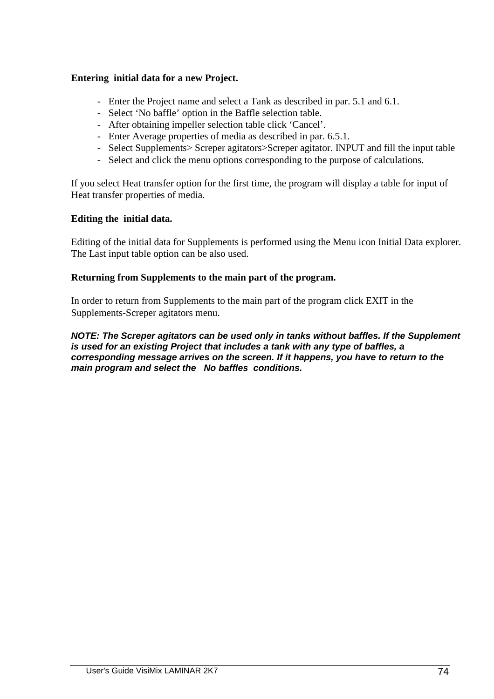### **Entering initial data for a new Project.**

- Enter the Project name and select a Tank as described in par. 5.1 and 6.1.
- Select 'No baffle' option in the Baffle selection table.
- After obtaining impeller selection table click 'Cancel'.
- Enter Average properties of media as described in par. 6.5.1.
- Select Supplements> Screper agitators>Screper agitator. INPUT and fill the input table
- Select and click the menu options corresponding to the purpose of calculations.

If you select Heat transfer option for the first time, the program will display a table for input of Heat transfer properties of media.

#### **Editing the initial data.**

Editing of the initial data for Supplements is performed using the Menu icon Initial Data explorer. The Last input table option can be also used.

#### **Returning from Supplements to the main part of the program.**

In order to return from Supplements to the main part of the program click EXIT in the Supplements-Screper agitators menu.

**NOTE: The Screper agitators can be used only in tanks without baffles. If the Supplement is used for an existing Project that includes a tank with any type of baffles, a corresponding message arrives on the screen. If it happens, you have to return to the main program and select the No baffles conditions.**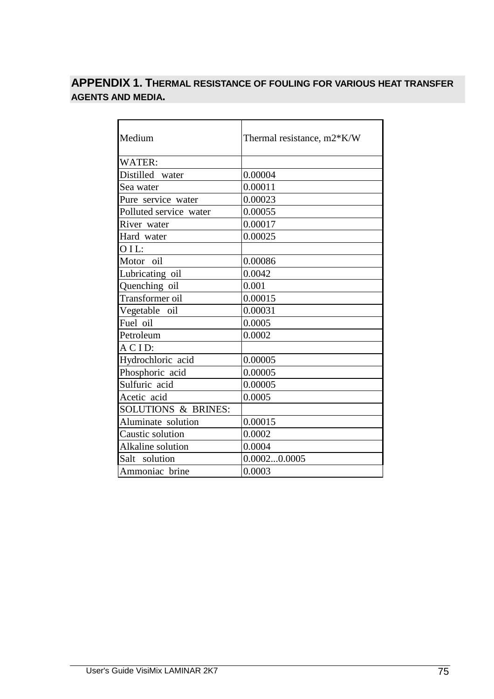# **APPENDIX 1. THERMAL RESISTANCE OF FOULING FOR VARIOUS HEAT TRANSFER AGENTS AND MEDIA.**

| Thermal resistance, m2*K/W |
|----------------------------|
|                            |
| 0.00004                    |
| 0.00011                    |
| 0.00023                    |
| 0.00055                    |
| 0.00017                    |
| 0.00025                    |
|                            |
| 0.00086                    |
| 0.0042                     |
| 0.001                      |
| 0.00015                    |
| 0.00031                    |
| 0.0005                     |
| 0.0002                     |
|                            |
| 0.00005                    |
| 0.00005                    |
| 0.00005                    |
| 0.0005                     |
|                            |
| 0.00015                    |
| 0.0002                     |
| 0.0004                     |
| 0.00020.0005               |
| 0.0003                     |
|                            |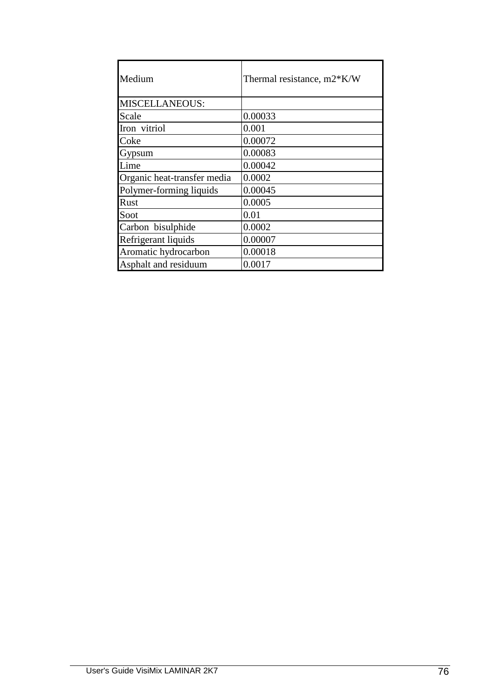| Medium                      | Thermal resistance, m2*K/W |
|-----------------------------|----------------------------|
| <b>MISCELLANEOUS:</b>       |                            |
| Scale                       | 0.00033                    |
| Iron vitriol                | 0.001                      |
| Coke                        | 0.00072                    |
| Gypsum                      | 0.00083                    |
| Lime                        | 0.00042                    |
| Organic heat-transfer media | 0.0002                     |
| Polymer-forming liquids     | 0.00045                    |
| Rust                        | 0.0005                     |
| Soot                        | 0.01                       |
| Carbon bisulphide           | 0.0002                     |
| Refrigerant liquids         | 0.00007                    |
| Aromatic hydrocarbon        | 0.00018                    |
| Asphalt and residuum        | 0.0017                     |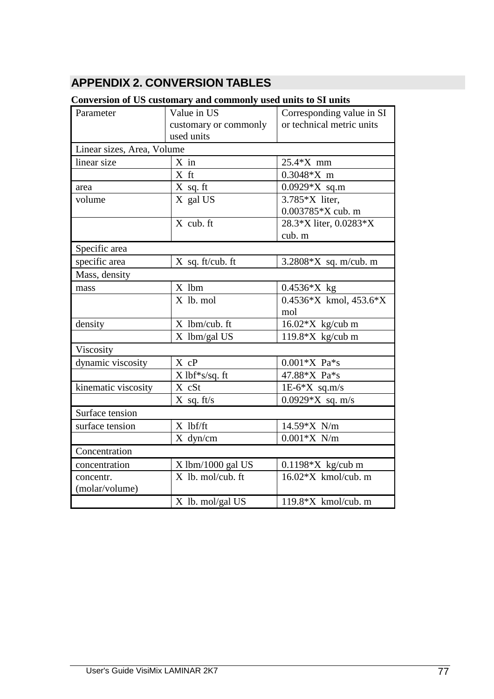# **APPENDIX 2. CONVERSION TABLES**

## **Conversion of US customary and commonly used units to SI units**

| Parameter                  | recover of the castomary and commonly used unto to be anno<br>Value in US | Corresponding value in SI  |
|----------------------------|---------------------------------------------------------------------------|----------------------------|
|                            | customary or commonly                                                     | or technical metric units  |
|                            | used units                                                                |                            |
| Linear sizes, Area, Volume |                                                                           |                            |
| linear size                | $X$ in                                                                    | 25.4*X mm                  |
|                            | X ft                                                                      | $0.3048*X$ m               |
| area                       | X sq. ft                                                                  | $0.0929*X$ sq.m            |
| volume                     | X gal US                                                                  | 3.785*X liter,             |
|                            |                                                                           | 0.003785*X cub. m          |
|                            | X cub. ft                                                                 | 28.3*X liter, 0.0283*X     |
|                            |                                                                           | cub. m                     |
| Specific area              |                                                                           |                            |
| specific area              | $X$ sq. ft/cub. ft                                                        | 3.2808*X sq. m/cub. m      |
| Mass, density              |                                                                           |                            |
| mass                       | X lbm                                                                     | $0.4536*X$ kg              |
|                            | X lb. mol                                                                 | $0.4536*X$ kmol, $453.6*X$ |
|                            |                                                                           | mol                        |
| density                    | X lbm/cub. ft                                                             | $16.02*X$ kg/cub m         |
|                            | X lbm/gal US                                                              | 119.8*X kg/cub m           |
| Viscosity                  |                                                                           |                            |
| dynamic viscosity          | X cP                                                                      | $0.001*X$ Pa*s             |
|                            | $X$ lbf*s/sq. ft                                                          | 47.88*X Pa*s               |
| kinematic viscosity        | X cSt                                                                     | $1E-6*X$ sq.m/s            |
|                            | $X$ sq. ft/s                                                              | $0.0929*X$ sq. m/s         |
| Surface tension            |                                                                           |                            |
| surface tension            | X lbf/ft                                                                  | 14.59*X N/m                |
|                            | X dyn/cm                                                                  | $0.001*X$ N/m              |
| Concentration              |                                                                           |                            |
| concentration              | X lbm/1000 gal US                                                         | $0.1198*X$ kg/cub m        |
| concentr.                  | X lb. mol/cub. ft                                                         | $16.02*X$ kmol/cub. m      |
| (molar/volume)             |                                                                           |                            |
|                            | X lb. mol/gal US                                                          | 119.8* $X$ kmol/cub. m     |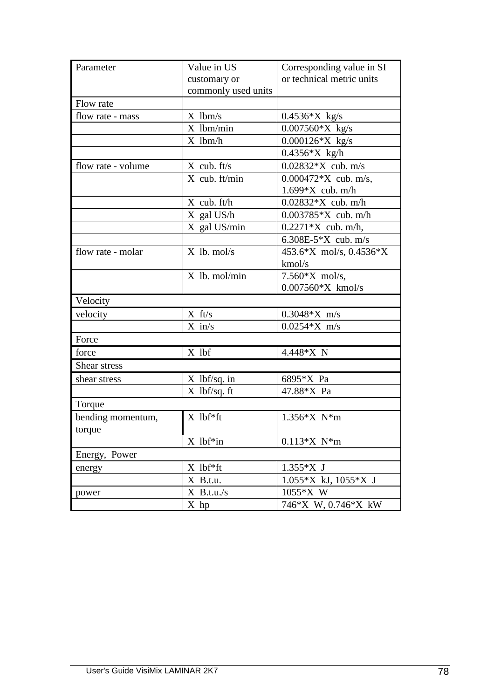| Parameter          | Value in US         | Corresponding value in SI  |
|--------------------|---------------------|----------------------------|
|                    | customary or        | or technical metric units  |
|                    | commonly used units |                            |
| Flow rate          |                     |                            |
| flow rate - mass   | $X$ lbm/s           | $0.4536*X$ kg/s            |
|                    | X lbm/min           | $0.007560*X$ kg/s          |
|                    | X lbm/h             | $0.000126*X$ kg/s          |
|                    |                     | $0.4356*X$ kg/h            |
| flow rate - volume | $X$ cub. ft/s       | $0.02832*X$ cub. m/s       |
|                    | $X$ cub. ft/min     | $0.000472*X$ cub. m/s,     |
|                    |                     | $1.699*X$ cub. m/h         |
|                    | $X$ cub. ft/h       | $0.02832*X$ cub. m/h       |
|                    | X gal US/h          | $0.003785*X$ cub. m/h      |
|                    | X gal US/min        | $0.2271*X$ cub. m/h,       |
|                    |                     | 6.308E-5 $X$ cub. m/s      |
| flow rate - molar  | $X$ lb. mol/s       | 453.6*X mol/s, 0.4536*X    |
|                    |                     | kmol/s                     |
|                    | X lb. mol/min       | $7.560*X$ mol/s,           |
|                    |                     | $0.007560*X$ kmol/s        |
| Velocity           |                     |                            |
| velocity           | $X$ ft/s            | $0.3048*X$ m/s             |
|                    | $X$ in/s            | $0.0254*X$ m/s             |
| Force              |                     |                            |
| force              | X lbf               | 4.448*X N                  |
| Shear stress       |                     |                            |
| shear stress       | $X$ lbf/sq. in      | 6895*X Pa                  |
|                    | $X$ lbf/sq. ft      | 47.88*X Pa                 |
| Torque             |                     |                            |
| bending momentum,  | $X$ lbf*ft          | $1.356*X$ N <sup>*</sup> m |
| torque             |                     |                            |
|                    | $X$ lbf*in          | $0.113*X$ N*m              |
| Energy, Power      |                     |                            |
| energy             | $X$ lbf*ft          | 1.355*X J                  |
|                    | X B.t.u.            | $1.055*X$ kJ, $1055*X$ J   |
| power              | $X$ B.t.u./s        | 1055*X W                   |
|                    | $X$ hp              | 746*X W, 0.746*X kW        |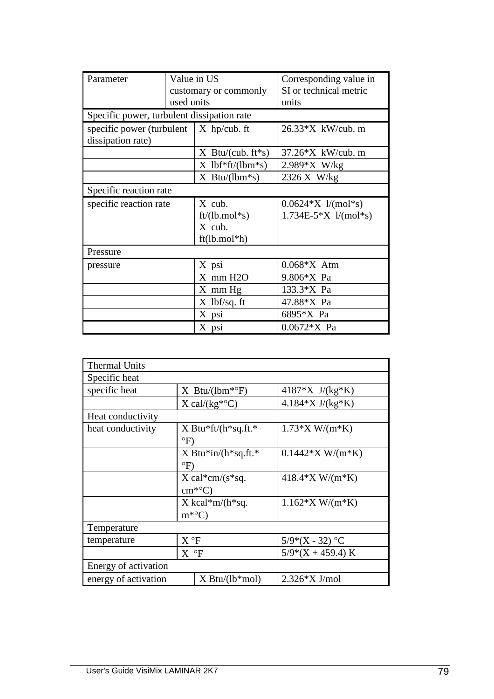| Parameter                                     | Value in US           |                     | Corresponding value in   |
|-----------------------------------------------|-----------------------|---------------------|--------------------------|
|                                               | customary or commonly |                     | SI or technical metric   |
|                                               | used units            |                     | units                    |
| Specific power, turbulent dissipation rate    |                       |                     |                          |
| specific power (turbulent $\mid$ X hp/cub. ft |                       |                     | $26.33*X$ kW/cub. m      |
| dissipation rate)                             |                       |                     |                          |
|                                               |                       | $X$ Btu/(cub. ft*s) | 37.26*X kW/cub. m        |
|                                               |                       | $X$ lbf*ft/(lbm*s)  | $2.989*X$ W/kg           |
|                                               |                       | $X$ Btu/(lbm*s)     | 2326 X W/kg              |
| Specific reaction rate                        |                       |                     |                          |
| specific reaction rate                        |                       | X cub.              | $0.0624*X$ l/(mol*s)     |
|                                               |                       | $ft/(lb/mol*s)$     | $1.734E-5*X$ $1/(mol*s)$ |
|                                               |                       | X cub.              |                          |
|                                               |                       | $ft(lb.mol*h)$      |                          |
| Pressure                                      |                       |                     |                          |
| pressure                                      |                       | X psi               | $0.068*X$ Atm            |
|                                               |                       | $X$ mm $H2O$        | 9.806*X Pa               |
|                                               |                       | $X$ mm $Hg$         | 133.3*X Pa               |
|                                               |                       | $X$ lbf/sq. ft      | 47.88*X Pa               |
|                                               |                       | X psi               | 6895*X Pa                |
|                                               |                       | X psi               | $0.0672*X$ Pa            |

| <b>Thermal Units</b>                     |                                                     |                         |                     |
|------------------------------------------|-----------------------------------------------------|-------------------------|---------------------|
| Specific heat                            |                                                     |                         |                     |
| specific heat                            | $X$ Btu/(lbm*°F)                                    |                         | 4187*X $J/(kg*K)$   |
|                                          |                                                     | $X \text{ cal/(kg*°C)}$ | $4.184*X J/(kg*K)$  |
| Heat conductivity                        |                                                     |                         |                     |
| heat conductivity                        | $\mathrm{P}(F)$                                     | $X$ Btu*ft/(h*sq.ft.*   | $1.73*X W/(m*K)$    |
|                                          | X Btu*in/ $(h*sq.fit.*$<br>$\mathrm{P}(\mathrm{F})$ |                         | $0.1442*X W/(m*K)$  |
|                                          | $X \text{ cal*cm/(s*sq.}$<br>$cm^*°C$               |                         | 418.4*X W/(m*K)     |
|                                          | $X$ kcal*m/(h*sq.<br>$m^{*o}C$                      |                         | $1.162*X W/(m*K)$   |
| Temperature                              |                                                     |                         |                     |
| temperature                              | $X^{\circ}F$                                        |                         | $5/9*(X - 32)$ °C   |
|                                          | $X$ $\circ$ F                                       |                         | $5/9*(X + 459.4) K$ |
| Energy of activation                     |                                                     |                         |                     |
| energy of activation<br>$X$ Btu/(lb*mol) |                                                     | 2.326*X J/mol           |                     |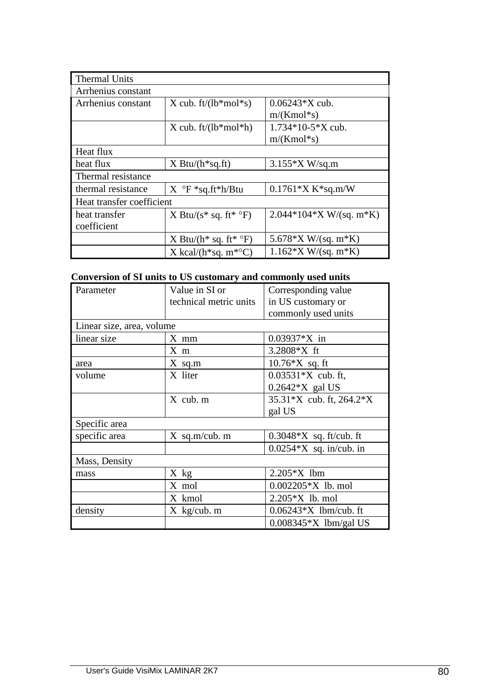| <b>Thermal Units</b>      |                                                  |                           |
|---------------------------|--------------------------------------------------|---------------------------|
| Arrhenius constant        |                                                  |                           |
| Arrhenius constant        | X cub. $ft/(lb*mol*S)$                           | $0.06243*X$ cub.          |
|                           |                                                  | $m/(Kmol*S)$              |
|                           | $X$ cub. ft/(lb*mol*h)                           | $1.734*10-5*X$ cub.       |
|                           |                                                  | $m/(Kmol*S)$              |
| Heat flux                 |                                                  |                           |
| heat flux                 | $X$ Btu/ $(h*sq.fr)$                             | $3.155*X W/sq.m$          |
| Thermal resistance        |                                                  |                           |
| thermal resistance        | $X^{\circ}F *_{sq}.ft * h/Btu$                   | $0.1761*X K*sq.m/W$       |
| Heat transfer coefficient |                                                  |                           |
| heat transfer             | X Btu/( $s$ <sup>*</sup> sq. ft <sup>*</sup> °F) | $2.044*104*X W/(sq. m*K)$ |
| coefficient               |                                                  |                           |
|                           | X Btu/( $h^*$ sq. ft <sup>*</sup> °F)            | 5.678*X W/(sq. m*K)       |
|                           | X kcal/( $h$ <sup>*</sup> sq. m <sup>*o</sup> C) | $1.162*X W/(sq. m*K)$     |

#### **Conversion of SI units to US customary and commonly used units**

| Parameter                 | ersion of B2 winds to to tubeoning, which commission<br>Value in SI or | Corresponding value                  |
|---------------------------|------------------------------------------------------------------------|--------------------------------------|
|                           | technical metric units                                                 | in US customary or                   |
|                           |                                                                        | commonly used units                  |
| Linear size, area, volume |                                                                        |                                      |
| linear size               | $X$ mm                                                                 | $0.03937*X$ in                       |
|                           | $X \text{ m}$                                                          | $3.2808*X$ ft                        |
| area                      | $X$ sq.m                                                               | $10.76*X$ sq. ft                     |
| volume                    | X liter                                                                | $0.03531*X$ cub. ft,                 |
|                           |                                                                        | $0.2642*X$ gal US                    |
|                           | $X$ cub. $m$                                                           | 35.31*X cub. ft, 264.2*X             |
|                           |                                                                        | gal US                               |
| Specific area             |                                                                        |                                      |
| specific area             | $X$ sq.m/cub. m                                                        | $0.3048*X$ sq. ft/cub. ft            |
|                           |                                                                        | $0.0254*X$ sq. in/cub. in            |
| Mass, Density             |                                                                        |                                      |
| mass                      | X kg                                                                   | $2.205*X$ lbm                        |
|                           | X mol                                                                  | $0.002205*X$ lb. mol                 |
|                           | X kmol                                                                 | $2.205*X$ lb. mol                    |
| density                   | $X$ kg/cub. m                                                          | $0.06243*X$ lbm/cub. ft              |
|                           |                                                                        | $0.008345$ <sup>*</sup> X lbm/gal US |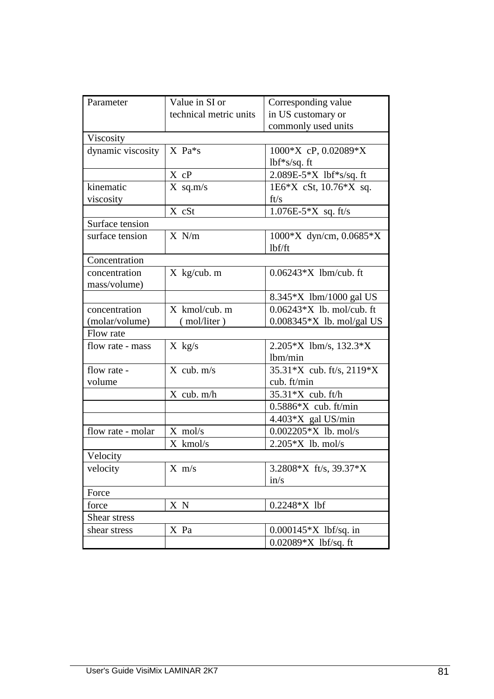| Parameter         | Value in SI or         | Corresponding value                      |
|-------------------|------------------------|------------------------------------------|
|                   | technical metric units | in US customary or                       |
|                   |                        | commonly used units                      |
| Viscosity         |                        |                                          |
|                   | $X$ Pa $*_{S}$         |                                          |
| dynamic viscosity |                        | $1000*X$ cP, 0.02089*X                   |
|                   |                        | $1bf**s/sq.$ ft                          |
|                   | X cP                   | 2.089E-5*X lbf*s/sq. ft                  |
| kinematic         | $X$ sq.m/s             | $1E6*X$ cSt, $10.76*X$ sq.               |
| viscosity         |                        | ft/s                                     |
|                   | X cSt                  | $1.076E-5*X$ sq. ft/s                    |
| Surface tension   |                        |                                          |
| surface tension   | $X \ N/m$              | $1000*X$ dyn/cm, 0.0685*X                |
|                   |                        | lbf/ft                                   |
| Concentration     |                        |                                          |
| concentration     | $X$ kg/cub. m          | $0.06243*X$ lbm/cub. ft                  |
| mass/volume)      |                        |                                          |
|                   |                        | $8.345 \times$ 1bm/1000 gal US           |
| concentration     | $X$ kmol/cub. m        | $0.06243*X$ lb. mol/cub. ft              |
| (molar/volume)    | (mol/liter)            | $0.008345$ <sup>*</sup> X lb. mol/gal US |
| Flow rate         |                        |                                          |
| flow rate - mass  | $X$ kg/s               | $2.205*X$ lbm/s, $132.3*X$               |
|                   |                        | lbm/min                                  |
| flow rate -       | $X$ cub. $m/s$         | 35.31*X cub. ft/s, 2119*X                |
| volume            |                        | cub. ft/min                              |
|                   | $X$ cub. $m/h$         | 35.31*X cub. ft/h                        |
|                   |                        | $0.5886*X$ cub. ft/min                   |
|                   |                        | 4.403*X gal US/min                       |
| flow rate - molar | $X$ mol/s              | $0.002205*X$ lb. mol/s                   |
|                   | X kmol/s               | $2.205*X$ lb. mol/s                      |
| Velocity          |                        |                                          |
| velocity          | $X \, m/s$             | 3.2808*X ft/s, 39.37*X                   |
|                   |                        | in/s                                     |
| Force             |                        |                                          |
| force             | X N                    | $0.2248*X$ lbf                           |
| Shear stress      |                        |                                          |
| shear stress      | X Pa                   | $0.000145*X$ lbf/sq. in                  |
|                   |                        | 0.02089*X lbf/sq. ft                     |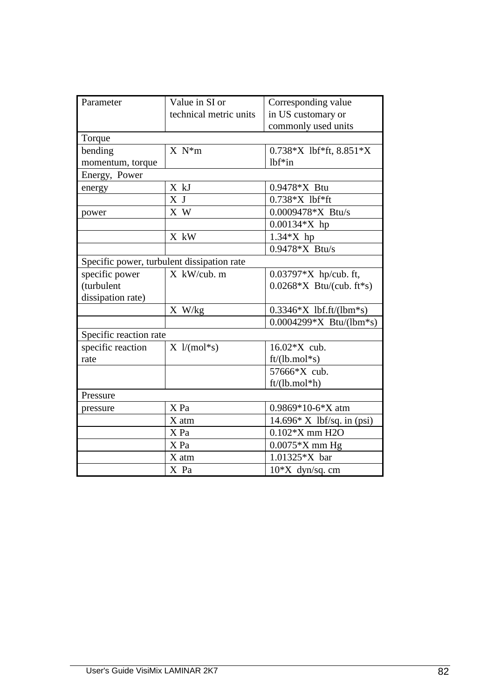| Parameter                                  | Value in SI or                | Corresponding value              |
|--------------------------------------------|-------------------------------|----------------------------------|
|                                            | technical metric units        | in US customary or               |
|                                            |                               | commonly used units              |
| Torque                                     |                               |                                  |
| bending                                    | $X N^*m$                      | $0.738*X$ lbf*ft, $8.851*X$      |
| momentum, torque                           |                               | $1bf*$ in                        |
| Energy, Power                              |                               |                                  |
| energy                                     | X kJ                          | $0.9478*X$ Btu                   |
|                                            | X J                           | $0.738*X$ lbf*ft                 |
| power                                      | X W                           | $0.0009478$ <sup>*</sup> X Btu/s |
|                                            |                               | $0.00134*X$ hp                   |
|                                            | X kW                          | $1.34*X$ hp                      |
|                                            |                               | $0.9478$ <sup>*</sup> X Btu/s    |
| Specific power, turbulent dissipation rate |                               |                                  |
| specific power                             | X kW/cub. m                   | $0.03797*X$ hp/cub. ft,          |
| (turbulent                                 |                               | $0.0268*X$ Btu/(cub. ft*s)       |
| dissipation rate)                          |                               |                                  |
|                                            | X W/kg                        | $0.3346*X$ lbf.ft/(lbm*s)        |
|                                            |                               | $0.0004299*X$ Btu/(lbm*s)        |
| Specific reaction rate                     |                               |                                  |
| specific reaction                          | $X \frac{1}{(\text{mol}^*s)}$ | 16.02 * X cub.                   |
| rate                                       |                               | $ft/(lb/mol*s)$                  |
|                                            |                               | 57666*X cub.                     |
|                                            |                               | $ft/(lb/mol*h)$                  |
| Pressure                                   |                               |                                  |
| pressure                                   | X Pa                          | $0.9869*10-6*X$ atm              |
|                                            | X atm                         | $14.696*$ X lbf/sq. in (psi)     |
|                                            | X Pa                          | $0.102*$ X mm H2O                |
|                                            | X Pa                          | $0.0075*X$ mm Hg                 |
|                                            | X atm                         | 1.01325*X bar                    |
|                                            | X Pa                          | $10*X$ dyn/sq. cm                |